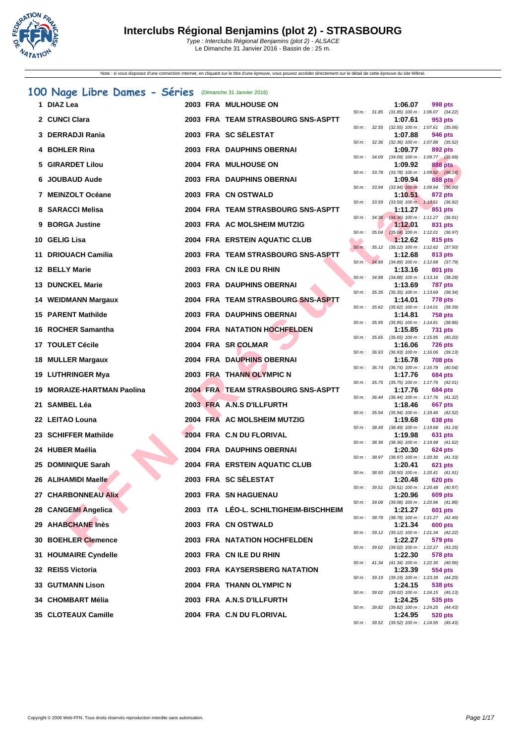

#### **[100 N](http://www.ffnatation.fr/webffn/index.php)age Libre Dames - Séries** (Dimanche 31 Janvier 2016)

| 1 DIAZ Lea                  |  | <b>2003 FRA MULHOUSE ON</b>            |                  |                | 1:06.07 | 998 pts                                                      |
|-----------------------------|--|----------------------------------------|------------------|----------------|---------|--------------------------------------------------------------|
| 2 CUNCI Clara               |  | 2003 FRA TEAM STRASBOURG SNS-ASPTT     |                  | 50 m : 31.85   | 1:07.61 | $(31.85)$ 100 m : 1:06.07 $(34.22)$<br>953 pts               |
| 3 DERRADJI Rania            |  | 2003 FRA SC SÉLESTAT                   |                  | $50 m$ : 32.55 | 1:07.88 | $(32.55)$ 100 m : 1:07.61 $(35.06)$<br>946 pts               |
| 4 BOHLER Rina               |  | 2003 FRA DAUPHINS OBERNAI              |                  |                | 1:09.77 | 50 m: 32.36 (32.36) 100 m: 1:07.88 (35.52)<br>892 pts        |
| 5 GIRARDET Lilou            |  | 2004 FRA MULHOUSE ON                   | 50 m : 34.09     |                | 1:09.92 | $(34.09)$ 100 m : 1:09.77 $(35.68)$<br>888 pts               |
| 6 JOUBAUD Aude              |  | 2003 FRA DAUPHINS OBERNAI              |                  |                | 1:09.94 | 50 m: 33.78 (33.78) 100 m: 1:09.92 (36.14)<br><b>888 pts</b> |
| 7 MEINZOLT Océane           |  | 2003 FRA CN OSTWALD                    | 50 m :           | 33.94          | 1:10.51 | $(33.94)$ 100 m : 1:09.94 $(36.00)$<br>872 pts               |
|                             |  |                                        | 50 m: 33.59      |                |         | $(33.59)$ 100 m : 1:10.51 $(36.92)$                          |
| 8 SARACCI Melisa            |  | 2004 FRA TEAM STRASBOURG SNS-ASPTT     | 50 m: 34.36      |                | 1:11.27 | 851 pts<br>$(34.36)$ 100 m : 1:11.27 $(36.91)$               |
| 9 BORGA Justine             |  | 2003 FRA AC MOLSHEIM MUTZIG            | 50 m :           | 35.04          | 1:12.01 | 831 pts<br>$(35.04)$ 100 m : 1:12.01 $(36.97)$               |
| 10 GELIG Lisa               |  | 2004 FRA ERSTEIN AQUATIC CLUB          | $50 m$ :         | 35.12          | 1:12.62 | 815 pts<br>$(35.12)$ 100 m : 1:12.62 $(37.50)$               |
| 11 DRIOUACH Camilia         |  | 2003 FRA TEAM STRASBOURG SNS-ASPTT     | $50 m$ : $34.89$ |                | 1:12.68 | 813 pts<br>$(34.89)$ 100 m : 1:12.68 $(37.79)$               |
| 12 BELLY Marie              |  | 2003 FRA CN ILE DU RHIN                |                  | 50 m: 34.88    | 1:13.16 | 801 pts<br>$(34.88)$ 100 m : 1:13.16 $(38.28)$               |
| <b>13 DUNCKEL Marie</b>     |  | 2003 FRA DAUPHINS OBERNAI              |                  |                | 1:13.69 | <b>787 pts</b>                                               |
| 14 WEIDMANN Margaux         |  | 2004 FRA TEAM STRASBOURG SNS-ASPTT     | 50 m :           | 35.35          | 1:14.01 | $(35.35)$ 100 m : 1:13.69 $(38.34)$<br>778 pts               |
| 15 PARENT Mathilde          |  | 2003 FRA DAUPHINS OBERNAI              | 50 m: 35.62      |                | 1:14.81 | $(35.62)$ 100 m : 1:14.01 $(38.39)$<br><b>758 pts</b>        |
| 16 ROCHER Samantha          |  | <b>2004 FRA NATATION HOCHFELDEN</b>    | $50 m$ : 35.95   |                | 1:15.85 | $(35.95)$ 100 m : 1:14.81 $(38.86)$<br>731 pts               |
| 17 TOULET Cécile            |  | 2004 FRA SR COLMAR                     | $50 m$ : 35.65   |                | 1:16.06 | $(35.65)$ 100 m : 1:15.85 $(40.20)$<br><b>726 pts</b>        |
| 18 MULLER Margaux           |  | 2004 FRA DAUPHINS OBERNAI              |                  |                | 1:16.78 | 50 m: 36.93 (36.93) 100 m: 1:16.06 (39.13)<br><b>708 pts</b> |
| 19 LUTHRINGER Mya           |  | 2003 FRA THANN OLYMPIC N               | $50 m$ :         | 36.74          | 1:17.76 | (36.74) 100 m: 1:16.78 (40.04)<br>684 pts                    |
|                             |  |                                        |                  | 50 m: 35.75    |         | $(35.75)$ 100 m : 1:17.76 $(42.01)$                          |
| 19 MORAIZE-HARTMAN Paolina  |  | 2004 FRA TEAM STRASBOURG SNS-ASPTT     | 50 m: 36.44      |                | 1:17.76 | 684 pts<br>(36.44) 100 m: 1:17.76 (41.32)                    |
| 21 SAMBEL Léa               |  | 2003 FRA A.N.S D'ILLFURTH              | 50 m: 35.94      |                | 1:18.46 | 667 pts<br>$(35.94)$ 100 m : 1:18.46 $(42.52)$               |
| 22 LEITAO Louna             |  | 2004 FRA AC MOLSHEIM MUTZIG            | 50 m : 38.49     |                | 1:19.68 | 638 pts<br>$(38.49)$ 100 m : 1:19.68 $(41.19)$               |
| 23 SCHIFFER Mathilde        |  | 2004 FRA C.N DU FLORIVAL               | 50 m :           | 38.36          | 1:19.98 | 631 pts<br>$(38.36)$ 100 m : 1:19.98 $(41.62)$               |
| 24 HUBER Maélia             |  | 2004 FRA DAUPHINS OBERNAI              |                  |                | 1:20.30 | <b>624 pts</b><br>50 m: 38.97 (38.97) 100 m: 1:20.30 (41.33) |
| 25 DOMINIQUE Sarah          |  | 2004 FRA ERSTEIN AQUATIC CLUB          |                  |                | 1:20.41 | <b>621 pts</b>                                               |
| 26 ALIHAMIDI Maelle         |  | 2003 FRA SC SÉLESTAT                   | 50 m :           | 38.50          | 1:20.48 | $(38.50)$ 100 m : 1:20.41 $(41.91)$<br>620 pts               |
| 27 CHARBONNEAU Alix         |  | <b>2003 FRA SN HAGUENAU</b>            | 50 m : 39.51     |                | 1:20.96 | $(39.51)$ 100 m : 1:20.48 $(40.97)$<br><b>609 pts</b>        |
| 28 CANGEMI Angelica         |  | 2003 ITA LEO-L. SCHILTIGHEIM-BISCHHEIM |                  | 50 m : 39.08   | 1:21.27 | (39.08) 100 m: 1:20.96 (41.88)<br>601 pts                    |
| 29 AHABCHANE Inès           |  | 2003 FRA CN OSTWALD                    |                  | 50 m : 38.78   | 1:21.34 | (38.78) 100 m: 1:21.27 (42.49)<br>600 pts                    |
| 30 BOEHLER Clemence         |  | <b>2003 FRA NATATION HOCHFELDEN</b>    |                  |                | 1:22.27 | 50 m: 39.12 (39.12) 100 m: 1:21.34 (42.22)<br>579 pts        |
| <b>31 HOUMAIRE Cyndelle</b> |  | 2003 FRA CN ILE DU RHIN                |                  |                | 1:22.30 | 50 m: 39.02 (39.02) 100 m: 1:22.27 (43.25)<br>578 pts        |
|                             |  |                                        |                  |                |         | 50 m: 41.34 (41.34) 100 m: 1:22.30 (40.96)                   |
| 32 REISS Victoria           |  | 2003 FRA KAYSERSBERG NATATION          |                  | 50 m : 39.19   | 1:23.39 | 554 pts<br>(39.19) 100 m: 1:23.39 (44.20)                    |
| 33 GUTMANN Lison            |  | 2004 FRA THANN OLYMPIC N               | 50 m :           | 39.02          | 1:24.15 | 538 pts<br>$(39.02)$ 100 m : 1:24.15 $(45.13)$               |
| 34 CHOMBART Mélia           |  | 2003 FRA A.N.S D'ILLFURTH              |                  |                | 1:24.25 | 535 pts<br>50 m: 39.82 (39.82) 100 m: 1:24.25 (44.43)        |
| 35 CLOTEAUX Camille         |  | 2004 FRA C.N DU FLORIVAL               |                  |                | 1:24.95 | <b>520 pts</b>                                               |

|          |       | 1:06.07                      | 998 pts                              |  |
|----------|-------|------------------------------|--------------------------------------|--|
| 50 m :   | 31.85 | $(31.85) 100 m$ :            | (34.22)<br>1:06.07                   |  |
|          |       | 1:07.61                      | 953 pts                              |  |
| $50 m$ : | 32.55 | $(32.55)$ 100 m :            | 1:07.61<br>(35.06)                   |  |
|          |       | 1:07.88                      | <b>946 pts</b>                       |  |
| $50 m$ : | 32.36 | $(32.36)$ 100 m :            | 1:07.88<br>(35.52)                   |  |
| $50 m$ : |       | 1:09.77<br>$(34.09)$ 100 m : | <b>892 pts</b><br>1:09.77            |  |
|          | 34.09 | 1:09.92                      | (35.68)<br><b>888 pts</b>            |  |
| $50 m$ : | 33.78 | $(33.78) 100 m$ :            | 1:09.92<br>(36.14)                   |  |
|          |       | 1:09.94                      | <b>888 pts</b>                       |  |
| $50 m$ : | 33.94 | $(33.94) 100 m$ :            | $1:09.94$ $(36.00)$                  |  |
|          |       | 1:10.51                      | <b>872 pts</b>                       |  |
| $50 m$ : | 33.59 | $(33.59)$ 100 m :            | 1:10.51<br>(36.92)                   |  |
|          |       | 1:11.27                      | 851 pts                              |  |
| $50 m$ : | 34.36 | $(34.36) 100 m$ :            | 1:11.27<br>(36.91)                   |  |
|          |       | 1:12.01                      | 831 pts                              |  |
| $50 m$ : | 35.04 | $(35.04) 100 m$ :            | 1:12.01<br>(36.97)                   |  |
|          |       | 1:12.62                      | 815 pts                              |  |
| $50 m$ : | 35.12 | $(35.12) 100 m$ :            | 1:12.62<br>(37.50)                   |  |
|          |       | 1:12.68                      | 813 pts                              |  |
| $50 m$ : | 34.89 | $(34.89) 100 m$ :            | 1:12.68<br>(37.79)                   |  |
|          |       | 1:13.16                      | 801 pts                              |  |
| $50 m$ : | 34.88 | $(34.88) 100 m$ :<br>1:13.69 | 1:13.16<br>(38.28)<br>787 pts        |  |
| $50 m$ : | 35.35 | $(35.35) 100 m$ :            | 1:13.69<br>(38.34)                   |  |
|          |       | 1:14.01                      | 778 pts                              |  |
| $50 m$ : | 35.62 | $(35.62) 100 m$ :            | 1:14.01<br>(38.39)                   |  |
|          |       | 1:14.81                      | <b>758 pts</b>                       |  |
| $50 m$ : | 35.95 | $(35.95)$ 100 m :            | 1:14.81<br>(38.86)                   |  |
|          |       | 1:15.85                      | <b>731 pts</b>                       |  |
| $50 m$ : | 35.65 | $(35.65)$ 100 m :            | 1:15.85<br>(40.20)                   |  |
|          |       | 1:16.06                      | 726 pts                              |  |
| $50 m$ : | 36.93 | $(36.93) 100 m$ :            | 1:16.06<br>(39.13)                   |  |
|          |       | 1:16.78                      | <b>708 pts</b>                       |  |
| $50 m$ : | 36.74 | $(36.74) 100 m$ :            | 1:16.78<br>(40.04)                   |  |
|          |       | 1:17.76                      | <b>684 pts</b>                       |  |
| $50 m$ : | 35.75 | $(35.75)$ 100 m :            | 1:17.76<br>(42.01)                   |  |
| $50 m$ : | 36.44 | 1:17.76<br>$(36.44) 100 m$ : | <b>684 pts</b><br>1:17.76<br>(41.32) |  |
|          |       | 1:18.46                      | 667 pts                              |  |
| $50 m$ : | 35.94 | $(35.94) 100 m$ :            | 1:18.46<br>(42.52)                   |  |
|          |       | 1:19.68                      | <b>638 pts</b>                       |  |
| $50 m$ : | 38.49 | $(38.49) 100 m$ :            | 1:19.68<br>(41.19)                   |  |
|          |       | 1:19.98                      | 631 pts                              |  |
| $50 m$ : | 38.36 | $(38.36)$ 100 m :            | 1:19.98<br>(41.62)                   |  |
|          |       | 1:20.30                      | <b>624 pts</b>                       |  |
| $50 m$ : | 38.97 | $(38.97) 100 m$ :            | 1:20.30<br>(41.33)                   |  |
|          |       | 1:20.41                      | <b>621 pts</b>                       |  |
| $50 m$ : | 38.50 | $(38.50) 100 m$ :            | 1:20.41<br>(41.91)                   |  |
| $50 m$ : | 39.51 | 1:20.48<br>$(39.51) 100 m$ : | 620 pts<br>1:20.48                   |  |
|          |       | 1:20.96                      | (40.97)<br><b>609 pts</b>            |  |
| $50 m$ : | 39.08 | $(39.08) 100 m$ :            | 1:20.96<br>(41.88)                   |  |
|          |       | 1:21.27                      | <b>601 pts</b>                       |  |
| $50 m$ : | 38.78 | $(38.78) 100 m$ :            | 1:21.27<br>(42.49)                   |  |
|          |       | 1:21.34                      | <b>600 pts</b>                       |  |
| $50 m$ : | 39.12 | $(39.12) 100 m$ :            | 1:21.34<br>(42.22)                   |  |
|          |       | 1:22.27                      | 579 pts                              |  |
| $50 m$ : | 39.02 | $(39.02) 100 m$ :            | 1:22.27<br>(43.25)                   |  |
|          |       | 1:22.30                      | <b>578 pts</b>                       |  |
| $50 m$ : | 41.34 | $(41.34) 100 m$ :            | 1:22.30<br>(40.96)                   |  |
|          |       | 1:23.39                      | 554 pts                              |  |
| $50 m$ : | 39.19 | $(39.19) 100 m$ :            | 1:23.39<br>(44.20)                   |  |
|          |       | 1:24.15                      | <b>538 pts</b><br>1:24.15            |  |
| $50 m$ : | 39.02 | $(39.02)$ 100 m :<br>1:24.25 | (45.13)<br>535 pts                   |  |
| $50 m$ : | 39.82 | $(39.82) 100 m$ :            | 1:24.25<br>(44.43)                   |  |
|          |       | 1:24.95                      | <b>520 pts</b>                       |  |
| $50 m$ : | 39.52 | $(39.52)$ 100 m : 1:24.95    | (45.43)                              |  |
|          |       |                              |                                      |  |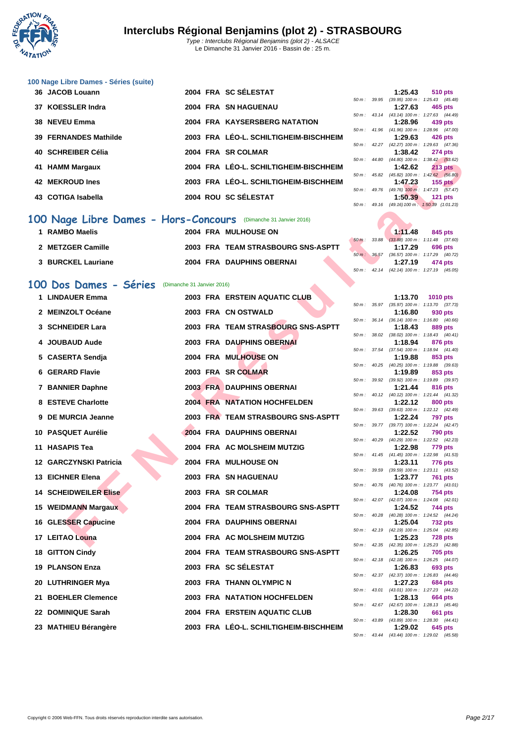

|    | 36 JACOB Louann       |  | 2004 FRA SC SÉLESTAT                   |                        |       | 1:25.43                                     | <b>510 pts</b> |
|----|-----------------------|--|----------------------------------------|------------------------|-------|---------------------------------------------|----------------|
|    |                       |  |                                        | 50 m: 39.95            |       | $(39.95)$ 100 m : 1:25.43 $(45.$            |                |
|    | 37 KOESSLER Indra     |  | 2004 FRA SN HAGUENAU                   |                        |       | 1:27.63                                     | 465 pts        |
|    |                       |  |                                        | $50 m$ : $43.14$       |       | (43.14) 100 m : 1:27.63 (44.                |                |
|    | 38 NEVEU Emma         |  | 2004 FRA KAYSERSBERG NATATION          |                        |       | 1:28.96                                     | 439 pts        |
|    |                       |  |                                        | $50 \text{ m}$ : 41.96 |       | (41.96) 100 m : 1:28.96 (47.                |                |
|    | 39 FERNANDES Mathilde |  | 2003 FRA LÉO-L. SCHILTIGHEIM-BISCHHEIM |                        |       | 1:29.63                                     | 426 pts        |
|    |                       |  |                                        | $50 m$ : $42.27$       |       | $(42.27)$ 100 m : 1:29.63 (47.              |                |
|    | 40 SCHREIBER Célia    |  | 2004 FRA SR COLMAR                     |                        |       | 1:38.42                                     | <b>274 pts</b> |
|    |                       |  |                                        | $50 \text{ m}$ : 44.80 |       | $(44.80)$ 100 m : 1:38.42 (53.              |                |
|    | 41 HAMM Margaux       |  | 2004 FRA LÉO-L. SCHILTIGHEIM-BISCHHEIM |                        |       | 1:42.62                                     | <b>213 pts</b> |
| 42 | <b>MEKROUD Ines</b>   |  | 2003 FRA LÉO-L. SCHILTIGHEIM-BISCHHEIM | 50 m: 45.82            |       | $(45.82)$ 100 m : 1:42.62 (56.8)<br>1:47.23 | $155$ pts      |
|    |                       |  |                                        | 50 m :                 | 49.76 | $(49.76)$ 100 m : 1:47.23 (57.              |                |
|    | 43 COTIGA Isabella    |  | 2004 ROU SC SÉLESTAT                   |                        |       | 1:50.39                                     | <b>121 pts</b> |
|    |                       |  |                                        | $50 \text{ m}$ : 49.16 |       | (49.16) 100 m: 1:50.39 (1:01.               |                |

## 100 Nage Libre Dames - Hors-Concours (Dimanche 31 Janvier 2016)

| 1 RAMBO Maelis     | 2004 FRA MULHOUSE ON               | 1:11.48                                                                                         | 845 pts |
|--------------------|------------------------------------|-------------------------------------------------------------------------------------------------|---------|
|                    |                                    | 50 m: 33.88 (33.88) 100 m: 1:11.48 (37.6)                                                       |         |
| 2 METZGER Camille  | 2003 FRA TEAM STRASBOURG SNS-ASPTT | 1:17.29                                                                                         | 696 pts |
|                    |                                    | 50 m : 36.57 (36.57) 100 m : 1:17.29 (40.                                                       |         |
| 3 BURCKEL Lauriane | 2004 FRA DAUPHINS OBERNAI          | 1:27.19                                                                                         | 474 pts |
|                    |                                    | $50 \text{ m}$ $12 \text{ 14}$ $(12 \text{ 14})$ $100 \text{ m}$ $1 \cdot 27 \text{ 10}$ $(15)$ |         |

### **100 Dos Dames - Séries** (Dimanche 31 Janvier 2016)

| <b>UUIINLIDLIN UUII</b>                                        |  |                                        |             |                  | 1.30.74 | $21 + \mu s$                                                 |
|----------------------------------------------------------------|--|----------------------------------------|-------------|------------------|---------|--------------------------------------------------------------|
| 41 HAMM Margaux                                                |  | 2004 FRA LÉO-L. SCHILTIGHEIM-BISCHHEIM |             |                  | 1:42.62 | 50 m: 44.80 (44.80) 100 m: 1:38.42 (53.62)<br><b>213 pts</b> |
| <b>42 MEKROUD Ines</b>                                         |  | 2003 FRA LÉO-L. SCHILTIGHEIM-BISCHHEIM |             |                  | 1:47.23 | 50 m: 45.82 (45.82) 100 m: 1:42.62 (56.80)<br>$155$ pts      |
|                                                                |  |                                        |             |                  |         | 50 m: 49.76 (49.76) 100 m: 1:47.23 (57.47)                   |
| 43 COTIGA Isabella                                             |  | 2004 ROU SC SÉLESTAT                   |             |                  | 1:50.39 | $121$ pts<br>50 m: 49.16 (49.16) 100 m: 1:50.39 (1:01.23)    |
| 00 Nage Libre Dames - Hors-Concours (Dimanche 31 Janvier 2016) |  |                                        |             |                  |         |                                                              |
| 1 RAMBO Maelis                                                 |  | 2004 FRA MULHOUSE ON                   |             |                  | 1:11.48 | 845 pts                                                      |
| 2 METZGER Camille                                              |  | 2003 FRA TEAM STRASBOURG SNS-ASPTT     | 50 m: 33.88 |                  | 1:17.29 | $(33.88)$ 100 m : 1:11.48 $(37.60)$<br>696 pts               |
| <b>3 BURCKEL Lauriane</b>                                      |  | 2004 FRA DAUPHINS OBERNAI              |             | $50 m$ : 36.57   | 1:27.19 | $(36.57)$ 100 m : 1:17.29 $(40.72)$<br>474 pts               |
|                                                                |  |                                        |             | $50 m$ : 42.14   |         | $(42.14)$ 100 m : 1:27.19 $(45.05)$                          |
| 00 Dos Dames - Séries (Dimanche 31 Janvier 2016)               |  |                                        |             |                  |         |                                                              |
| 1 LINDAUER Emma                                                |  | 2003 FRA ERSTEIN AQUATIC CLUB          |             |                  | 1:13.70 | <b>1010 pts</b>                                              |
| 2 MEINZOLT Océane                                              |  | 2003 FRA CN OSTWALD                    |             |                  | 1:16.80 | 50 m: 35.97 (35.97) 100 m: 1:13.70 (37.73)<br>930 pts        |
|                                                                |  |                                        |             | $50 m$ : $36.14$ |         | $(36.14)$ 100 m : 1:16.80 $(40.66)$                          |
| 3 SCHNEIDER Lara                                               |  | 2003 FRA TEAM STRASBOURG SNS-ASPTT     |             | 50 m : 38.02     | 1:18.43 | 889 pts<br>$(38.02)$ 100 m : 1:18.43 $(40.41)$               |
| 4 JOUBAUD Aude                                                 |  | 2003 FRA DAUPHINS OBERNAI              |             |                  | 1:18.94 | 876 pts<br>50 m: 37.54 (37.54) 100 m: 1:18.94 (41.40)        |
| 5 CASERTA Sendja                                               |  | 2004 FRA MULHOUSE ON                   |             |                  | 1:19.88 | 853 pts                                                      |
| 6 GERARD Flavie                                                |  | 2003 FRA SR COLMAR                     | 50 m :      |                  | 1:19.89 | 40.25 (40.25) 100 m: 1:19.88 (39.63)<br>853 pts              |
| 7 BANNIER Daphne                                               |  | 2003 FRA DAUPHINS OBERNAI              |             | 50 m : 39.92     | 1:21.44 | (39.92) 100 m: 1:19.89 (39.97)<br>816 pts                    |
|                                                                |  |                                        |             |                  |         | 50 m: 40.12 (40.12) 100 m: 1:21.44 (41.32)                   |
| 8 ESTEVE Charlotte                                             |  | 2004 FRA NATATION HOCHFELDEN           |             |                  | 1:22.12 | 800 pts<br>50 m: 39.63 (39.63) 100 m: 1:22.12 (42.49)        |
| 9 DE MURCIA Jeanne                                             |  | 2003 FRA TEAM STRASBOURG SNS-ASPTT     |             |                  | 1:22.24 | 797 pts                                                      |
| 10 PASQUET Aurélie                                             |  | 2004 FRA DAUPHINS OBERNAI              |             |                  | 1:22.52 | 50 m: 39.77 (39.77) 100 m: 1:22.24 (42.47)<br><b>790 pts</b> |
| 11 HASAPIS Tea                                                 |  | 2004 FRA AC MOLSHEIM MUTZIG            |             |                  | 1:22.98 | 50 m: 40.29 (40.29) 100 m: 1:22.52 (42.23)<br>779 pts        |
|                                                                |  |                                        |             |                  |         | 50 m: 41.45 (41.45) 100 m: 1:22.98 (41.53)                   |
| 12 GARCZYNSKI Patricia                                         |  | 2004 FRA MULHOUSE ON                   | 50 m :      | 39.59            | 1:23.11 | 776 pts<br>$(39.59)$ 100 m : 1:23.11 $(43.52)$               |
| 13 EICHNER Elena                                               |  | 2003 FRA SN HAGUENAU                   |             |                  | 1:23.77 | 761 pts<br>50 m: 40.76 (40.76) 100 m: 1:23.77 (43.01)        |
| <b>14 SCHEIDWEILER Elise</b>                                   |  | 2003 FRA SR COLMAR                     |             |                  | 1:24.08 | <b>754 pts</b>                                               |
| 15 WEIDMANN Margaux                                            |  | 2004 FRA TEAM STRASBOURG SNS-ASPTT     |             |                  | 1:24.52 | 50 m: 42.07 (42.07) 100 m: 1:24.08 (42.01)<br>744 pts        |
| 16 GLESSER Capucine                                            |  | 2004 FRA DAUPHINS OBERNAI              | 50 m :      | 40.28            | 1:25.04 | (40.28) 100 m: 1:24.52 (44.24)<br><b>732 pts</b>             |
|                                                                |  |                                        |             |                  |         | 50 m: 42.19 (42.19) 100 m: 1:25.04 (42.85)                   |
| 17 LEITAO Louna                                                |  | 2004 FRA AC MOLSHEIM MUTZIG            |             |                  | 1:25.23 | <b>728 pts</b><br>50 m: 42.35 (42.35) 100 m: 1:25.23 (42.88) |
| <b>18 GITTON Cindy</b>                                         |  | 2004 FRA TEAM STRASBOURG SNS-ASPTT     |             |                  | 1:26.25 | <b>705 pts</b><br>50 m: 42.18 (42.18) 100 m: 1:26.25 (44.07) |
| <b>19 PLANSON Enza</b>                                         |  | 2003 FRA SC SÉLESTAT                   |             |                  | 1:26.83 | 693 pts                                                      |
| 20 LUTHRINGER Mya                                              |  | 2003 FRA THANN OLYMPIC N               |             |                  | 1:27.23 | 50 m: 42.37 (42.37) 100 m: 1:26.83 (44.46)<br>684 pts        |
| 21 BOEHLER Clemence                                            |  | <b>2003 FRA NATATION HOCHFELDEN</b>    |             |                  | 1:28.13 | 50 m: 43.01 (43.01) 100 m: 1:27.23 (44.22)<br>664 pts        |
|                                                                |  |                                        |             |                  |         | 50 m: 42.67 (42.67) 100 m: 1:28.13 (45.46)                   |
| 22 DOMINIQUE Sarah                                             |  | 2004 FRA ERSTEIN AQUATIC CLUB          |             |                  | 1:28.30 | 661 pts<br>50 m: 43.89 (43.89) 100 m: 1:28.30 (44.41)        |
| 23 MATHIEU Bérangère                                           |  | 2003 FRA LÉO-L. SCHILTIGHEIM-BISCHHEIM |             |                  | 1:29.02 | 645 pts                                                      |

|                        |              | 1:25.43           | 510 pts                        |
|------------------------|--------------|-------------------|--------------------------------|
| $50m$ :                | 39.95        | $(39.95)$ 100 m : | 1:25.43 (45.48)                |
|                        |              | 1:27.63           | 465 pts                        |
| $50 m$ :               | 43.14        | $(43.14) 100 m$ : | 1:27.63 (44.49)                |
|                        |              | 1:28.96           | 439 pts                        |
|                        | 50 m : 41.96 | $(41.96) 100 m$ : | 1:28.96 (47.00)                |
|                        |              | 1:29.63           | 426 pts                        |
| $50 m$ :               | 42.27        | (42.27) 100 m :   | 1:29.63 (47.36)                |
|                        |              | 1:38.42           | 274 pts                        |
| $50 \text{ m}$ : 44.80 |              | $(44.80)$ 100 m : | $1:38.42$ $(53.62)$            |
|                        |              | 1:42.62           | <b>213 pts</b>                 |
| $50 m$ :               | 45.82        | $(45.82) 100 m$ : | $1:42.62$ $(56.80)$            |
|                        |              |                   | $1:47.23$ $155 \text{ pts}$    |
| $50 m$ :               | 49.76        |                   | (49.76) 100 m: 1:47.23 (57.47) |
|                        |              |                   | 1:50.39 121 pts                |
| $50 m$ : 49.16         |              | $(49.16) 100 m$ : | 1:50.39 (1:01.23)              |
|                        |              |                   |                                |
|                        |              |                   |                                |

|  | $1:11.48$ 845 pts                                     |
|--|-------------------------------------------------------|
|  | $50 \text{ m}$ : 33.88 (33.88) 100 m: 1:11.48 (37.60) |
|  | $1:17.29$ 696 pts                                     |
|  | 50 m: 36.57 (36.57) 100 m: 1:17.29 (40.72)            |
|  | $1:27.19$ 474 pts                                     |
|  | 50 m: 42.14 (42.14) 100 m: 1:27.19 (45.05)            |
|  |                                                       |

|          |       | 1:13.70           | <b>1010 pts</b>    |
|----------|-------|-------------------|--------------------|
| $50 m$ : | 35.97 | $(35.97) 100 m$ : | 1:13.70<br>(37.73) |
|          |       | 1:16.80           | 930 pts            |
| $50 m$ : | 36.14 | $(36.14) 100 m$ : | 1:16.80<br>(40.66) |
|          |       | 1:18.43           | <b>889 pts</b>     |
| $50 m$ : | 38.02 | $(38.02) 100 m$ : | 1:18.43<br>(40.41) |
|          |       | 1:18.94           | <b>876 pts</b>     |
| $50 m$ : | 37.54 | $(37.54) 100 m$ : | 1:18.94<br>(41.40) |
|          |       | 1:19.88           | 853 pts            |
| 50 m :   | 40.25 | $(40.25)$ 100 m : | 1:19.88<br>(39.63) |
|          |       | 1:19.89           | 853 pts            |
| $50 m$ : | 39.92 | $(39.92) 100 m$ : | 1:19.89<br>(39.97) |
|          |       | 1:21.44           | <b>816 pts</b>     |
| $50 m$ : | 40.12 | $(40.12) 100 m$ : | 1:21.44<br>(41.32) |
|          |       | 1:22.12           | <b>800 pts</b>     |
| $50m$ :  | 39.63 | $(39.63) 100 m$ : | 1:22.12<br>(42.49) |
|          |       | 1:22.24           | 797<br>pts         |
| $50 m$ : | 39.77 | $(39.77)$ 100 m : | 1:22.24<br>(42.47) |
|          |       | 1:22.52           | <b>790 pts</b>     |
| $50m$ :  | 40.29 | (40.29) 100 m :   | (42.23)<br>1:22.52 |
|          |       | 1:22.98           | <b>779 pts</b>     |
| $50 m$ : | 41.45 | $(41.45) 100 m$ : | 1:22.98<br>(41.53) |
|          |       | 1:23.11           | <b>776 pts</b>     |
| $50 m$ : | 39.59 | $(39.59) 100 m$ : | 1:23.11<br>(43.52) |
|          |       | 1:23.77           | <b>761 pts</b>     |
| $50 m$ : | 40.76 | $(40.76)$ 100 m : | 1:23.77<br>(43.01) |
|          |       | 1:24.08           | <b>754 pts</b>     |
| $50m$ :  | 42.07 | $(42.07)$ 100 m : | 1:24.08<br>(42.01) |
|          |       | 1:24.52           | 744 pts            |
| $50m$ :  | 40.28 | $(40.28) 100 m$ : | 1:24.52<br>(44.24) |
|          |       | 1:25.04           | <b>732 pts</b>     |
| $50 m$ : | 42.19 | (42.19) 100 m:    | 1:25.04<br>(42.85) |
|          |       | 1:25.23           | <b>728 pts</b>     |
| $50 m$ : | 42.35 | $(42.35) 100 m$ : | 1:25.23<br>(42.88) |
|          |       | 1:26.25           | <b>705 pts</b>     |
| $50 m$ : | 42.18 | $(42.18) 100 m$ : | 1:26.25<br>(44.07) |
|          |       | 1:26.83           | 693 pts            |
| $50 m$ : | 42.37 | $(42.37) 100 m$ : | 1:26.83<br>(44.46) |
|          |       | 1:27.23           | <b>684 pts</b>     |
| $50m$ :  | 43.01 | $(43.01)$ 100 m : | (44.22)<br>1:27.23 |
|          |       | 1:28.13           | <b>664 pts</b>     |
| $50m$ :  | 42.67 | $(42.67) 100 m$ : | 1:28.13<br>(45.46) |
|          |       | 1:28.30           | 661<br>pts         |
| $50 m$ : | 43.89 | $(43.89) 100 m$ : | 1:28.30<br>(44.41) |
|          |       | 1:29.02           | 645 pts            |
| $50 m$ : | 43.44 | $(43.44) 100 m$ : | 1:29.02<br>(45.58) |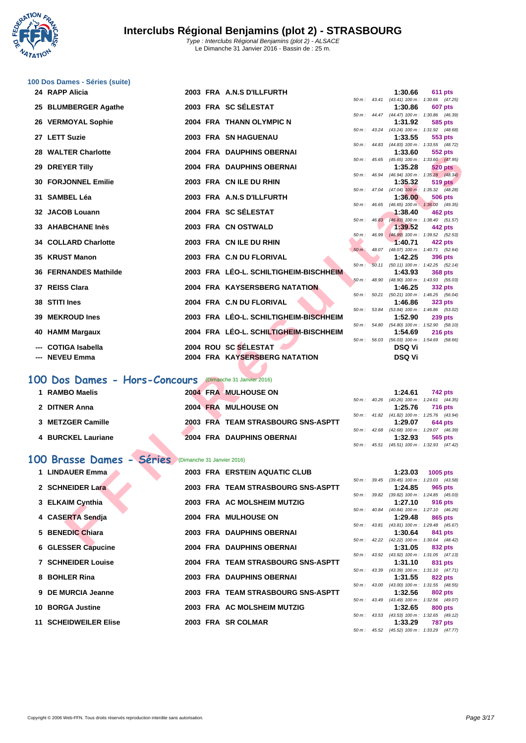**WATATION**  $\cdot$ 

| 100 Dos Dames - Séries (suite)<br>24 RAPP Alicia         |  | 2003 FRA A.N.S D'ILLFURTH              |          |                  | 1:30.66       | 611 pts                                                      |
|----------------------------------------------------------|--|----------------------------------------|----------|------------------|---------------|--------------------------------------------------------------|
|                                                          |  | 2003 FRA SC SÉLESTAT                   |          |                  |               | 50 m: 43.41 (43.41) 100 m: 1:30.66 (47.25)                   |
| 25 BLUMBERGER Agathe                                     |  |                                        |          |                  | 1:30.86       | <b>607 pts</b><br>50 m: 44.47 (44.47) 100 m: 1:30.86 (46.39) |
| 26 VERMOYAL Sophie                                       |  | 2004 FRA THANN OLYMPIC N               |          |                  | 1:31.92       | 585 pts<br>50 m: 43.24 (43.24) 100 m: 1:31.92 (48.68)        |
| 27 LETT Suzie                                            |  | 2003 FRA SN HAGUENAU                   |          |                  | 1:33.55       | 553 pts                                                      |
| 28 WALTER Charlotte                                      |  | 2004 FRA DAUPHINS OBERNAI              |          |                  | 1:33.60       | 50 m: 44.83 (44.83) 100 m: 1:33.55 (48.72)<br>552 pts        |
| 29 DREYER Tilly                                          |  | <b>2004 FRA DAUPHINS OBERNAI</b>       |          |                  | 1:35.28       | 50 m: 45.65 (45.65) 100 m: 1:33.60 (47.95)<br>520 pts        |
|                                                          |  |                                        |          |                  |               | 50 m: 46.94 (46.94) 100 m: 1:35.28 (48.34)                   |
| <b>30 FORJONNEL Emilie</b>                               |  | 2003 FRA CN ILE DU RHIN                |          |                  | 1:35.32       | <b>519 pts</b><br>50 m: 47.04 (47.04) 100 m: 1:35.32 (48.28) |
| 31 SAMBEL Léa                                            |  | 2003 FRA A.N.S D'ILLFURTH              | 50 m :   | 46.65            | 1:36.00       | 506 pts<br>(46.65) 100 m: 1:36.00 (49.35)                    |
| 32 JACOB Louann                                          |  | 2004 FRA SC SELESTAT                   |          |                  | 1:38.40       | 462 pts                                                      |
| 33 AHABCHANE Inès                                        |  | 2003 FRA CN OSTWALD                    |          |                  | 1:39.52       | 50 m: 46.83 (46.83) 100 m: 1:38.40 (51.57)<br>442 pts        |
|                                                          |  |                                        | 50 m :   | 46.99            |               | $(46.99)$ 100 m : 1:39.52 (52.53)                            |
| 34 COLLARD Charlotte                                     |  | 2003 FRA CN ILE DU RHIN                |          |                  | 1:40.71       | 422 pts<br>50 m: 48.07 (48.07) 100 m: 1:40.71 (52.64)        |
| 35 KRUST Manon                                           |  | 2003 FRA C.N DU FLORIVAL               | $50 m$ : | 50.11            | 1:42.25       | 396 pts<br>$(50.11)$ 100 m : 1:42.25 $(52.14)$               |
| <b>36 FERNANDES Mathilde</b>                             |  | 2003 FRA LÉO-L. SCHILTIGHEIM-BISCHHEIM |          |                  | 1:43.93       | <b>368 pts</b>                                               |
| 37 REISS Clara                                           |  | 2004 FRA KAYSERSBERG NATATION          |          | 50 m : 48.90     | 1:46.25       | $(48.90)$ 100 m : 1:43.93 (55.03)<br>332 pts                 |
| 38 STITI Ines                                            |  | 2004 FRA C.N DU FLORIVAL               | 50 m :   |                  |               | 50.21 (50.21) 100 m: 1:46.25 (56.04)                         |
|                                                          |  |                                        |          |                  | 1:46.86       | <b>323 pts</b><br>50 m: 53.84 (53.84) 100 m: 1:46.86 (53.02) |
| 39 MEKROUD Ines                                          |  | 2003 FRA LÉO-L. SCHILTIGHEIM-BISCHHEIM |          |                  | 1:52.90       | <b>239 pts</b><br>50 m: 54.80 (54.80) 100 m: 1:52.90 (58.10) |
| <b>HAMM Margaux</b><br>40                                |  | 2004 FRA LÉO-L. SCHILTIGHEIM-BISCHHEIM |          |                  | 1:54.69       | <b>216 pts</b>                                               |
| <b>COTIGA Isabella</b>                                   |  | 2004 ROU SC SELESTAT                   |          |                  | <b>DSQ Vi</b> | 50 m: 56.03 (56.03) 100 m: 1:54.69 (58.66)                   |
| --- NEVEU Emma                                           |  | 2004 FRA KAYSERSBERG NATATION          |          |                  | DSQ Vi        |                                                              |
| 100 Dos Dames - Hors-Concours (Dimanche 31 Janvier 2016) |  |                                        |          |                  |               |                                                              |
| 1 RAMBO Maelis                                           |  | 2004 FRA MULHOUSE ON                   |          |                  | 1:24.61       | 742 pts                                                      |
| 2 DITNER Anna                                            |  | 2004 FRA MULHOUSE ON                   |          |                  | 1:25.76       | 50 m: 40.26 (40.26) 100 m: 1:24.61 (44.35)<br><b>716 pts</b> |
|                                                          |  |                                        |          |                  |               | 50 m: 41.82 (41.82) 100 m: 1:25.76 (43.94)                   |
| 3 METZGER Camille                                        |  | 2003 FRA TEAM STRASBOURG SNS-ASPTT     |          |                  | 1:29.07       | 644 pts<br>50 m: 42.68 (42.68) 100 m: 1:29.07 (46.39)        |
| <b>4 BURCKEL Lauriane</b>                                |  | 2004 FRA DAUPHINS OBERNAI              |          |                  | 1:32.93       | 565 pts                                                      |
|                                                          |  |                                        |          | $50 m$ : $45.51$ |               | $(45.51)$ 100 m : 1:32.93 $(47.42)$                          |
| 100 Brasse Dames - Séries (Dimanche 31 Janvier 2016)     |  |                                        |          |                  |               |                                                              |
| <b>LINDAUER Emma</b>                                     |  | 2003 FRA ERSTEIN AQUATIC CLUB          |          |                  | 1:23.03       | 1005 pts<br>50 m: 39.45 (39.45) 100 m: 1:23.03 (43.58)       |
| 2 SCHNEIDER Lara                                         |  | 2003 FRA TEAM STRASBOURG SNS-ASPTT     |          |                  | 1:24.85       | 965 pts                                                      |
| 3 ELKAIM Cynthia                                         |  | 2003 FRA AC MOLSHEIM MUTZIG            |          | 50 m : 39.82     | 1:27.10       | $(39.82)$ 100 m : 1:24.85 $(45.03)$<br>916 pts               |
|                                                          |  |                                        |          |                  |               | 50 m: 40.84 (40.84) 100 m: 1:27.10 (46.26)                   |
| <b>CASERTA Sendja</b><br>4                               |  | 2004 FRA MULHOUSE ON                   |          |                  | 1:29.48       | 865 pts<br>50 m: 43.81 (43.81) 100 m: 1:29.48 (45.67)        |
| 5 BENEDIC Chiara                                         |  | 2003 FRA DAUPHINS OBERNAI              |          |                  | 1:30.64       | 841 pts<br>50 m: 42.22 (42.22) 100 m: 1:30.64 (48.42)        |
| <b>FOOFD OF A</b>                                        |  | 2004 EDA DAUBLING OBERNAL              |          |                  | 4.94 AE       |                                                              |

# **100 Dos Dames - Hors-Concours** (Dimanche 31 Janvier 2016)

| 1 RAMBO Maelis     | 2004 FRA MULHOUSE ON               |  | 1:24.61                                            | <b>742 pts</b> |
|--------------------|------------------------------------|--|----------------------------------------------------|----------------|
| 2 DITNER Anna      | 2004 FRA MULHOUSE ON               |  | 50 m: 40.26 (40.26) 100 m: 1:24.61 (44.<br>1:25.76 | <b>716 pts</b> |
| 3 METZGER Camille  | 2003 FRA TEAM STRASBOURG SNS-ASPTT |  | 50 m: 41.82 (41.82) 100 m: 1:25.76 (43.<br>1:29.07 | 644 pts        |
| 4 BURCKEL Lauriane | <b>2004 FRA DAUPHINS OBERNAI</b>   |  | 50 m: 42.68 (42.68) 100 m: 1:29.07 (46.<br>1:32.93 | 565 pts        |

## **100 Brasse Dames - Séries** (Dimanche 31 Janvier 2016)

| 1 LINDAUER Emma              |  | 2003 FRA ERSTEIN AQUATIC CLUB      |                        | 1:23.03                                        | 1005 pts |         |
|------------------------------|--|------------------------------------|------------------------|------------------------------------------------|----------|---------|
| 2 SCHNEIDER Lara             |  | 2003 FRA TEAM STRASBOURG SNS-ASPTT | $50 \text{ m}$ : 39.45 | $(39.45)$ 100 m : 1:23.03 $(43.$<br>1:24.85    |          | 965 pts |
| 3 ELKAIM Cynthia             |  | 2003 FRA AC MOLSHEIM MUTZIG        | $50 \text{ m}$ : 39.82 | $(39.82)$ 100 m : 1:24.85 $(45.$<br>1:27.10    |          | 916 pts |
| 4 CASERTA Sendia             |  | 2004 FRA MULHOUSE ON               | 50 m : 40.84           | $(40.84)$ 100 m : 1:27.10 $(46.1)$<br>1:29.48  |          | 865 pts |
| 5 BENEDIC Chiara             |  | 2003 FRA DAUPHINS OBERNAI          | $50 m$ : $43.81$       | (43.81) 100 m: 1:29.48 (45.<br>1:30.64         | 841 pts  |         |
| 6 GLESSER Capucine           |  | 2004 FRA DAUPHINS OBERNAI          | $50 m$ : 42.22         | $(42.22)$ 100 m : 1:30.64 $(48.$<br>1:31.05    |          | 832 pts |
| <b>7 SCHNEIDER Louise</b>    |  | 2004 FRA TEAM STRASBOURG SNS-ASPTT | $50 m$ : $43.92$       | (43.92) 100 m: 1:31.05 (47.<br>1:31.10         |          | 831 pts |
| 8 BOHLER Rina                |  | 2003 FRA DAUPHINS OBERNAI          | $50 \text{ m}$ : 43.39 | $(43.39)$ 100 m : 1:31.10 $(47.$<br>1:31.55    |          | 822 pts |
| 9 DE MURCIA Jeanne           |  | 2003 FRA TEAM STRASBOURG SNS-ASPTT | 50 m: 43.00            | $(43.00)$ 100 m : 1:31.55 $(48.00)$<br>1:32.56 |          | 802 pts |
| 10 BORGA Justine             |  | 2003 FRA AC MOLSHEIM MUTZIG        | 50 m: 43.49            | $(43.49)$ 100 m : 1:32.56 (49.<br>1:32.65      |          |         |
|                              |  |                                    | 50 m: 43.53            | $(43.53)$ 100 m : 1:32.65 (49.                 |          | 800 pts |
| <b>11 SCHEIDWEILER Elise</b> |  | 2003 FRA SR COLMAR                 |                        | 1:33.29                                        |          | 787 pts |

|          |       | 1:30.66           | 611 pts             |
|----------|-------|-------------------|---------------------|
| 50 m :   | 43.41 | $(43.41)$ 100 m : | 1:30.66 (47.25)     |
|          |       | 1:30.86           | 607 pts             |
| 50 m :   | 44.47 | $(44.47) 100 m$ : | 1:30.86<br>(46.39)  |
|          |       | 1:31.92           | 585 pts             |
| 50 m :   | 43.24 | $(43.24)$ 100 m : | 1:31.92<br>(48.68)  |
|          |       | 1:33.55           | 553 pts             |
| 50 m :   | 44.83 | $(44.83) 100 m$ : | 1:33.55<br>(48.72)  |
|          |       | 1:33.60           | 552 pts             |
| 50 m :   | 45.65 | $(45.65)$ 100 m : | 1:33.60 (47.95)     |
|          |       | 1:35.28           | <b>520 pts</b>      |
| 50 m :   | 46.94 | $(46.94)$ 100 m : | $1:35.28$ $(48.34)$ |
|          |       | 1:35.32           | 519 pts             |
| 50 m :   | 47.04 | $(47.04)$ 100 m:  | 1:35.32<br>(48.28)  |
|          |       | 1:36.00           | <b>506 pts</b>      |
| 50 m :   | 46.65 | $(46.65)$ 100 m:  | 1:36.00<br>(49.35)  |
|          |       | 1:38.40           | <b>462 pts</b>      |
| 50 m :   | 46.83 | $(46.83)$ 100 m : | 1:38.40<br>(51.57)  |
|          |       | 1:39.52           | 442 pts             |
| 50 m :   | 46.99 | $(46.99)$ 100 m : | 1:39.52<br>(52.53)  |
|          |       | 1:40.71           | 422 pts             |
| $50 m$ : | 48.07 | $(48.07)$ 100 m : | 1:40.71<br>(52.64)  |
|          |       | 1:42.25           | 396 pts             |
| 50 m :   | 50.11 | $(50.11)$ 100 m : | 1:42.25<br>(52.14)  |
|          |       | 1:43.93           | 368 pts             |
| 50 m :   | 48.90 | $(48.90)$ 100 m : | 1:43.93<br>(55.03)  |
|          |       | 1:46.25           | 332 pts             |
| $50 m$ : | 50.21 | $(50.21)$ 100 m : | 1:46.25<br>(56.04)  |
|          |       | 1:46.86           | 323 pts             |
| 50 m :   | 53.84 | $(53.84) 100 m$ : | 1:46.86<br>(53.02)  |
|          |       | 1:52.90           | <b>239 pts</b>      |
| 50 m :   | 54.80 | $(54.80)$ 100 m : | 1:52.90<br>(58.10)  |
|          |       | 1:54.69           | 216 pts             |
| $50 m$ : | 56.03 | $(56.03)$ 100 m : | 1:54.69<br>(58.66)  |
|          |       | DSQ Vi            |                     |
|          |       | DSQ Vi            |                     |
|          |       |                   |                     |
|          |       |                   |                     |

|  | $1:24.61$ 742 pts                          |
|--|--------------------------------------------|
|  | 50 m: 40.26 (40.26) 100 m: 1:24.61 (44.35) |
|  | 1:25.76 716 pts                            |
|  | 50 m: 41.82 (41.82) 100 m: 1:25.76 (43.94) |
|  | $1:29.07$ 644 pts                          |
|  | 50 m: 42.68 (42.68) 100 m: 1:29.07 (46.39) |
|  | $1:32.93$ 565 pts                          |
|  | 50 m: 45.51 (45.51) 100 m: 1:32.93 (47.42) |

|              |                  | 1:23.03 | 1005 pts                                   |
|--------------|------------------|---------|--------------------------------------------|
|              | 50 m: 39.45      |         | $(39.45)$ 100 m : 1:23.03 $(43.58)$        |
|              |                  |         | $1:24.85$ 965 pts                          |
| 50 m : 39.82 |                  |         | (39.82) 100 m: 1:24.85 (45.03)             |
|              |                  | 1:27.10 | 916 pts                                    |
|              | 50 m: 40.84      |         | (40.84) 100 m: 1:27.10 (46.26)             |
|              |                  |         | 1:29.48 865 pts                            |
|              | 50 m : 43.81     |         | (43.81) 100 m: 1:29.48 (45.67)             |
|              |                  | 1:30.64 | 841 pts                                    |
|              | 50 m: 42.22      |         | $(42.22)$ 100 m : 1:30.64 $(48.42)$        |
|              |                  |         | $1:31.05$ 832 pts                          |
|              | 50 m : 43.92     |         | $(43.92)$ 100 m : 1:31.05 $(47.13)$        |
|              |                  |         | $1:31.10$ 831 pts                          |
| 50 m: 43.39  |                  |         | $(43.39)$ 100 m : 1:31.10 $(47.71)$        |
|              |                  |         | $1:31.55$ 822 pts                          |
| 50 m: 43.00  |                  |         | $(43.00)$ 100 m : 1:31.55 $(48.55)$        |
|              |                  | 1:32.56 | <b>802 pts</b>                             |
|              | 50 m : 43.49     |         | $(43.49)$ 100 m : 1:32.56 $(49.07)$        |
|              |                  |         | $1:32.65$ 800 pts                          |
|              |                  |         | 50 m: 43.53 (43.53) 100 m: 1:32.65 (49.12) |
|              |                  |         | 1:33.29 787 pts                            |
|              | $50 m$ : $45.52$ |         | (45.52) 100 m: 1:33.29 (47.77)             |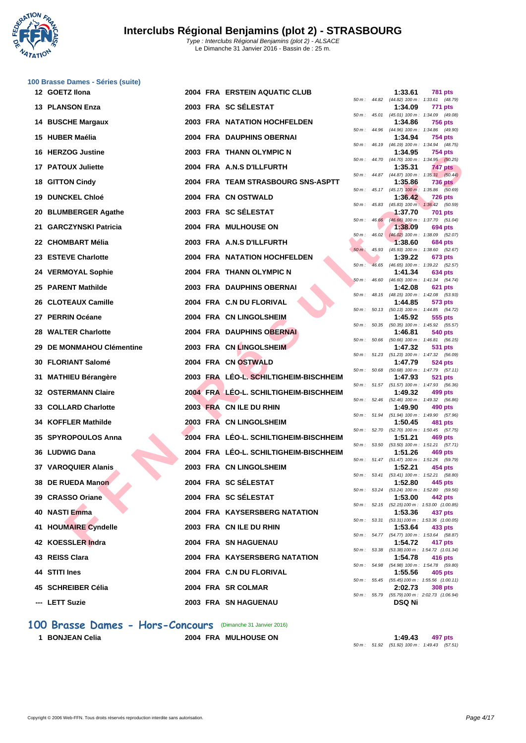**WATATION**  $\cdot$ 

| 100 Brasse Dames - Séries (suite) |  |                                        |          |                |                                    |                                                              |
|-----------------------------------|--|----------------------------------------|----------|----------------|------------------------------------|--------------------------------------------------------------|
| 12 GOETZ Ilona                    |  | <b>2004 FRA ERSTEIN AQUATIC CLUB</b>   |          |                | 1:33.61                            | 781 pts<br>50 m: 44.82 (44.82) 100 m: 1:33.61 (48.79)        |
| 13 PLANSON Enza                   |  | 2003 FRA SC SÉLESTAT                   |          |                | 1:34.09                            | <b>771 pts</b><br>50 m: 45.01 (45.01) 100 m: 1:34.09 (49.08) |
| <b>14 BUSCHE Margaux</b>          |  | <b>2003 FRA NATATION HOCHFELDEN</b>    |          |                | 1:34.86                            | <b>756 pts</b>                                               |
| 15 HUBER Maélia                   |  | 2004 FRA DAUPHINS OBERNAI              |          |                | 1:34.94                            | 50 m: 44.96 (44.96) 100 m: 1:34.86 (49.90)<br>754 pts        |
| 16 HERZOG Justine                 |  | 2003 FRA THANN OLYMPIC N               |          | 50 m : 46.19   | 1:34.95                            | (46.19) 100 m: 1:34.94 (48.75)<br>754 pts                    |
| 17 PATOUX Juliette                |  | 2004 FRA A.N.S D'ILLFURTH              |          |                | 1:35.31                            | 50 m: 44.70 (44.70) 100 m: 1:34.95 (50.25)<br>747 pts        |
| 18 GITTON Cindy                   |  | 2004 FRA TEAM STRASBOURG SNS-ASPTT     |          |                | 1:35.86                            | 50 m: 44.87 (44.87) 100 m: 1:35.31 (50.44)<br>736 pts        |
| <b>19 DUNCKEL Chloé</b>           |  | 2004 FRA CN OSTWALD                    |          |                | 1:36.42                            | 50 m: 45.17 (45.17) 100 m: 1:35.86 (50.69)<br><b>726 pts</b> |
| 20 BLUMBERGER Agathe              |  | 2003 FRA SC SÉLESTAT                   | 50 m :   | 45.83          | 1:37.70                            | $(45.83)$ 100 m : 1:36.42 (50.59)<br>701 pts                 |
| 21 GARCZYNSKI Patricia            |  | 2004 FRA MULHOUSE ON                   |          | $50 m$ : 46.66 | 1:38.09                            | (46.66) 100 m: 1:37.70 (51.04)<br>694 pts                    |
| 22 CHOMBART Mélia                 |  | 2003 FRA A.N.S D'ILLFURTH              | 50 m :   | 46.02          | 1:38.60                            | $(46.02)$ 100 m : 1:38.09 (52.07)<br>684 pts                 |
| 23 ESTEVE Charlotte               |  | <b>2004 FRA NATATION HOCHFELDEN</b>    | $50 m$ : | 45.93          | 1:39.22                            | (45.93) 100 m: 1:38.60 (52.67)                               |
|                                   |  |                                        | $50 m$ : |                |                                    | 673 pts<br>46.65 (46.65) 100 m : 1:39.22 (52.57)             |
| 24 VERMOYAL Sophie                |  | 2004 FRA THANN OLYMPIC N               | $50 m$ : | 46.60          | 1:41.34                            | 634 pts<br>(46.60) 100 m: 1:41.34 (54.74)                    |
| 25 PARENT Mathilde                |  | 2003 FRA DAUPHINS OBERNAI              |          |                | 1:42.08                            | 621 pts<br>50 m: 48.15 (48.15) 100 m: 1:42.08 (53.93)        |
| 26 CLOTEAUX Camille               |  | 2004 FRA C.N DU FLORIVAL               |          |                | 1:44.85                            | 573 pts<br>50 m: 50.13 (50.13) 100 m: 1:44.85 (54.72)        |
| 27 PERRIN Océane                  |  | 2004 FRA CN LINGOLSHEIM                |          | 50 m : 50.35   | 1:45.92                            | 555 pts<br>(50.35) 100 m: 1:45.92 (55.57)                    |
| 28 WALTER Charlotte               |  | 2004 FRA DAUPHINS OBERNAI              | 50 m :   | 50.66          | 1:46.81                            | 540 pts<br>(50.66) 100 m: 1:46.81 (56.15)                    |
| 29 DE MONMAHOU Clémentine         |  | 2003 FRA CN LINGOLSHEIM                |          |                | 1:47.32                            | 531 pts<br>50 m: 51.23 (51.23) 100 m: 1:47.32 (56.09)        |
| 30 FLORIANT Salomé                |  | 2004 FRA CN OSTWALD                    |          |                | 1:47.79                            | 524 pts                                                      |
| 31 MATHIEU Bérangère              |  | 2003 FRA LEO-L. SCHILTIGHEIM-BISCHHEIM |          |                | 1:47.93                            | 50 m: 50.68 (50.68) 100 m: 1:47.79 (57.11)<br><b>521 pts</b> |
| <b>32 OSTERMANN Claire</b>        |  | 2004 FRA LÉO-L. SCHILTIGHEIM-BISCHHEIM |          |                | 1:49.32                            | 50 m: 51.57 (51.57) 100 m: 1:47.93 (56.36)<br>499 pts        |
| 33 COLLARD Charlotte              |  | 2003 FRA CN ILE DU RHIN                |          |                | 1:49.90                            | 50 m: 52.46 (52.46) 100 m: 1:49.32 (56.86)<br>490 pts        |
| 34 KOFFLER Mathilde               |  | 2003 FRA CN LINGOLSHEIM                | 50 m :   | 51.94          | (51.94) 100 m : 1:49.90<br>1:50.45 | (57.96)<br>481 pts                                           |
| 35 SPYROPOULOS Anna               |  | 2004 FRA LEO-L. SCHILTIGHEIM-BISCHHEIM |          | 50 m : 52.70   | 1:51.21                            | $(52.70)$ 100 m : 1:50.45 $(57.75)$<br>469 pts               |
| 36 LUDWIG Dana                    |  | 2004 FRA LEO-L. SCHILTIGHEIM-BISCHHEIM |          |                | 1:51.26                            | 50 m: 53.50 (53.50) 100 m: 1:51.21 (57.71)<br>469 pts        |
| <b>37 VAROQUIER Alanis</b>        |  | 2003 FRA CN LINGOLSHEIM                |          |                | 1:52.21                            | 50 m: 51.47 (51.47) 100 m: 1:51.26 (59.79)<br>454 pts        |
| 38 DE RUEDA Manon                 |  | 2004 FRA SC SÉLESTAT                   |          |                | 1:52.80                            | 50 m: 53.41 (53.41) 100 m: 1:52.21 (58.80)<br>445 pts        |
| 39 CRASSO Oriane                  |  | 2004 FRA SC SÉLESTAT                   |          |                | 1:53.00                            | 50 m: 53.24 (53.24) 100 m: 1:52.80 (59.56)<br>442 pts        |
| 40 NASTI Emma                     |  | 2004 FRA KAYSERSBERG NATATION          |          |                | 1:53.36                            | 50 m: 52.15 (52.15) 100 m: 1:53.00 (1:00.85)<br>437 pts      |
| 41 HOUMAIRE Cyndelle              |  | 2003 FRA CN ILE DU RHIN                |          |                | 1:53.64                            | 50 m: 53.31 (53.31) 100 m: 1:53.36 (1:00.05)<br>433 pts      |
| 42 KOESSLER Indra                 |  | 2004 FRA SN HAGUENAU                   |          |                | 1:54.72                            | 50 m: 54.77 (54.77) 100 m: 1:53.64 (58.87)<br>417 pts        |
| 43 REISS Clara                    |  | 2004 FRA KAYSERSBERG NATATION          |          |                | 1:54.78                            | 50 m: 53.38 (53.38) 100 m: 1:54.72 (1:01.34)<br>416 pts      |
|                                   |  |                                        |          |                |                                    | 50 m: 54.98 (54.98) 100 m: 1:54.78 (59.80)                   |
| 44 STITI Ines                     |  | 2004 FRA C.N DU FLORIVAL               |          |                | 1:55.56                            | 405 pts<br>50 m: 55.45 (55.45) 100 m: 1:55.56 (1:00.11)      |
| 45 SCHREIBER Célia                |  | 2004 FRA SR COLMAR                     |          |                | 2:02.73                            | 308 pts<br>50 m: 55.79 (55.79) 100 m: 2:02.73 (1:06.94)      |
| --- LETT Suzie                    |  | <b>2003 FRA SN HAGUENAU</b>            |          |                | DSQ Ni                             |                                                              |

|          |       | 1:33.61                      | 781 pts                              |
|----------|-------|------------------------------|--------------------------------------|
| $50 m$ : | 44.82 | $(44.82) 100 m$ :            | 1:33.61<br>(48.79)                   |
|          |       | 1:34.09                      | 771<br>pts                           |
| $50 m$ : | 45.01 | $(45.01)$ 100 m :            | 1:34.09<br>(49.08)                   |
|          | 44.96 | 1:34.86<br>(44.96) 100 m :   | 756<br>pts                           |
| 50 m :   |       | 1:34.94                      | 1:34.86<br>(49.90)<br>754 pts        |
| 50 m :   | 46.19 | $(46.19) 100 m$ :            | 1:34.94<br>(48.75)                   |
|          |       | 1:34.95                      | 754 pts                              |
| $50 m$ : | 44.70 | (44.70) 100 m :              | (50.25)<br>1:34.95                   |
|          |       | 1:35.31                      | <b>747 pts</b>                       |
| 50 m :   | 44.87 | (44.87) 100 m :              | 1:35.31<br>(50.44)                   |
|          |       | 1:35.86                      | <b>736 pts</b>                       |
| 50 m :   | 45.17 | $(45.17)$ 100 m :            | (50.69)<br>1:35.86                   |
|          |       | 1:36.42                      | <b>726 pts</b>                       |
| 50 m:    | 45.83 | $(45.83) 100 m$ :            | 1:36.42<br>(50.59)                   |
|          |       | 1:37.70                      | 701<br>pts                           |
| 50 m :   | 46.66 | $(46.66) 100 m$ :            | 1:37.70<br>(51.04)                   |
|          |       | 1:38.09                      | <b>694 pts</b>                       |
| 50 m :   | 46.02 | $(46.02)$ 100 m :<br>1:38.60 | 1:38.09<br>(52.07)<br><b>684 pts</b> |
| $50 m$ : | 45.93 | (45.93) 100 m :              | 1:38.60<br>(52.67)                   |
|          |       | 1:39.22                      | 673 pts                              |
| 50 m :   | 46.65 | $(46.65) 100 m$ :            | 1:39.22<br>(52.57)                   |
|          |       | 1:41.34                      | 634 pts                              |
| $50 m$ : | 46.60 | $(46.60) 100 m$ :            | 1:41.34<br>(54.74)                   |
|          |       | 1:42.08                      | 621<br>pts                           |
| 50 m :   | 48.15 | (48.15) 100 m :              | 1:42.08<br>(53.93)                   |
|          |       | 1:44.85                      | 573 pts                              |
| 50 m :   | 50.13 | $(50.13) 100 m$ :            | 1:44.85<br>(54.72)                   |
|          |       | 1:45.92                      | 555<br>pts                           |
| $50 m$ : | 50.35 | $(50.35)$ 100 m :            | 1:45.92<br>(55.57)                   |
| 50 m:    | 50.66 | 1:46.81<br>$(50.66) 100 m$ : | <b>540 pts</b><br>(56.15)<br>1:46.81 |
|          |       | 1:47.32                      | 531<br>pts                           |
| 50 m :   | 51.23 | $(51.23) 100 m$ :            | 1:47.32<br>(56.09)                   |
|          |       | 1:47.79                      | 524 pts                              |
| 50 m :   | 50.68 | $(50.68) 100 m$ :            | 1:47.79<br>(57.11)                   |
|          |       | 1:47.93                      | 521<br>pts                           |
| 50 m:    | 51.57 | $(51.57) 100 m$ :            | 1:47.93<br>(56.36)                   |
|          |       | 1:49.32                      | 499<br>pts                           |
| 50 m :   | 52.46 | $(52.46) 100 m$ :            | (56.86)<br>1:49.32                   |
| 50 m:    | 51.94 | 1:49.90<br>$(51.94) 100 m$ : | 490<br>pts<br>1:49.90<br>(57.96)     |
|          |       | 1:50.45                      | 481<br>pts                           |
| 50 m:    | 52.70 | (52.70) 100 m :              | 1:50.45<br>(57.75)                   |
|          |       | 1:51.21                      | 469 pts                              |
| 50 m :   | 53.50 | $(53.50) 100 m$ :            | 1:51.21<br>(57.71)                   |
|          |       | 1:51.26                      | 469 pts                              |
| $50 m$ : | 51.47 | $(51.47) 100 m$ :            | 1:51.26<br>(59.79)                   |
|          |       | 1:52.21                      | 454 pts                              |
| 50 m:    | 53.41 | $(53.41)$ 100 m :            | 1:52.21<br>(58.80)                   |
|          |       | 1:52.80                      | 445 pts<br>1:52.80                   |
| $50 m$ : | 53.24 | $(53.24) 100 m$ :<br>1:53.00 | (59.56)<br>442 pts                   |
| $50 m$ : | 52.15 | $(52.15) 100 m$ :            | 1:53.00 (1:00.85)                    |
|          |       | 1:53.36                      | 437 pts                              |
| $50 m$ : | 53.31 | $(53.31) 100 m$ :            | 1:53.36 (1:00.05)                    |
|          |       | 1:53.64                      | 433 pts                              |
| $50 m$ : | 54.77 | $(54.77) 100 m$ :            | 1:53.64<br>(58.87)                   |
|          |       | 1:54.72                      | 417 pts                              |
| $50 m$ : | 53.38 | $(53.38) 100 m$ :            | 1:54.72 (1:01.34)                    |
|          |       | 1:54.78                      | 416 pts                              |
| $50 m$ : | 54.98 | $(54.98) 100 m$ :<br>1:55.56 | 1:54.78<br>(59.80)<br>405 pts        |
| $50 m$ : | 55.45 | $(55.45) 100 m$ :            | 1:55.56 (1:00.11)                    |
|          |       | 2:02.73                      | <b>308 pts</b>                       |
| $50 m$ : | 55.79 |                              | (55.79) 100 m : 2:02.73 (1:06.94)    |
|          |       | DSQ Ni                       |                                      |
|          |       |                              |                                      |

### 100 Brasse Dames - Hors-Concours (Dimanche 31 Janvier 2016)

**1 BONJEAN Celia 2004 FRA MULHOUSE ON 1:49.43 497 pts** 50 m : 51.92 (51.92) 100 m : 1:49.43 (57.51)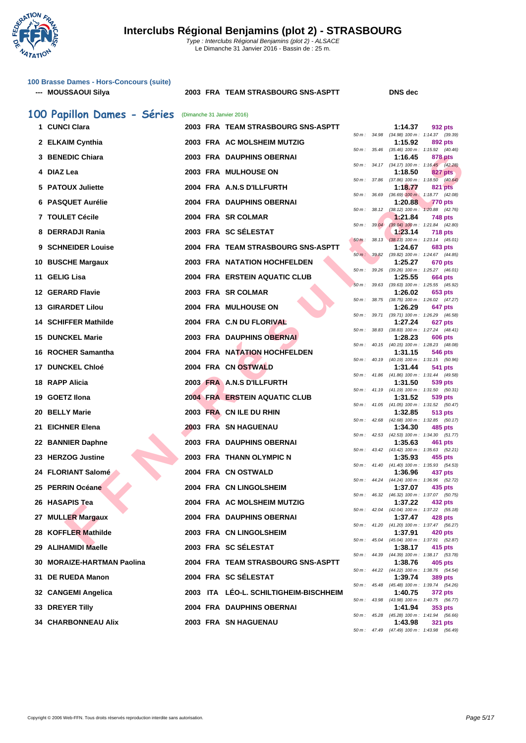

|     | 100 Brasse Dames - Hors-Concours (suite)<br>--- MOUSSAOUI Silya |  | 2003 FRA TEAM STRASBOURG SNS-ASPTT     |          |              | <b>DNS</b> dec                                          |                |
|-----|-----------------------------------------------------------------|--|----------------------------------------|----------|--------------|---------------------------------------------------------|----------------|
|     | 100 Papillon Dames - Séries                                     |  | (Dimanche 31 Janvier 2016)             |          |              |                                                         |                |
|     | 1 CUNCI Clara                                                   |  | 2003 FRA TEAM STRASBOURG SNS-ASPTT     |          |              | 1:14.37                                                 | 932 pts        |
|     | 2 ELKAIM Cynthia                                                |  | 2003 FRA AC MOLSHEIM MUTZIG            |          |              | 50 m: 34.98 (34.98) 100 m: 1:14.37 (39.39)<br>1:15.92   | 892 pts        |
|     | 3 BENEDIC Chiara                                                |  | 2003 FRA DAUPHINS OBERNAI              |          |              | 50 m: 35.46 (35.46) 100 m: 1:15.92 (40.46)<br>1:16.45   | 878 pts        |
|     | 4 DIAZ Lea                                                      |  | <b>2003 FRA MULHOUSE ON</b>            |          |              | 50 m: 34.17 (34.17) 100 m: 1:16.45 (42.28)<br>1:18.50   | 827 pts        |
|     | 5 PATOUX Juliette                                               |  | 2004 FRA A.N.S D'ILLFURTH              |          |              | 50 m: 37.86 (37.86) 100 m: 1:18.50 (40.64)              |                |
|     |                                                                 |  |                                        |          | 50 m : 36.69 | 1:18.77<br>$(36.69)$ 100 m : 1:18.77 $(42.08)$          | 821 pts        |
|     | 6 PASQUET Aurélie                                               |  | 2004 FRA DAUPHINS OBERNAI              | 50 m :   |              | 1:20.88<br>38.12 (38.12) 100 m : 1:20.88 (42.76)        | <b>770 pts</b> |
|     | 7 TOULET Cécile                                                 |  | 2004 FRA SR COLMAR                     | 50 m :   | 39.04        | 1:21.84<br>$(39.04)$ 100 m : 1:21.84 $(42.80)$          | 748 pts        |
|     | 8 DERRADJI Rania                                                |  | 2003 FRA SC SÉLESTAT                   | $50 m$ : |              | 1:23.14<br>38.13 (38.13) 100 m: 1:23.14 (45.01)         | <b>718 pts</b> |
|     | 9 SCHNEIDER Louise                                              |  | 2004 FRA TEAM STRASBOURG SNS-ASPTT     |          | 50 m: 39.82  | 1:24.67<br>(39.82) 100 m: 1:24.67 (44.85)               | 683 pts        |
|     | 10 BUSCHE Margaux                                               |  | <b>2003 FRA NATATION HOCHFELDEN</b>    |          |              | 1:25.27                                                 | 670 pts        |
|     | 11 GELIG Lisa                                                   |  | 2004 FRA ERSTEIN AQUATIC CLUB          |          |              | 50 m: 39.26 (39.26) 100 m: 1:25.27 (46.01)<br>1:25.55   | 664 pts        |
|     | 12 GERARD Flavie                                                |  | 2003 FRA SR COLMAR                     | $50 m$ : | 39.63        | $(39.63)$ 100 m : 1:25.55 $(45.92)$<br>1:26.02          | 653 pts        |
|     | <b>13 GIRARDET Lilou</b>                                        |  | 2004 FRA MULHOUSE ON                   |          |              | 50 m: 38.75 (38.75) 100 m: 1:26.02 (47.27)<br>1:26.29   | 647 pts        |
|     | <b>14 SCHIFFER Mathilde</b>                                     |  | 2004 FRA C.N DU FLORIVAL               | 50 m :   |              | 39.71 (39.71) 100 m : 1:26.29 (46.58)<br>1:27.24        | 627 pts        |
|     | <b>15 DUNCKEL Marie</b>                                         |  | <b>2003 FRA DAUPHINS OBERNAL</b>       | 50 m :   |              | 38.83 (38.83) 100 m : 1:27.24 (48.41)<br>1:28.23        |                |
|     |                                                                 |  |                                        |          |              | 50 m: 40.15 (40.15) 100 m: 1:28.23 (48.08)              | 606 pts        |
|     | 16 ROCHER Samantha                                              |  | 2004 FRA NATATION HOCHFELDEN           | 50 m :   | 40.19        | 1:31.15<br>(40.19) 100 m: 1:31.15 (50.96)               | 546 pts        |
|     | 17 DUNCKEL Chloé                                                |  | 2004 FRA CN OSTWALD                    |          |              | 1:31.44<br>50 m: 41.86 (41.86) 100 m: 1:31.44 (49.58)   | 541 pts        |
|     | 18 RAPP Alicia                                                  |  | 2003 FRA A.N.S D'ILLFURTH              |          |              | 1:31.50<br>50 m: 41.19 (41.19) 100 m: 1:31.50 (50.31)   | 539 pts        |
| 19  | <b>GOETZ Ilona</b>                                              |  | <b>2004 FRA ERSTEIN AQUATIC CLUB</b>   |          |              | 1:31.52<br>50 m: 41.05 (41.05) 100 m: 1:31.52 (50.47)   | 539 pts        |
| 20  | <b>BELLY Marie</b>                                              |  | 2003 FRA CN ILE DU RHIN                |          |              | 1:32.85                                                 | 513 pts        |
| 21. | <b>EICHNER Elena</b>                                            |  | 2003 FRA SN HAGUENAU                   |          |              | 50 m: 42.68 (42.68) 100 m: 1:32.85 (50.17)<br>1:34.30   | 485 pts        |
|     | 22 BANNIER Daphne                                               |  | 2003 FRA DAUPHINS OBERNAI              |          |              | 50 m: 42.53 (42.53) 100 m: 1:34.30 (51.77)<br>1:35.63   | 461 pts        |
|     | 23 HERZOG Justine                                               |  | 2003 FRA THANN OLYMPIC N               |          |              | 50 m: 43.42 (43.42) 100 m: 1:35.63 (52.21)<br>1:35.93   | 455 pts        |
|     | <b>FLORIANT Salomé</b>                                          |  | 2004 FRA CNOSTWALD                     |          |              | 50 m: 41.40 (41.40) 100 m: 1:35.93 (54.53)<br>1:36.96   | 437 pts        |
|     | 25 PERRIN Océane                                                |  | 2004 FRA CN LINGOLSHEIM                |          |              | 50 m: 44.24 (44.24) 100 m: 1:36.96 (52.72)<br>1:37.07   | 435 pts        |
|     | 26 HASAPIS Tea                                                  |  | 2004 FRA AC MOLSHEIM MUTZIG            |          |              | 50 m : 46.32 (46.32) 100 m : 1:37.07 (50.75)            |                |
|     |                                                                 |  |                                        |          |              | 1:37.22<br>50 m: 42.04 (42.04) 100 m: 1:37.22 (55.18)   | 432 pts        |
| 27  | <b>MULLER Margaux</b>                                           |  | 2004 FRA DAUPHINS OBERNAI              |          |              | 1:37.47<br>50 m: 41.20 (41.20) 100 m: 1:37.47 (56.27)   | 428 pts        |
| 28  | <b>KOFFLER Mathilde</b>                                         |  | 2003 FRA CN LINGOLSHEIM                |          |              | 1:37.91<br>50 m: 45.04 (45.04) 100 m: 1:37.91 (52.87)   | 420 pts        |
|     | 29 ALIHAMIDI Maelle                                             |  | 2003 FRA SC SELESTAT                   |          | 50 m: 44.39  | 1:38.17<br>(44.39) 100 m : 1:38.17 (53.78)              | 415 pts        |
| 30  | <b>MORAIZE-HARTMAN Paolina</b>                                  |  | 2004 FRA TEAM STRASBOURG SNS-ASPTT     |          |              | 1:38.76<br>50 m: 44.22 (44.22) 100 m: 1:38.76 (54.54)   | 405 pts        |
| 31  | <b>DE RUEDA Manon</b>                                           |  | 2004 FRA SC SELESTAT                   |          |              | 1:39.74                                                 | 389 pts        |
|     | 32 CANGEMI Angelica                                             |  | 2003 ITA LEO-L. SCHILTIGHEIM-BISCHHEIM |          |              | 50 m : 45.48 (45.48) 100 m : 1:39.74 (54.26)<br>1:40.75 | <b>372 pts</b> |
|     | 33 DREYER Tilly                                                 |  | 2004 FRA DAUPHINS OBERNAI              |          | 50 m : 43.98 | (43.98) 100 m: 1:40.75 (56.77)<br>1:41.94               | 353 pts        |
|     | 34 CHARBONNEAU Alix                                             |  | 2003 FRA SN HAGUENAU                   |          |              | 50 m: 45.28 (45.28) 100 m: 1:41.94 (56.66)<br>1:43.98   | <b>321 pts</b> |

50 m : 34.98 (34.98) 100 m : 1:14.37 (39.39) 50 m : 35.46 (35.46) 100 m : 1:15.92 (40.46)<br>**1:16.45 878 pts** 50 m : 34.17 (34.17) 100 m : 1:16.45 (42.28) 50 m : 36.69 (36.69) 100 m : 1:18.77 (42.08) 50 m : 38.12 (38.12) 100 m : 1:20.88 (42.76)<br>1:21.84 748 pts 50 m : 39.04 (39.04) 100 m : 1:21.84 (42.80) 50 m : 38.13 (38.13) 100 m : 1:23.14 (45.01) 50 m : 39.82 (39.82) 100 m : 1:24.67 (44.85) 50 m : 39.26 (39.26) 100 m : 1:25.27 (46.01)  $50 m$ : 39.63 (39.63) 100 m : 1:25.55 (45.92)<br>1:26.02 653 pts 50 m : 38.75 (38.75) 100 m : 1:26.02 (47.27) 50 m : 39.71 (39.71) 100 m : 1:26.29 (46.58) 50 m : 38.83 (38.83) 100 m : 1:27.24 (48.41) 50 m : 40.15 (40.15) 100 m : 1:28.23 (48.08)<br>**1:31.15** 546 pts 50 m : 40.19 (40.19) 100 m : 1:31.15 (50.96) 50 m : 41.86 (41.86) 100 m : 1:31.44 (49.58) 50 m : 41.19 (41.19) 100 m : 1:31.50 (50.31) 50 m : 41.05 (41.05) 100 m : 1:31.52 (50.47)<br>**1:32.85** 513 pts 50 m : 42.68 (42.68) 100 m : 1:32.85 (50.17) 50 m : 42.53 (42.53) 100 m : 1:34.30 (51.77) 50 m : 43.42 (43.42) 100 m : 1:35.63 (52.21)<br>1:35.93 455 pts 50 m : 41.40 (41.40) 100 m : 1:35.93 (54.53) 50 m : 44.24 (44.24) 100 m : 1:36.96 (52.72) 50 m : 46.32 (46.32) 100 m : 1:37.07 (50.75) 50 m : 42.04 (42.04) 100 m : 1:37.22 (55.18) 50 m : 41.20 (41.20) 100 m : 1:37.47 (56.27) 50 m : 45.04 (45.04) 100 m : 1:37.91 (52.87) 50 m : 44.39 (44.39) 100 m : 1:38.17 (53.78) 50 m : 44.22 (44.22) 100 m : 1:38.76 (54.54) 50 m : 45.48 (45.48) 100 m : 1:39.74 (54.26)<br>**1:40.75 372 pts** 50 m : 43.98 (43.98) 100 m : 1:40.75 (56.77) 50 m : 45.28 (45.28) 100 m : 1:41.94 (56.66) 50 m : 47.49 (47.49) 100 m : 1:43.98 (56.49)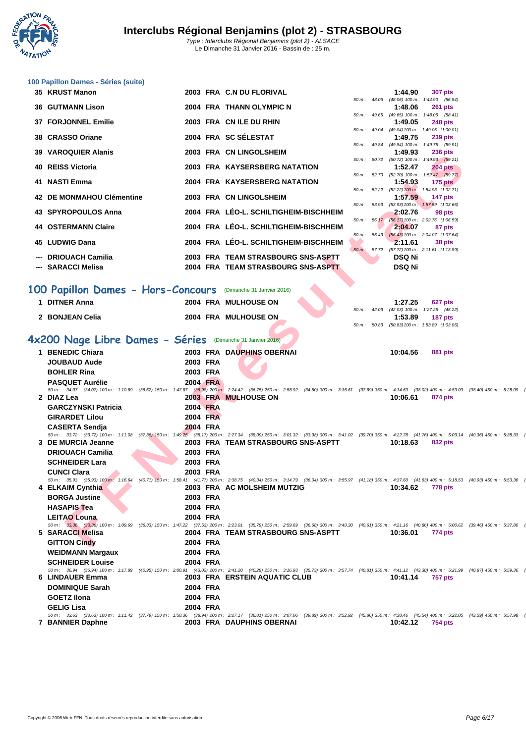

|     | 100 Papillon Dames - Séries (suite)                                                                                                                                                                            |                      |                                        |              |               |                                                                |  |
|-----|----------------------------------------------------------------------------------------------------------------------------------------------------------------------------------------------------------------|----------------------|----------------------------------------|--------------|---------------|----------------------------------------------------------------|--|
|     | 35 KRUST Manon                                                                                                                                                                                                 |                      | 2003 FRA C.N DU FLORIVAL               |              | 1:44.90       | <b>307 pts</b>                                                 |  |
|     | <b>36 GUTMANN Lison</b>                                                                                                                                                                                        |                      | 2004 FRA THANN OLYMPIC N               | 50 m : 48.06 | 1:48.06       | (48.06) 100 m: 1:44.90 (56.84)<br>261 pts                      |  |
|     |                                                                                                                                                                                                                |                      |                                        |              |               | 50 m: 49.65 (49.65) 100 m: 1:48.06 (58.41)                     |  |
|     | 37 FORJONNEL Emilie                                                                                                                                                                                            |                      | 2003 FRA CN ILE DU RHIN                |              | 1:49.05       | <b>248 pts</b><br>50 m: 49.04 (49.04) 100 m: 1:49.05 (1:00.01) |  |
|     | 38 CRASSO Oriane                                                                                                                                                                                               |                      | 2004 FRA SC SÉLESTAT                   |              | 1:49.75       | <b>239 pts</b>                                                 |  |
| 39. | <b>VAROQUIER Alanis</b>                                                                                                                                                                                        |                      | 2003 FRA CN LINGOLSHEIM                | 50 m : 49.84 | 1:49.93       | (49.84) 100 m: 1:49.75 (59.91)<br><b>236 pts</b>               |  |
| 40. | <b>REISS Victoria</b>                                                                                                                                                                                          |                      | 2003 FRA KAYSERSBERG NATATION          |              | 1:52.47       | 50 m: 50.72 (50.72) 100 m: 1:49.93 (59.21)<br><b>204 pts</b>   |  |
|     |                                                                                                                                                                                                                |                      |                                        | 50 m : 52.70 |               | $(52.70)$ 100 m : 1:52.47 $(59.77)$                            |  |
|     | 41 NASTI Emma                                                                                                                                                                                                  |                      | 2004 FRA KAYSERSBERG NATATION          | 50 m: 52.22  | 1:54.93       | $175$ pts<br>$(52.22)$ 100 m : 1:54.93 $(1:02.71)$             |  |
|     | 42 DE MONMAHOU Clémentine                                                                                                                                                                                      |                      | 2003 FRA CN LINGOLSHEIM                |              | 1:57.59       | 147 pts<br>50 m: 53.93 (53.93) 100 m: 1:57.59 (1:03.66)        |  |
|     | 43 SPYROPOULOS Anna                                                                                                                                                                                            |                      | 2004 FRA LÉO-L. SCHILTIGHEIM-BISCHHEIM |              | 2:02.76       | 98 pts                                                         |  |
|     | <b>44 OSTERMANN Claire</b>                                                                                                                                                                                     |                      | 2004 FRA LEO-L. SCHILTIGHEIM-BISCHHEIM |              | 2:04.07       | 50 m: 56.17 (56.17) 100 m: 2:02.76 (1:06.59)<br>87 pts         |  |
|     |                                                                                                                                                                                                                |                      |                                        |              |               | 50 m: 56.43 (56.43) 100 m: 2:04.07 (1:07.64)                   |  |
| 45  | <b>LUDWIG Dana</b>                                                                                                                                                                                             |                      | 2004 FRA LÉO-L. SCHILTIGHEIM-BISCHHEIM |              | 2:11.61       | 38 pts<br>50 m: 57.72 (57.72) 100 m: 2:11.61 (1:13.89)         |  |
|     | <b>DRIOUACH Camilia</b>                                                                                                                                                                                        |                      | 2003 FRA TEAM STRASBOURG SNS-ASPTT     |              | <b>DSQ Ni</b> |                                                                |  |
|     | --- SARACCI Melisa                                                                                                                                                                                             |                      | 2004 FRA TEAM STRASBOURG SNS-ASPTT     |              | <b>DSQ Ni</b> |                                                                |  |
|     | 100 Papillon Dames - Hors-Concours (Dimanche 31 Janvier 2016)                                                                                                                                                  |                      |                                        |              |               |                                                                |  |
|     |                                                                                                                                                                                                                |                      |                                        |              |               |                                                                |  |
|     | 1 DITNER Anna                                                                                                                                                                                                  |                      | 2004 FRA MULHOUSE ON                   |              | 1:27.25       | 627 pts<br>50 m: 42.03 (42.03) 100 m: 1:27.25 (45.22)          |  |
|     | 2 BONJEAN Celia                                                                                                                                                                                                |                      | 2004 FRA MULHOUSE ON                   | 50 m: 50.83  | 1:53.89       | 187 pts<br>(50.83) 100 m: 1:53.89 (1:03.06)                    |  |
|     |                                                                                                                                                                                                                |                      |                                        |              |               |                                                                |  |
|     | 4x200 Nage Libre Dames - Séries                                                                                                                                                                                |                      | (Dimanche 31 Janvier 2016)             |              |               |                                                                |  |
|     | 1 BENEDIC Chiara<br><b>JOUBAUD Aude</b>                                                                                                                                                                        | 2003 FRA             | 2003 FRA DAUPHINS OBERNAI              |              | 10:04.56      | 881 pts                                                        |  |
|     | <b>BOHLER Rina</b>                                                                                                                                                                                             | 2003 FRA             |                                        |              |               |                                                                |  |
|     | <b>PASQUET Aurélie</b>                                                                                                                                                                                         | 2004 FRA             |                                        |              |               |                                                                |  |
|     | 50 m : 34.07 (34.07) 100 m : 1:10.69 (36.62) 150 m : 1:47.67 (36.98) 200 m : 2:24.42 (36.75) 250 m : 2:58.92 (34.50) 300 m : 3:36.61 (37.69) 350 m : 4:14.63 (38.02) 400 m : 4:53.03 (38<br>2 DIAZ Lea         |                      | 2003 FRA MULHOUSE ON                   |              | 10:06.61      | 874 pts                                                        |  |
|     | <b>GARCZYNSKI Patricia</b>                                                                                                                                                                                     | 2004 FRA             |                                        |              |               |                                                                |  |
|     | <b>GIRARDET Lilou</b>                                                                                                                                                                                          | 2004 FRA             |                                        |              |               |                                                                |  |
|     | <b>CASERTA Sendja</b>                                                                                                                                                                                          | 2004 FRA             |                                        |              |               |                                                                |  |
|     | 50 m : 33.72 (33.72) 100 m : 1:11.08 (37.36) 150 m : 1:49.25 (38.17) 200 m : 2:27.34 (38.09) 250 m : 3:01.32 (33.98) 300 m : 3:41.02 (39.70) 350 m : 4:22.78 (41.76) 400 m : 5:03.14 (40<br>3 DE MURCIA Jeanne |                      | 2003 FRA TEAM STRASBOURG SNS-ASPTT     |              | 10:18.63      | 832 pts                                                        |  |
|     | <b>DRIOUACH Camilia</b>                                                                                                                                                                                        | 2003 FRA             |                                        |              |               |                                                                |  |
|     | <b>SCHNEIDER Lara</b>                                                                                                                                                                                          | 2003 FRA             |                                        |              |               |                                                                |  |
|     | <b>CUNCI Clara</b><br>50 m : 35.93 (35.93) 100 m : 1:16.64 (40.71) 150 m : 1:58.41 (41.77) 200 m : 2:38.75 (40.34) 250 m : 3:14.79 (36.04) 300 m : 3:55.97 (41.18) 350 m : 4:37.60 (41.63) 400 m : 5:18.53 (40 | 2003 FRA             |                                        |              |               |                                                                |  |
|     | 4 ELKAIM Cynthia                                                                                                                                                                                               |                      | 2003 FRA AC MOLSHEIM MUTZIG            |              | 10:34.62      | <b>778 pts</b>                                                 |  |
|     | <b>BORGA Justine</b>                                                                                                                                                                                           | 2003 FRA             |                                        |              |               |                                                                |  |
|     | HASAPIS Tea<br><b>LEITAO Louna</b>                                                                                                                                                                             | 2004 FRA<br>2004 FRA |                                        |              |               |                                                                |  |
|     | 50 m: 33.36 (33.36) 100 m: 1:09.69 (36.33) 150 m: 1:47.22 (37.53) 200 m: 2:23.01 (35.79) 250 m: 2:59.69 (36.68) 300 m: 3:40.30 (40.61) 350 m: 4:21.16 (40.86) 400 m: 5:00.62 (39                               |                      |                                        |              |               |                                                                |  |
|     | 5 SARACCI Melisa<br><b>GITTON Cindy</b>                                                                                                                                                                        |                      | 2004 FRA TEAM STRASBOURG SNS-ASPTT     |              | 10:36.01      | 774 pts                                                        |  |
|     |                                                                                                                                                                                                                | 2004 FRA             |                                        |              |               |                                                                |  |

| <b>DENEDIO GIIIDI D</b>    |          | <b>2003 FRA DAUFFINS OBERNAL</b>                                                                                                                                                                                                                                                              | 10.04.30 | oo i pis |  |
|----------------------------|----------|-----------------------------------------------------------------------------------------------------------------------------------------------------------------------------------------------------------------------------------------------------------------------------------------------|----------|----------|--|
| <b>JOUBAUD Aude</b>        | 2003 FRA |                                                                                                                                                                                                                                                                                               |          |          |  |
| <b>BOHLER Rina</b>         | 2003 FRA |                                                                                                                                                                                                                                                                                               |          |          |  |
| <b>PASQUET Aurélie</b>     | 2004 FRA |                                                                                                                                                                                                                                                                                               |          |          |  |
| 2 DIAZ Lea                 |          | 50 m: 34.07 (34.07) 100 m: 1:10.69 (36.62) 150 m: 1:47.67 (36.98) 200 m: 2:24.42 (36.75) 250 m: 2:58.92 (34.50) 300 m: 3:36.61 (37.69) 350 m: 4:14.63 (38.02) 400 m: 4:53.03 (38.40) 450 m: 5:28.09 (35.66)                                                                                   |          |          |  |
|                            |          | 2003 FRA MULHOUSE ON                                                                                                                                                                                                                                                                          | 10:06.61 | 874 pts  |  |
| <b>GARCZYNSKI Patricia</b> | 2004 FRA |                                                                                                                                                                                                                                                                                               |          |          |  |
| <b>GIRARDET Lilou</b>      | 2004 FRA |                                                                                                                                                                                                                                                                                               |          |          |  |
| <b>CASERTA Sendia</b>      | 2004 FRA |                                                                                                                                                                                                                                                                                               |          |          |  |
| 3 DE MURCIA Jeanne         |          | 50 m: 33.72 (33.72) 100 m: 1:11.08 (37.36) 150 m: 1:49.25 (38.17) 200 m: 2:27.34 (38.09) 250 m: 3:01.32 (33.98) 300 m: 3:41.02 (39.70) 350 m: 4:22.78 (41.76) 400 m: 5:03.14 (40.36) 450 m: 5:38.33 (35.19)<br>2003 FRA TEAM STRASBOURG SNS-ASPTT                                             | 10:18.63 | 832 pts  |  |
| <b>DRIOUACH Camilia</b>    | 2003 FRA |                                                                                                                                                                                                                                                                                               |          |          |  |
| <b>SCHNEIDER Lara</b>      | 2003 FRA |                                                                                                                                                                                                                                                                                               |          |          |  |
| <b>CUNCI Clara</b>         | 2003 FRA |                                                                                                                                                                                                                                                                                               |          |          |  |
| $50 m$ : 35.93             |          | $(35.93) 100 \, \text{m} \cdot 116.64$ $(40.71) 150 \, \text{m} \cdot 1.58.41$ $(41.77) 200 \, \text{m} \cdot 2.38.75$ $(40.34) 250 \, \text{m} \cdot 3.14.79$ $(36.04) 300 \, \text{m} \cdot 3.55.97$ $(41.18) 350 \, \text{m} \cdot 4.37.60$ $(41.63) 400 \, \text{m} \cdot 5.18.53$ $(40.$ |          |          |  |
| 4 ELKAIM Cynthia           |          | 2003 FRA AC MOLSHEIM MUTZIG                                                                                                                                                                                                                                                                   | 10:34.62 | 778 pts  |  |
| <b>BORGA Justine</b>       | 2003 FRA |                                                                                                                                                                                                                                                                                               |          |          |  |
| <b>HASAPIS Tea</b>         | 2004 FRA |                                                                                                                                                                                                                                                                                               |          |          |  |
| <b>LEITAO Louna</b>        | 2004 FRA |                                                                                                                                                                                                                                                                                               |          |          |  |
|                            |          | 50 m: 33.36 (33.36) 100 m: 1:09.69 (36.33) 150 m: 1:47.22 (37.53) 200 m: 2:23.01 (35.79) 250 m: 2:59.69 (36.68) 300 m: 3:40.30 (40.61) 350 m: 4:21.16 (40.86) 400 m: 5:00.62 (39.46) 450 m: 5:37.80 (37.18)                                                                                   |          |          |  |
| 5 SARACCI Melisa           |          | 2004 FRA TEAM STRASBOURG SNS-ASPTT                                                                                                                                                                                                                                                            | 10:36.01 | 774 pts  |  |
| <b>GITTON Cindy</b>        | 2004 FRA |                                                                                                                                                                                                                                                                                               |          |          |  |
| <b>WEIDMANN Margaux</b>    | 2004 FRA |                                                                                                                                                                                                                                                                                               |          |          |  |
| <b>SCHNEIDER Louise</b>    | 2004 FRA |                                                                                                                                                                                                                                                                                               |          |          |  |
|                            |          | 50 m: 36.94 (36.94) 100 m: 1:17.89 (40.95) 150 m: 2:00.91 (43.02) 200 m: 2:41.20 (40.29) 250 m: 3:16.93 (35.73) 300 m: 3:57.74 (40.81) 350 m: 4:41.12 (43.38) 400 m: 5:21.99 (40.87) 450 m: 5:59.36 (37.37)                                                                                   |          |          |  |
| <b>6 LINDAUER Emma</b>     |          | 2003 FRA ERSTEIN AQUATIC CLUB                                                                                                                                                                                                                                                                 | 10:41.14 | 757 pts  |  |
| <b>DOMINIQUE Sarah</b>     | 2004 FRA |                                                                                                                                                                                                                                                                                               |          |          |  |
| <b>GOETZ Ilona</b>         | 2004 FRA |                                                                                                                                                                                                                                                                                               |          |          |  |
| <b>GELIG Lisa</b>          | 2004 FRA |                                                                                                                                                                                                                                                                                               |          |          |  |
|                            |          | 50 m: 33.63 (33.63) 100 m: 1:11.42 (37.79) 150 m: 1:50.36 (38.94) 200 m: 2:27.17 (36.81) 250 m: 3:07.06 (39.89) 300 m: 3:52.92 (45.86) 350 m: 4:38.46 (45.54) 400 m: 5:22.05 (43.59) 450 m: 5:27.08 (35.93)                                                                                   |          |          |  |
| 7 BANNIER Daphne           |          | 2003 FRA DAUPHINS OBERNAI                                                                                                                                                                                                                                                                     | 10:42.12 | 754 pts  |  |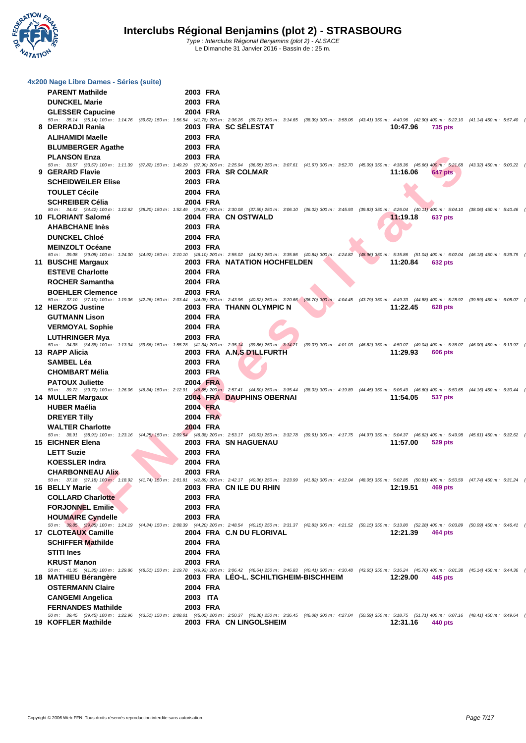

| 4x200 Nage Libre Dames - Séries (suite)<br><b>PARENT Mathilde</b> | 2003 FRA |                                                                                                                                                                                                                                                       |                  |                |  |
|-------------------------------------------------------------------|----------|-------------------------------------------------------------------------------------------------------------------------------------------------------------------------------------------------------------------------------------------------------|------------------|----------------|--|
| <b>DUNCKEL Marie</b>                                              | 2003 FRA |                                                                                                                                                                                                                                                       |                  |                |  |
| <b>GLESSER Capucine</b>                                           | 2004 FRA |                                                                                                                                                                                                                                                       |                  |                |  |
|                                                                   |          | 50 m: 35.14 (35.14) 100 m: 1:14.76 (39.62) 150 m: 1:56.54 (41.78) 200 m: 2:36.26 (39.72) 250 m: 3:14.65 (38.39) 300 m: 3:58.06 (43.41) 350 m: 4:40.96 (42.90) 400 m: 5:22.10 (41.14) 450 m: 5:27.40 (35.30)                                           |                  |                |  |
| 8 DERRADJI Rania                                                  |          | 2003 FRA SC SÉLESTAT                                                                                                                                                                                                                                  | 10:47.96 735 pts |                |  |
| <b>ALIHAMIDI Maelle</b>                                           | 2003 FRA |                                                                                                                                                                                                                                                       |                  |                |  |
| <b>BLUMBERGER Agathe</b>                                          | 2003 FRA |                                                                                                                                                                                                                                                       |                  |                |  |
| <b>PLANSON Enza</b>                                               | 2003 FRA | 50 m: 33.57 (33.57) 100 m: 1:11.39 (37.82) 150 m: 1:49.29 (37.90) 200 m: 2:25.94 (36.65) 250 m: 3:07.61 (41.67) 300 m: 3:52.70 (45.09) 350 m: 4:38.36 (45.66) 400 m: 5:21.68 (43.32) 450 m: 6:21.68 (43.32) 450 m: 6:00.22 (38                        |                  |                |  |
| 9 GERARD Flavie                                                   |          | 2003 FRA SR COLMAR                                                                                                                                                                                                                                    | 11:16.06         | <b>647 pts</b> |  |
| <b>SCHEIDWEILER Elise</b>                                         | 2003 FRA |                                                                                                                                                                                                                                                       |                  |                |  |
| <b>TOULET Cécile</b>                                              | 2004 FRA |                                                                                                                                                                                                                                                       |                  |                |  |
| <b>SCHREIBER Célia</b>                                            | 2004 FRA |                                                                                                                                                                                                                                                       |                  |                |  |
| 10 FLORIANT Salomé                                                |          | 50 m: 34.42 (34.42) 100 m: 1:12.62 (38.20) 150 m: 1:52.49 (39.87) 200 m: 2:30.08 (37.59) 250 m: 3:06.10 (36.02) 300 m: 3:45.93 (39.83) 350 m; 4:26.04 (40.11) 400 m: 5:04.10 (38.06) 450 m: 5:40.46 (36.36)                                           |                  |                |  |
| <b>AHABCHANE Inès</b>                                             | 2003 FRA | 2004 FRA CN OSTWALD                                                                                                                                                                                                                                   | 11:19.18         | 637 pts        |  |
| <b>DUNCKEL Chloé</b>                                              | 2004 FRA |                                                                                                                                                                                                                                                       |                  |                |  |
| <b>MEINZOLT Océane</b>                                            | 2003 FRA |                                                                                                                                                                                                                                                       |                  |                |  |
|                                                                   |          | 50 m: 39.08 (39.08) 100 m: 1:24.00 (44.92) 150 m: 2:10.10 (46.10) 200 m: 2:55.02 (44.92) 250 m: 3:35.86 (40.84) 300 m: 4:24.82 (48.96) 350 m: 5:15.86 (51.04) 400 m: 6:02.04 (46.18) 450 m: 6:39.79 (37.75)                                           |                  |                |  |
| 11 BUSCHE Margaux                                                 |          | 2003 FRA NATATION HOCHFELDEN                                                                                                                                                                                                                          | 11:20.84         | <b>632 pts</b> |  |
| <b>ESTEVE Charlotte</b>                                           | 2004 FRA |                                                                                                                                                                                                                                                       |                  |                |  |
| <b>ROCHER Samantha</b>                                            | 2004 FRA |                                                                                                                                                                                                                                                       |                  |                |  |
| <b>BOEHLER Clemence</b>                                           | 2003 FRA |                                                                                                                                                                                                                                                       |                  |                |  |
| 12 HERZOG Justine                                                 |          | 50 m: 37.10 (37.10) 100 m: 1:19.36 (42.26) 150 m: 2:03.44 (44.08) 200 m: 2:43.96 (40.52) 250 m: 3:20.66 (36.70) 300 m: 4:04.45 (43.79) 350 m: 4:49.33 (44.88) 400 m: 5:28.92 (39.59) 450 m: 6:08.07 (39.15)<br>2003 FRA THANN OLYMPIC N               | 11:22.45         | 628 pts        |  |
| <b>GUTMANN Lison</b>                                              | 2004 FRA |                                                                                                                                                                                                                                                       |                  |                |  |
| <b>VERMOYAL Sophie</b>                                            | 2004 FRA |                                                                                                                                                                                                                                                       |                  |                |  |
| <b>LUTHRINGER Mya</b>                                             | 2003 FRA |                                                                                                                                                                                                                                                       |                  |                |  |
|                                                                   |          | 50 m: 34.38 (34.38) 100 m: 1:13.94 (39.56) 150 m: 1:55.28 (41.34) 200 m: 2:35.14 (39.86) 250 m: 3:14.21 (39.07) 300 m: 4:01.03 (46.82) 350 m: 4:50.07 (49.04) 400 m: 5:36.07 (46.00) 450 m: 6:13.97 (37.90)                                           |                  |                |  |
| 13 RAPP Alicia                                                    |          | 2003 FRA A.N.S D'ILLFURTH                                                                                                                                                                                                                             | 11:29.93         | 606 pts        |  |
| <b>SAMBEL Léa</b>                                                 | 2003 FRA |                                                                                                                                                                                                                                                       |                  |                |  |
| <b>CHOMBART Mélia</b>                                             | 2003 FRA |                                                                                                                                                                                                                                                       |                  |                |  |
| <b>PATOUX Juliette</b>                                            | 2004 FRA | 50 m: 39.72 (39.72) 100 m: 1:26.06 (46.34) 150 m: 2:12.91 (46.85) 200 m: 2:57.41 (44.50) 250 m: 3:35.44 (38.03) 300 m: 4:19.89 (44.45) 350 m: 5:06.49 (46.60) 400 m: 5:50.65 (44.16) 450 m: 6:30.44 (39.79)                                           |                  |                |  |
| 14 MULLER Margaux                                                 |          | 2004 FRA DAUPHINS OBERNAI                                                                                                                                                                                                                             | 11:54.05         | 537 pts        |  |
| <b>HUBER Maélia</b>                                               | 2004 FRA |                                                                                                                                                                                                                                                       |                  |                |  |
| <b>DREYER Tilly</b>                                               | 2004 FRA |                                                                                                                                                                                                                                                       |                  |                |  |
| <b>WALTER Charlotte</b>                                           | 2004 FRA |                                                                                                                                                                                                                                                       |                  |                |  |
| <b>15 EICHNER Elena</b>                                           |          | 50 m: 38.91 (38.91) 100 m: 1:23.16 (44.25) 150 m: 2:09.54 (46.38) 200 m: 2:53.17 (43.63) 250 m: 3:32.78 (39.61) 300 m: 4:17.75 (44.97) 350 m: 5:04.37 (46.62) 400 m: 5:49.98 (45.61) 450 m: 6:22.62 (42.64)<br>2003 FRA SN HAGUENAU                   | 11:57.00 529 pts |                |  |
| <b>LETT Suzie</b>                                                 | 2003 FRA |                                                                                                                                                                                                                                                       |                  |                |  |
| <b>KOESSLER Indra</b>                                             | 2004 FRA |                                                                                                                                                                                                                                                       |                  |                |  |
| <b>CHARBONNEAU Alix</b>                                           | 2003 FRA |                                                                                                                                                                                                                                                       |                  |                |  |
|                                                                   |          | 50 m: 37.18 (37.18) 100 m: 1:18.92 (41.74) 150 m: 2:01.81 (42.89) 200 m: 2:42.17 (40.36) 250 m: 3:23.99 (41.82) 300 m: 4:12.04 (48.05) 350 m: 5:02.85 (50.81) 400 m: 5:50.59 (47.74) 450 m: 6:31.24 (40.65)                                           |                  |                |  |
| 16 BELLY Marie                                                    |          | 2003 FRA CN ILE DU RHIN                                                                                                                                                                                                                               | 12:19.51 469 pts |                |  |
| <b>COLLARD Charlotte</b>                                          | 2003 FRA |                                                                                                                                                                                                                                                       |                  |                |  |
| <b>FORJONNEL Emilie</b>                                           | 2003 FRA |                                                                                                                                                                                                                                                       |                  |                |  |
| <b>HOUMAIRE Cyndelle</b>                                          | 2003 FRA | 50 m: 39.85 (39.85) 100 m: 1:24.19 (44.34) 150 m: 2:08.39 (44.20) 200 m: 2:48.54 (40.15) 250 m: 3:31.37 (42.83) 300 m: 4:21.52 (50.15) 350 m: 5:13.80 (52.28) 400 m: 6:03.89 (50.09) 450 m: 6:46.41 (42.52)                                           |                  |                |  |
| 17 CLOTEAUX Camille                                               |          | 2004 FRA C.N DU FLORIVAL                                                                                                                                                                                                                              | 12:21.39 464 pts |                |  |
| <b>SCHIFFER Mathilde</b>                                          | 2004 FRA |                                                                                                                                                                                                                                                       |                  |                |  |
| <b>STITI Ines</b>                                                 | 2004 FRA |                                                                                                                                                                                                                                                       |                  |                |  |
| <b>KRUST Manon</b>                                                | 2003 FRA |                                                                                                                                                                                                                                                       |                  |                |  |
| 18 MATHIEU Bérangère                                              |          | 50 m: 41.35 (41.35) 100 m: 1:29.86 (48.51) 150 m: 2:19.78 (49.92) 200 m: 3:06.42 (46.64) 250 m: 3:46.83 (40.41) 300 m: 4:30.48 (43.65) 350 m: 5:16.24 (45.76) 400 m: 6:01.38 (45.14) 450 m: 6:44.36 (42.98)<br>2003 FRA LÉO-L. SCHILTIGHEIM-BISCHHEIM | 12:29.00 445 pts |                |  |
| <b>OSTERMANN Claire</b>                                           | 2004 FRA |                                                                                                                                                                                                                                                       |                  |                |  |
| <b>CANGEMI Angelica</b>                                           | 2003 ITA |                                                                                                                                                                                                                                                       |                  |                |  |
| <b>FERNANDES Mathilde</b>                                         | 2003 FRA |                                                                                                                                                                                                                                                       |                  |                |  |
|                                                                   |          | 50 m: 39.45 (39.45) 100 m: 1:22.96 (43.51) 150 m: 2:08.01 (45.05) 200 m: 2:50.37 (42.36) 250 m: 3:36.45 (46.08) 300 m: 4:27.04 (50.59) 350 m: 5:18.75 (51.71) 400 m: 6:07.16 (48.41) 450 m: 6:07.6 (42.48)                                            |                  |                |  |
| 19 KOFFLER Mathilde                                               |          | 2003 FRA CN LINGOLSHEIM                                                                                                                                                                                                                               | 12:31.16 440 pts |                |  |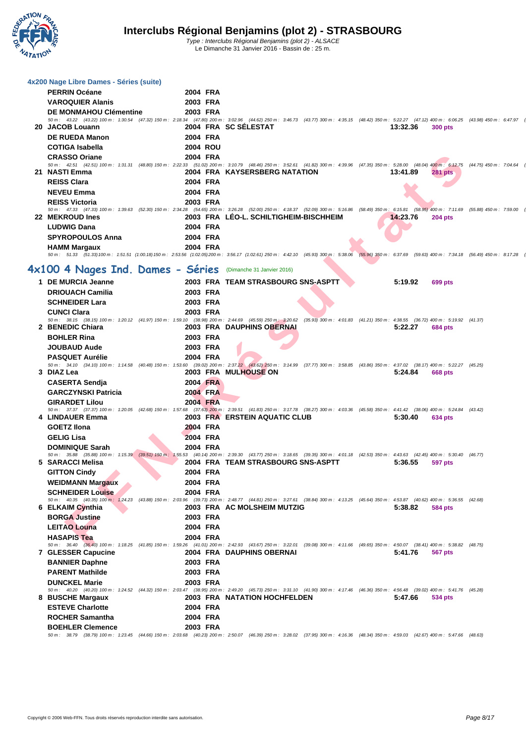

| 4x200 Nage Libre Dames - Séries (suite)                      |                      |                                                                                                                                                                                                                                 |          |                  |  |
|--------------------------------------------------------------|----------------------|---------------------------------------------------------------------------------------------------------------------------------------------------------------------------------------------------------------------------------|----------|------------------|--|
| <b>PERRIN Océane</b>                                         | 2004 FRA             |                                                                                                                                                                                                                                 |          |                  |  |
| <b>VAROQUIER Alanis</b>                                      | 2003 FRA             |                                                                                                                                                                                                                                 |          |                  |  |
| <b>DE MONMAHOU Clémentine</b>                                | 2003 FRA             | 50 m: 43.22 (43.22) 100 m: 1:30.54 (47.32) 150 m: 2:18.34 (47.80) 200 m: 3:02.96 (44.62) 250 m: 3:46.73 (43.77) 300 m: 4:35.15 (48.42) 350 m: 5:22.27 (47.12) 400 m: 6:06.25 (43.98) 450 m: 6:47.97 (41.72)                     |          |                  |  |
| 20 JACOB Louann                                              |                      | 2004 FRA SC SÉLESTAT                                                                                                                                                                                                            | 13:32.36 | 300 pts          |  |
| <b>DE RUEDA Manon</b>                                        | 2004 FRA             |                                                                                                                                                                                                                                 |          |                  |  |
| <b>COTIGA Isabella</b>                                       | 2004 ROU             |                                                                                                                                                                                                                                 |          |                  |  |
| <b>CRASSO Oriane</b>                                         | 2004 FRA             |                                                                                                                                                                                                                                 |          |                  |  |
|                                                              |                      | 50 m: 42.51 (42.51) 100 m: 1:31.31 (48.80) 150 m: 2:22.33 (51.02) 200 m: 3:10.79 (48.46) 250 m: 3:52.61 (41.82) 300 m: 4:39.96 (47.35) 350 m: 5:28.00 (48.04) 400 m: 6:12.75 (44.75) 450 m: 7:04.64 (51.89)5                    |          |                  |  |
| 21 NASTI Emma                                                |                      | 2004 FRA KAYSERSBERG NATATION                                                                                                                                                                                                   | 13:41.89 | <b>281 pts</b>   |  |
| <b>REISS Clara</b><br><b>NEVEU Emma</b>                      | 2004 FRA<br>2004 FRA |                                                                                                                                                                                                                                 |          |                  |  |
|                                                              |                      |                                                                                                                                                                                                                                 |          |                  |  |
| <b>REISS Victoria</b>                                        | 2003 FRA             | 50 m: 47.33 (47.33) 100 m: 1:39.63 (52.30) 150 m: 2:34.28 (54.65) 200 m: 3:26.28 (52.00) 250 m: 4:18.37 (52.09) 300 m: 5:16.86 (58.49) 350 m: 6:15.81 (58.95) 400 m: 7:11.69 (55.88) 450 m: 7:11.69 (55.88) 450 m: 7:19.00 (47. |          |                  |  |
| 22 MEKROUD Ines                                              |                      | 2003 FRA LÉO-L. SCHILTIGHEIM-BISCHHEIM                                                                                                                                                                                          |          | 14:23.76 204 pts |  |
| <b>LUDWIG Dana</b>                                           | 2004 FRA             |                                                                                                                                                                                                                                 |          |                  |  |
| <b>SPYROPOULOS Anna</b>                                      | 2004 FRA             |                                                                                                                                                                                                                                 |          |                  |  |
| <b>HAMM Margaux</b>                                          | 2004 FRA             |                                                                                                                                                                                                                                 |          |                  |  |
|                                                              |                      | 50 m: 51.33 (51.33)100 m: 1:51.51 (1:00.18)150 m: 2:53.56 (1:02.05)200 m: 3:56.17 (1:02.61) 250 m: 4:42.10 (45.93) 300 m: 5:38.06 (55.96) 350 m: 6:37.69 (59.63) 400 m: 7:34.18 (56.49) 450 m: 8:17.28 (43.10)                  |          |                  |  |
| 4x100 4 Nages Ind. Dames - Séries (Dimanche 31 Janvier 2016) |                      |                                                                                                                                                                                                                                 |          |                  |  |
| 1 DE MURCIA Jeanne                                           |                      | 2003 FRA TEAM STRASBOURG SNS-ASPTT                                                                                                                                                                                              | 5:19.92  | 699 pts          |  |
| <b>DRIOUACH Camilia</b>                                      | 2003 FRA             |                                                                                                                                                                                                                                 |          |                  |  |
| <b>SCHNEIDER Lara</b>                                        | 2003 FRA             |                                                                                                                                                                                                                                 |          |                  |  |
| <b>CUNCI Clara</b>                                           | 2003 FRA             |                                                                                                                                                                                                                                 |          |                  |  |
|                                                              |                      | 50 m: 38.15 (38.15) 100 m: 1:20.12 (41.97) 150 m: 1:59.10 (38.98) 200 m: 2:44.69 (45.59) 250 m: 3:20.62 (35.93) 300 m: 4:01.83 (41.21) 350 m: 4:38.55 (36.72) 400 m: 5:19.92 (41.37)                                            |          |                  |  |
| 2 BENEDIC Chiara                                             |                      | 2003 FRA DAUPHINS OBERNAI                                                                                                                                                                                                       | 5:22.27  | 684 pts          |  |
| <b>BOHLER Rina</b>                                           | 2003 FRA             |                                                                                                                                                                                                                                 |          |                  |  |
| <b>JOUBAUD Aude</b>                                          | 2003 FRA             |                                                                                                                                                                                                                                 |          |                  |  |
| <b>PASQUET Aurélie</b>                                       | 2004 FRA             | 50 m : 34.10 (34.10) 100 m : 1:14.58 (40.48) 150 m : 1:53.60 (39.02) 200 m : 2:37.22 (43.62) 250 m : 3:14.99 (37.77) 300 m : 3:58.85 (43.86) 350 m : 4:37.02 (38.17) 400 m : 5:22.27 (45.25)                                    |          |                  |  |
| 3 DIAZ Lea                                                   |                      | 2003 FRA MULHOUSE ON                                                                                                                                                                                                            | 5:24.84  | 668 pts          |  |
| <b>CASERTA Sendja</b>                                        | 2004 FRA             |                                                                                                                                                                                                                                 |          |                  |  |
| <b>GARCZYNSKI Patricia</b>                                   | <b>2004 FRA</b>      |                                                                                                                                                                                                                                 |          |                  |  |
| <b>GIRARDET Lilou</b>                                        | 2004 FRA             |                                                                                                                                                                                                                                 |          |                  |  |
|                                                              |                      | 50 m: 37.37 (37.37) 100 m: 1:20.05 (42.68) 150 m: 1:57.68 (37.63) 200 m: 2:39.51 (41.83) 250 m: 3:17.78 (38.27) 300 m: 4:03.36 (45.58) 350 m: 4:41.42 (38.06) 400 m: 5:24.84 (43.42)                                            |          |                  |  |
| 4 LINDAUER Emma                                              |                      | 2003 FRA ERSTEIN AQUATIC CLUB                                                                                                                                                                                                   |          | 5:30.40 634 pts  |  |
| <b>GOETZ Ilona</b>                                           | 2004 FRA             |                                                                                                                                                                                                                                 |          |                  |  |
| <b>GELIG Lisa</b>                                            | 2004 FRA             |                                                                                                                                                                                                                                 |          |                  |  |
| <b>DOMINIQUE Sarah</b>                                       | 2004 FRA             |                                                                                                                                                                                                                                 |          |                  |  |
| 5 SARACCI Melisa                                             |                      | 50 m: 35.88 (35.88) 100 m: 1:15.39 (39.51) 150 m: 1:55.53 (40.14) 200 m: 2:39.30 (43.77) 250 m: 3:18.65 (39.35) 300 m: 4:01.18 (42.53) 350 m: 4:43.63 (42.45) 400 m: 5:30.40 (46.77)<br>2004 FRA TEAM STRASBOURG SNS-ASPTT      | 5:36.55  | 597 pts          |  |
| <b>GITTON Cindy</b>                                          | 2004 FRA             |                                                                                                                                                                                                                                 |          |                  |  |
| <b>WEIDMANN Margaux</b>                                      | 2004 FRA             |                                                                                                                                                                                                                                 |          |                  |  |
| <b>SCHNEIDER Louise</b>                                      | 2004 FRA             |                                                                                                                                                                                                                                 |          |                  |  |
|                                                              |                      | 50 m: 40.35 (40.35) 100 m: 1:24.23 (43.88) 150 m: 2:03.96 (39.73) 200 m: 2:48.77 (44.81) 250 m: 3:27.61 (38.84) 300 m: 4:13.25 (45.64) 350 m: 4:53.87 (40.62) 400 m: 5:36.55 (42.68)                                            |          |                  |  |
| 6 ELKAIM Cynthia                                             |                      | 2003 FRA AC MOLSHEIM MUTZIG                                                                                                                                                                                                     |          | 5:38.82 584 pts  |  |
| <b>BORGA Justine</b>                                         | 2003 FRA             |                                                                                                                                                                                                                                 |          |                  |  |
| <b>LEITAO Louna</b>                                          | 2004 FRA             |                                                                                                                                                                                                                                 |          |                  |  |
| <b>HASAPIS Tea</b>                                           | 2004 FRA             |                                                                                                                                                                                                                                 |          |                  |  |
| 7 GLESSER Capucine                                           |                      | 50 m : 36.40 (36.40) 100 m : 1:18.25 (41.85) 150 m : 1:59.26 (41.01) 200 m : 2:42.93 (43.67) 250 m : 322.01 (39.08) 300 m : 4:11.66 (49.65) 350 m : 4:50.07 (38.41) 400 m : 5:38.82 (48.75)<br><b>2004 FRA DAUPHINS OBERNAI</b> |          | 5:41.76 567 pts  |  |
| <b>BANNIER Daphne</b>                                        | 2003 FRA             |                                                                                                                                                                                                                                 |          |                  |  |
| <b>PARENT Mathilde</b>                                       | 2003 FRA             |                                                                                                                                                                                                                                 |          |                  |  |
| <b>DUNCKEL Marie</b>                                         | 2003 FRA             |                                                                                                                                                                                                                                 |          |                  |  |
|                                                              |                      | 50 m: 40.20 (40.20) 100 m: 1:24.52 (44.32) 150 m: 2:03.47 (38.95) 200 m: 2:49.20 (45.73) 250 m: 3:31.10 (41.90) 300 m: 4:17.46 (46.36) 350 m: 4:56.48 (39.02) 400 m: 5:41.76 (45.28)                                            |          |                  |  |
| 8 BUSCHE Margaux                                             |                      | 2003 FRA NATATION HOCHFELDEN                                                                                                                                                                                                    |          | 5:47.66 534 pts  |  |
| <b>ESTEVE Charlotte</b>                                      | 2004 FRA             |                                                                                                                                                                                                                                 |          |                  |  |
| <b>ROCHER Samantha</b>                                       | 2004 FRA             |                                                                                                                                                                                                                                 |          |                  |  |
| <b>BOEHLER Clemence</b>                                      | 2003 FRA             |                                                                                                                                                                                                                                 |          |                  |  |
|                                                              |                      | 50 m : 38.79 (38.79) 100 m : 1:23.45 (44.66) 150 m : 2:03.68 (40.23) 200 m : 2:50.07 (46.39) 250 m : 3:28.02 (37.95) 300 m : 4:16.36 (48.34) 350 m : 4:59.03 (42.67) 400 m : 5:47.66 (48.63)                                    |          |                  |  |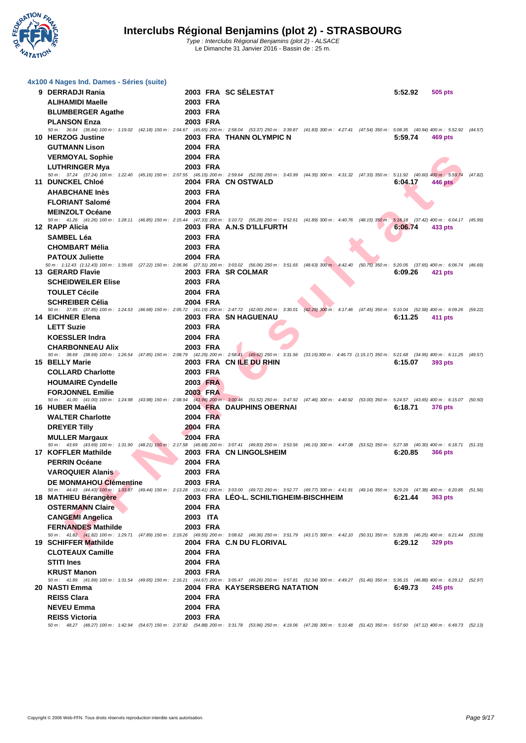

| 4x100 4 Nages Ind. Dames - Séries (suite)                                                                                                                                                                              |                      |                                        |  |         |                |         |
|------------------------------------------------------------------------------------------------------------------------------------------------------------------------------------------------------------------------|----------------------|----------------------------------------|--|---------|----------------|---------|
| 9 DERRADJI Rania                                                                                                                                                                                                       |                      | 2003 FRA SC SÉLESTAT                   |  | 5:52.92 | 505 pts        |         |
| <b>ALIHAMIDI Maelle</b>                                                                                                                                                                                                | 2003 FRA             |                                        |  |         |                |         |
| <b>BLUMBERGER Agathe</b>                                                                                                                                                                                               | 2003 FRA             |                                        |  |         |                |         |
| <b>PLANSON Enza</b>                                                                                                                                                                                                    | 2003 FRA             |                                        |  |         |                |         |
| 50 m: 36.84 (36.84) 100 m: 1:19.02 (42.18) 150 m: 2:04.67 (45.65) 200 m: 2:58.04 (53.37) 250 m: 3:39.87 (41.83) 300 m: 4:27.41 (47.54) 350 m: 5:08.35 (40.94) 400 m: 5:52.92 (44.57)<br>10 HERZOG Justine              |                      | 2003 FRA THANN OLYMPIC N               |  | 5:59.74 | 469 pts        |         |
| <b>GUTMANN Lison</b>                                                                                                                                                                                                   | 2004 FRA             |                                        |  |         |                |         |
| <b>VERMOYAL Sophie</b>                                                                                                                                                                                                 | 2004 FRA             |                                        |  |         |                |         |
| <b>LUTHRINGER Mya</b>                                                                                                                                                                                                  | 2003 FRA             |                                        |  |         |                |         |
| 50 m: 37.24 (37.24) 100 m: 1:22.40 (45.16) 150 m: 2:07.55 (45.15) 200 m: 2:59.64 (52.09) 250 m: 3:43.99 (44.35) 300 m: 4:31.32 (47.33) 350 m: 5:11.92 (40.60) 400 m; 5:59.74                                           |                      |                                        |  |         |                | (47.82) |
| 11 DUNCKEL Chloé                                                                                                                                                                                                       |                      | 2004 FRA CN OSTWALD                    |  | 6:04.17 | 446 pts        |         |
| <b>AHABCHANE Inès</b>                                                                                                                                                                                                  | 2003 FRA             |                                        |  |         |                |         |
| <b>FLORIANT Salomé</b>                                                                                                                                                                                                 | 2004 FRA             |                                        |  |         |                |         |
| <b>MEINZOLT Océane</b><br>50 m : 41.26 (41.26) 100 m : 1:28.11 (46.85) 150 m : 2:15.44 (47.33) 200 m : 3:10.72 (55.28) 250 m : 3:52.61 (41.89) 300 m : 4:40.76 (48.15) 350 m : 5:18.18 (37.42) 400 m : 6:04.17 (45.99) | 2003 FRA             |                                        |  |         |                |         |
| 12 RAPP Alicia                                                                                                                                                                                                         |                      | 2003 FRA A.N.S D'ILLFURTH              |  | 6:06.74 | 433 pts        |         |
| <b>SAMBEL Léa</b>                                                                                                                                                                                                      | 2003 FRA             |                                        |  |         |                |         |
| <b>CHOMBART Mélia</b>                                                                                                                                                                                                  | 2003 FRA             |                                        |  |         |                |         |
| <b>PATOUX Juliette</b>                                                                                                                                                                                                 | 2004 FRA             |                                        |  |         |                |         |
| 50 m: 1:12.43 (1:12.43) 100 m: 1:39.65 (27.22) 150 m: 2:06.96 (27.31) 200 m: 3:03.02 (56.06) 250 m: 3:51.65 (48.63) 300 m: 4:42.40 (50.75) 350 m: 5:20.05 (37.65) 400 m: 6:06.74 (46.69)<br>13 GERARD Flavie           |                      | 2003 FRA SR COLMAR                     |  | 6:09.26 | 421 pts        |         |
| <b>SCHEIDWEILER Elise</b>                                                                                                                                                                                              | 2003 FRA             |                                        |  |         |                |         |
| <b>TOULET Cécile</b>                                                                                                                                                                                                   | 2004 FRA             |                                        |  |         |                |         |
| <b>SCHREIBER Célia</b>                                                                                                                                                                                                 | 2004 FRA             |                                        |  |         |                |         |
| 50 m: 37.85 (37.85) 100 m: 1:24.53 (46.68) 150 m: 2:05.72 (41.19) 200 m: 2:47.72 (42.00) 250 m: 3:30.01 (42.29) 300 m: 4:17.46 (47.45) 350 m: 5:10.04 (52.58) 400 m: 6:09.26 (59.22)                                   |                      |                                        |  |         |                |         |
| 14 EICHNER Elena                                                                                                                                                                                                       |                      | 2003 FRA SN HAGUENAU                   |  | 6:11.25 | 411 pts        |         |
| <b>LETT Suzie</b>                                                                                                                                                                                                      | 2003 FRA             |                                        |  |         |                |         |
| <b>KOESSLER Indra</b>                                                                                                                                                                                                  | 2004 FRA             |                                        |  |         |                |         |
| <b>CHARBONNEAU Alix</b><br>50 m: 38.69 (38.69) 100 m: 1:26.54 (47.85) 150 m: 2:08.79 (42.25) 200 m: 2:58.41 (49.62) 250 m: 3:31.56 (33.15) 300 m: 4:46.73 (1:15.17) 350 m: 5:21.68 (34.95) 400 m: 6:11.25 (49.57)      | 2003 FRA             |                                        |  |         |                |         |
| 15 BELLY Marie                                                                                                                                                                                                         |                      | 2003 FRA CN ILE DU RHIN                |  | 6:15.07 | 393 pts        |         |
| <b>COLLARD Charlotte</b>                                                                                                                                                                                               | 2003 FRA             |                                        |  |         |                |         |
| <b>HOUMAIRE Cyndelle</b>                                                                                                                                                                                               | 2003 FRA             |                                        |  |         |                |         |
| <b>FORJONNEL Emilie</b>                                                                                                                                                                                                | 2003 FRA             |                                        |  |         |                |         |
| 50 m: 41.00 (41.00) 100 m: 1:24.98 (43.98) 150 m: 2:08.94 (43.96) 200 m: 3:00.46 (51.52) 250 m: 3:47.92 (47.46) 300 m: 4:40.92 (53.00) 350 m: 5:24.57 (43.65) 400 m: 6:15.07 (50.50)<br>16 HUBER Maélia                |                      | 2004 FRA DAUPHINS OBERNAI              |  | 6:18.71 | <b>376 pts</b> |         |
| <b>WALTER Charlotte</b>                                                                                                                                                                                                | 2004 FRA             |                                        |  |         |                |         |
| <b>DREYER Tilly</b>                                                                                                                                                                                                    | 2004 FRA             |                                        |  |         |                |         |
| <b>MULLER Margaux</b>                                                                                                                                                                                                  | <b>2004 FRA</b>      |                                        |  |         |                |         |
| 50 m: 43.69 (43.69) 100 m: 1:31.90 (48.21) 150 m: 2:17.58 (45.68) 200 m: 3:07.41 (49.83) 250 m: 3:53.56 (46.15) 300 m: 4:47.08 (53.52) 350 m: 5:27.38 (40.30) 400 m: 6:18.71 (51.33)<br>17 KOFFLER Mathilde            |                      | 2003 FRA CN LINGOLSHEIM                |  | 6:20.85 | <b>366 pts</b> |         |
| <b>PERRIN Océane</b>                                                                                                                                                                                                   | 2004 FRA             |                                        |  |         |                |         |
| <b>VAROQUIER Alanis</b>                                                                                                                                                                                                | 2003 FRA             |                                        |  |         |                |         |
| <b>DE MONMAHOU Clémentine</b>                                                                                                                                                                                          | 2003 FRA             |                                        |  |         |                |         |
| 50 m: 44.43 (44.43) 100 m: 1:33.87 (49.44) 150 m: 2:13.28 (39.41) 200 m: 3:03.00 (49.72) 250 m: 3:52.77 (49.77) 300 m: 4:41.91 (49.14) 350 m: 5:29.29 (47.38) 400 m: 6:20.85 (51.56)                                   |                      |                                        |  |         |                |         |
| 18 MATHIEU Bérangère                                                                                                                                                                                                   |                      | 2003 FRA LEO-L. SCHILTIGHEIM-BISCHHEIM |  | 6:21.44 | 363 pts        |         |
| <b>OSTERMANN Claire</b>                                                                                                                                                                                                | 2004 FRA<br>2003 ITA |                                        |  |         |                |         |
| <b>CANGEMI Angelica</b><br><b>FERNANDES Mathilde</b>                                                                                                                                                                   | 2003 FRA             |                                        |  |         |                |         |
| 50 m: 41.82 (41.82) 100 m: 1:29.71 (47.89) 150 m: 2:19.26 (49.55) 200 m: 3:08.62 (49.36) 250 m: 3:51.79 (43.17) 300 m: 4:42.10 (50.31) 350 m: 5:28.35 (46.25) 400 m: 6:21.44 (53.09)                                   |                      |                                        |  |         |                |         |
| 19 SCHIFFER Mathilde                                                                                                                                                                                                   |                      | 2004 FRA C.N DU FLORIVAL               |  | 6:29.12 | <b>329 pts</b> |         |
| <b>CLOTEAUX Camille</b>                                                                                                                                                                                                | 2004 FRA             |                                        |  |         |                |         |
| <b>STITI Ines</b>                                                                                                                                                                                                      | 2004 FRA             |                                        |  |         |                |         |
| <b>KRUST Manon</b><br>50 m: 41.89 (41.89) 100 m: 1:31.54 (49.65) 150 m: 2:16.21 (44.67) 200 m: 3:05.47 (49.26) 250 m: 3:57.81 (52.34) 300 m: 4:49.27 (51.46) 350 m: 5:36.15 (46.88) 400 m: 6:29.12 (52.97)             | 2003 FRA             |                                        |  |         |                |         |
| 20 NASTI Emma                                                                                                                                                                                                          |                      | 2004 FRA KAYSERSBERG NATATION          |  | 6:49.73 | <b>245 pts</b> |         |
| <b>REISS Clara</b>                                                                                                                                                                                                     | 2004 FRA             |                                        |  |         |                |         |
| <b>NEVEU Emma</b>                                                                                                                                                                                                      | 2004 FRA             |                                        |  |         |                |         |
| <b>REISS Victoria</b>                                                                                                                                                                                                  | 2003 FRA             |                                        |  |         |                |         |
| 50 m: 48.27 (48.27) 100 m: 1:42.94 (54.67) 150 m: 2:37.82 (54.88) 200 m: 3:31.78 (53.96) 250 m: 4:19.06 (47.28) 300 m: 5:10.48 (51.42) 350 m: 5:57.60 (47.12) 400 m: 6:49.73 (52.13)                                   |                      |                                        |  |         |                |         |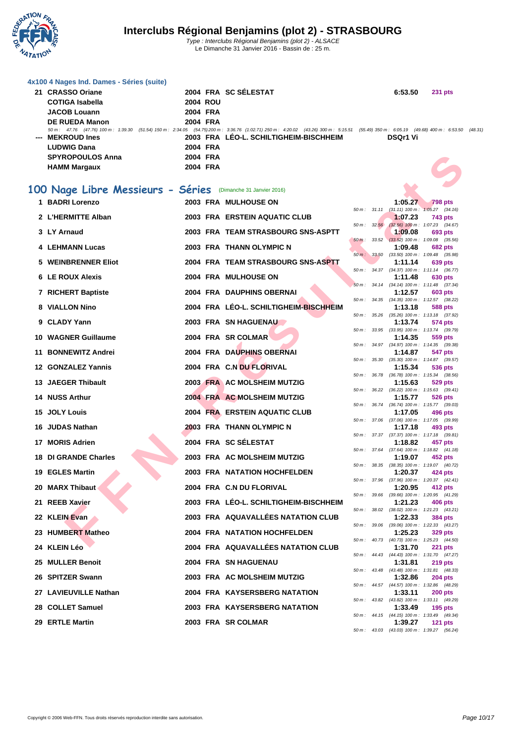

|     | 4x100 4 Nages Ind. Dames - Séries (suite)                                                                                                                                                                       |                 |                                        |             |                 |                                                              |  |
|-----|-----------------------------------------------------------------------------------------------------------------------------------------------------------------------------------------------------------------|-----------------|----------------------------------------|-------------|-----------------|--------------------------------------------------------------|--|
|     | 21 CRASSO Oriane                                                                                                                                                                                                |                 | 2004 FRA SC SÉLESTAT                   |             | 6:53.50         | <b>231 pts</b>                                               |  |
|     | <b>COTIGA Isabella</b>                                                                                                                                                                                          | <b>2004 ROU</b> |                                        |             |                 |                                                              |  |
|     | <b>JACOB Louann</b>                                                                                                                                                                                             | 2004 FRA        |                                        |             |                 |                                                              |  |
|     | <b>DE RUEDA Manon</b><br>50 m: 47.76 (47.76) 100 m: 1:39.30 (51.54) 150 m: 2:34.05 (54.75) 200 m: 3:36.76 (1:02.71) 250 m: 4:20.02 (43.26) 300 m: 5:15.51 (55.49) 350 m: 6:05.19 (49.68) 400 m: 6:53.50 (48.31) | 2004 FRA        |                                        |             |                 |                                                              |  |
|     | --- MEKROUD Ines                                                                                                                                                                                                |                 | 2003 FRA LEO-L. SCHILTIGHEIM-BISCHHEIM |             | <b>DSQr1 Vi</b> |                                                              |  |
|     | <b>LUDWIG Dana</b>                                                                                                                                                                                              | 2004 FRA        |                                        |             |                 |                                                              |  |
|     | <b>SPYROPOULOS Anna</b>                                                                                                                                                                                         | 2004 FRA        |                                        |             |                 |                                                              |  |
|     | <b>HAMM Margaux</b>                                                                                                                                                                                             | 2004 FRA        |                                        |             |                 |                                                              |  |
|     |                                                                                                                                                                                                                 |                 |                                        |             |                 |                                                              |  |
|     | 100 Nage Libre Messieurs - Séries                                                                                                                                                                               |                 | (Dimanche 31 Janvier 2016)             |             |                 |                                                              |  |
|     | 1 BADRI Lorenzo                                                                                                                                                                                                 |                 | <b>2003 FRA MULHOUSE ON</b>            |             | 1:05.27         | <b>798 pts</b>                                               |  |
|     | 2 L'HERMITTE Alban                                                                                                                                                                                              |                 | 2003 FRA ERSTEIN AQUATIC CLUB          |             | 1:07.23         | 50 m: 31.11 (31.11) 100 m: 1:05.27 (34.16)<br>743 pts        |  |
|     | 3 LY Arnaud                                                                                                                                                                                                     |                 | 2003 FRA TEAM STRASBOURG SNS-ASPTT     | 50 m: 32.56 | 1:09.08         | $(32.56)$ 100 m : 1:07.23 $(34.67)$                          |  |
|     |                                                                                                                                                                                                                 |                 |                                        | $50 m$ :    |                 | 693 pts<br>33.52 (33.52) 100 m : 1:09.08 (35.56)             |  |
|     | <b>4 LEHMANN Lucas</b>                                                                                                                                                                                          |                 | 2003 FRA THANN OLYMPIC N               |             | 1:09.48         | <b>682 pts</b>                                               |  |
|     | 5 WEINBRENNER Eliot                                                                                                                                                                                             |                 | 2004 FRA TEAM STRASBOURG SNS-ASPTT     | 50 m: 33.50 | 1:11.14         | (33.50) 100 m : 1:09.48 (35.98)<br>639 pts                   |  |
|     | <b>6 LE ROUX Alexis</b>                                                                                                                                                                                         |                 | 2004 FRA MULHOUSE ON                   |             | 1:11.48         | 50 m: 34.37 (34.37) 100 m: 1:11.14 (36.77)                   |  |
|     |                                                                                                                                                                                                                 |                 |                                        |             |                 | 630 pts<br>50 m: 34.14 (34.14) 100 m: 1:11.48 (37.34)        |  |
|     | 7 RICHERT Baptiste                                                                                                                                                                                              |                 | 2004 FRA DAUPHINS OBERNAI              |             | 1:12.57         | 603 pts                                                      |  |
|     | 8 VIALLON Nino                                                                                                                                                                                                  |                 | 2004 FRA LÉO-L. SCHILTIGHEIM-BISCHHEIM |             | 1:13.18         | 50 m: 34.35 (34.35) 100 m: 1:12.57 (38.22)<br>588 pts        |  |
|     | 9 CLADY Yann                                                                                                                                                                                                    |                 | 2003 FRA SN HAGUENAU                   | 50 m :      | 1:13.74         | 35.26 (35.26) 100 m: 1:13.18 (37.92)<br>574 pts              |  |
|     |                                                                                                                                                                                                                 |                 |                                        |             |                 | 50 m: 33.95 (33.95) 100 m: 1:13.74 (39.79)                   |  |
|     | 10 WAGNER Guillaume                                                                                                                                                                                             |                 | 2004 FRA SR COLMAR                     | 50 m :      | 1:14.35         | 559 pts<br>34.97 (34.97) 100 m: 1:14.35 (39.38)              |  |
|     | 11 BONNEWITZ Andrei                                                                                                                                                                                             |                 | 2004 FRA DAUPHINS OBERNAI              |             | 1:14.87         | 547 pts                                                      |  |
|     | <b>12 GONZALEZ Yannis</b>                                                                                                                                                                                       |                 | 2004 FRA C.N DU FLORIVAL               |             | 1:15.34         | 50 m: 35.30 (35.30) 100 m: 1:14.87 (39.57)                   |  |
|     |                                                                                                                                                                                                                 |                 |                                        |             |                 | 536 pts<br>50 m: 36.78 (36.78) 100 m: 1:15.34 (38.56)        |  |
|     | 13 JAEGER Thibault                                                                                                                                                                                              |                 | 2003 FRA AC MOLSHEIM MUTZIG            |             | 1:15.63         | 529 pts<br>50 m : 36.22 (36.22) 100 m : 1:15.63 (39.41)      |  |
|     | 14 NUSS Arthur                                                                                                                                                                                                  |                 | 2004 FRA AC MOLSHEIM MUTZIG            |             | 1:15.77         | 526 pts                                                      |  |
|     | 15 JOLY Louis                                                                                                                                                                                                   |                 | 2004 FRA ERSTEIN AQUATIC CLUB          |             | 1:17.05         | 50 m: 36.74 (36.74) 100 m: 1:15.77 (39.03)<br>496 pts        |  |
|     |                                                                                                                                                                                                                 |                 |                                        |             |                 | 50 m: 37.06 (37.06) 100 m: 1:17.05 (39.99)                   |  |
|     | 16 JUDAS Nathan                                                                                                                                                                                                 |                 | 2003 FRA THANN OLYMPIC N               |             | 1:17.18         | 493 pts<br>50 m: 37.37 (37.37) 100 m: 1:17.18 (39.81)        |  |
|     | 17 MORIS Adrien                                                                                                                                                                                                 |                 | 2004 FRA SC SÉLESTAT                   |             | 1:18.82         | 457 pts                                                      |  |
|     | 18 DI GRANDE Charles                                                                                                                                                                                            |                 | 2003 FRA AC MOLSHEIM MUTZIG            |             | 1:19.07         | 50 m: 37.64 (37.64) 100 m: 1:18.82 (41.18)<br>452 pts        |  |
|     |                                                                                                                                                                                                                 |                 |                                        |             |                 | 50 m: 38.35 (38.35) 100 m: 1:19.07 (40.72)                   |  |
|     | 19 EGLES Martin                                                                                                                                                                                                 |                 | <b>2003 FRA NATATION HOCHFELDEN</b>    |             | 1:20.37         | 424 pts<br>50 m: 37.96 (37.96) 100 m: 1:20.37 (42.41)        |  |
|     | 20 MARX Thibaut                                                                                                                                                                                                 |                 | 2004 FRA C.N DU FLORIVAL               |             | 1:20.95         | 412 pts                                                      |  |
| 21. | <b>REEB Xavier</b>                                                                                                                                                                                              |                 | 2003 FRA LEO-L. SCHILTIGHEIM-BISCHHEIM |             | 1:21.23         | 50 m: 39.66 (39.66) 100 m: 1:20.95 (41.29)<br>406 pts        |  |
|     |                                                                                                                                                                                                                 |                 |                                        |             |                 | 50 m: 38.02 (38.02) 100 m: 1:21.23 (43.21)                   |  |
|     | 22 KLEIN Evan                                                                                                                                                                                                   |                 | 2003 FRA AQUAVALLÉES NATATION CLUB     |             | 1:22.33         | <b>384 pts</b><br>50 m: 39.06 (39.06) 100 m: 1:22.33 (43.27) |  |
|     | 23 HUMBERT Matheo                                                                                                                                                                                               |                 | <b>2004 FRA NATATION HOCHFELDEN</b>    |             | 1:25.23         | 329 pts                                                      |  |
|     | 24 KLEIN Léo                                                                                                                                                                                                    |                 | 2004 FRA AQUAVALLÉES NATATION CLUB     |             | 1:31.70         | 50 m: 40.73 (40.73) 100 m: 1:25.23 (44.50)<br><b>221 pts</b> |  |
|     |                                                                                                                                                                                                                 |                 |                                        |             |                 | 50 m: 44.43 (44.43) 100 m: 1:31.70 (47.27)                   |  |
|     | 25 MULLER Benoit                                                                                                                                                                                                |                 | 2004 FRA SN HAGUENAU                   |             | 1:31.81         | $219$ pts<br>50 m: 43.48 (43.48) 100 m: 1:31.81 (48.33)      |  |
|     | 26 SPITZER Swann                                                                                                                                                                                                |                 | 2003 FRA AC MOLSHEIM MUTZIG            |             | 1:32.86         | <b>204 pts</b>                                               |  |
|     | 27 LAVIEUVILLE Nathan                                                                                                                                                                                           |                 | 2004 FRA KAYSERSBERG NATATION          |             | 1:33.11         | 50 m: 44.57 (44.57) 100 m: 1:32.86 (48.29)<br><b>200 pts</b> |  |
|     |                                                                                                                                                                                                                 |                 |                                        |             |                 | 50 m : 43.82 (43.82) 100 m : 1:33.11 (49.29)                 |  |
|     | 28 COLLET Samuel                                                                                                                                                                                                |                 | 2003 FRA KAYSERSBERG NATATION          |             | 1:33.49         | <b>195 pts</b><br>50 m: 44.15 (44.15) 100 m: 1:33.49 (49.34) |  |
|     | 29 ERTLE Martin                                                                                                                                                                                                 |                 | 2003 FRA SR COLMAR                     |             | 1:39.27         | <b>121 pts</b>                                               |  |
|     |                                                                                                                                                                                                                 |                 |                                        |             |                 | 50 m: 43.03 (43.03) 100 m: 1:39.27 (56.24)                   |  |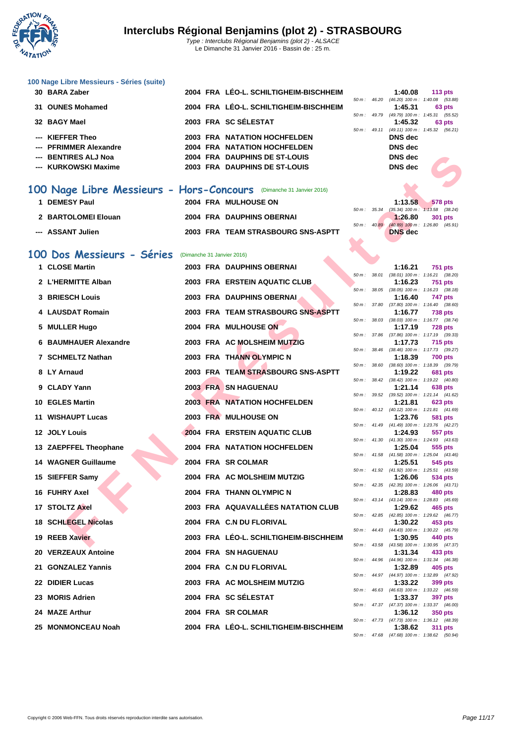

#### **[100 Nage](http://www.ffnatation.fr/webffn/index.php) Libre Messieurs - Séries (suite)**

| 30 BARA Zaber          |  | 2004 FRA LÉO-L. SCHILTIGHEIM-BISCHHEIM |                          | 1:40.08                             | 113 $pts$ |
|------------------------|--|----------------------------------------|--------------------------|-------------------------------------|-----------|
|                        |  |                                        | $50 \text{ m}$ : 46.20   | $(46.20)$ 100 m : 1:40.08 $(53.88)$ |           |
| 31 OUNES Mohamed       |  | 2004 FRA LÉO-L. SCHILTIGHEIM-BISCHHEIM |                          | 1:45.31                             | 63 pts    |
|                        |  |                                        | $50 m$ : 49.79           | (49.79) 100 m: 1:45.31 (55.52)      |           |
| 32 BAGY Mael           |  | 2003 FRA SC SÉLESTAT                   |                          | 1:45.32                             | 63 pts    |
|                        |  |                                        | $50 \text{ m}$ : $49.11$ | (49.11) 100 m: 1:45.32 (56.21)      |           |
| --- KIEFFER Theo       |  | <b>2003 FRA NATATION HOCHFELDEN</b>    |                          | DNS dec                             |           |
| --- PFRIMMER Alexandre |  | 2004 FRA NATATION HOCHFELDEN           |                          | DNS dec                             |           |
| --- BENTIRES ALJ Noa   |  | 2004 FRA DAUPHINS DE ST-LOUIS          |                          | <b>DNS</b> dec                      |           |
| --- KURKOWSKI Maxime   |  | 2003 FRA DAUPHINS DE ST-LOUIS          |                          | DNS dec                             |           |
|                        |  |                                        |                          |                                     |           |

### 100 Nage Libre Messieurs -

| 00 Nage Libre Messieurs - Hors-Concours (Dimanche 31 Janvier 2016) |                                  |    |
|--------------------------------------------------------------------|----------------------------------|----|
| 1 DEMESY Paul                                                      | <b>2004 FRA MULHOUSE ON</b>      | 50 |
| 2 BARTOLOMEI Elouan                                                | <b>2004 FRA DAUPHINS OBERNAI</b> |    |

#### **100 Dos Messieurs - Séries** (Dimanche 31 Janvier 2016)

| --- BENTIRES ALJ Noa                                               |  | 2004 FRA DAUPHINS DE ST-LOUIS          |             |              | <b>DNS</b> dec |                                                              |
|--------------------------------------------------------------------|--|----------------------------------------|-------------|--------------|----------------|--------------------------------------------------------------|
| --- KURKOWSKI Maxime                                               |  | 2003 FRA DAUPHINS DE ST-LOUIS          |             |              | <b>DNS</b> dec |                                                              |
|                                                                    |  |                                        |             |              |                |                                                              |
| 00 Nage Libre Messieurs - Hors-Concours (Dimanche 31 Janvier 2016) |  |                                        |             |              |                |                                                              |
| 1 DEMESY Paul                                                      |  | 2004 FRA MULHOUSE ON                   |             |              | 1:13.58        | <b>578 pts</b>                                               |
| 2 BARTOLOMEI Elouan                                                |  | 2004 FRA DAUPHINS OBERNAI              |             |              | 1.26.80        | 50 m: 35.34 (35.34) 100 m: 1:13.58 (38.24)<br>301 pts        |
|                                                                    |  |                                        | 50 m: 40.89 |              |                | $(40.89)$ 100 m : 1:26.80 $(45.91)$                          |
| --- ASSANT Julien                                                  |  | 2003 FRA TEAM STRASBOURG SNS-ASPTT     |             |              | <b>DNS</b> dec |                                                              |
|                                                                    |  |                                        |             |              |                |                                                              |
| 00 Dos Messieurs - Séries                                          |  | (Dimanche 31 Janvier 2016)             |             |              |                |                                                              |
| 1 CLOSE Martin                                                     |  | 2003 FRA DAUPHINS OBERNAI              |             | 50 m: 38.01  | 1:16.21        | <b>751 pts</b><br>$(38.01)$ 100 m : 1:16.21 $(38.20)$        |
| 2 L'HERMITTE Alban                                                 |  | 2003 FRA ERSTEIN AQUATIC CLUB          |             |              | 1:16.23        | <b>751 pts</b>                                               |
|                                                                    |  |                                        | 50 m :      | 38.05        |                | $(38.05)$ 100 m : 1:16.23 $(38.18)$                          |
| 3 BRIESCH Louis                                                    |  | 2003 FRA DAUPHINS OBERNAI              |             | 50 m : 37.80 | 1:16.40        | 747 pts<br>$(37.80)$ 100 m : 1:16.40 $(38.60)$               |
| 4 LAUSDAT Romain                                                   |  | 2003 FRA TEAM STRASBOURG SNS-ASPTT     |             |              | 1:16.77        | <b>738 pts</b>                                               |
| 5 MULLER Hugo                                                      |  | 2004 FRA MULHOUSE ON                   |             |              | 1:17.19        | 50 m: 38.03 (38.03) 100 m: 1:16.77 (38.74)<br><b>728 pts</b> |
|                                                                    |  |                                        |             |              |                | 50 m: 37.86 (37.86) 100 m: 1:17.19 (39.33)                   |
| <b>6 BAUMHAUER Alexandre</b>                                       |  | 2003 FRA AC MOLSHEIM MUTZIG            |             |              | 1:17.73        | <b>715 pts</b><br>50 m: 38.46 (38.46) 100 m: 1:17.73 (39.27) |
| 7 SCHMELTZ Nathan                                                  |  | 2003 FRA THANN OLYMPIC N               |             |              | 1:18.39        | <b>700 pts</b>                                               |
| 8 LY Arnaud                                                        |  | 2003 FRA TEAM STRASBOURG SNS-ASPTT     | 50 m :      | 38.60        | 1:19.22        | $(38.60)$ 100 m : 1:18.39 $(39.79)$<br><b>681 pts</b>        |
|                                                                    |  |                                        |             |              |                | 50 m: 38.42 (38.42) 100 m: 1:19.22 (40.80)                   |
| 9 CLADY Yann                                                       |  | 2003 FRA SN HAGUENAU                   |             |              | 1:21.14        | 638 pts<br>50 m: 39.52 (39.52) 100 m: 1:21.14 (41.62)        |
| 10 EGLES Martin                                                    |  | <b>2003 FRA NATATION HOCHFELDEN</b>    |             |              | 1:21.81        | 623 pts                                                      |
| 11 WISHAUPT Lucas                                                  |  | 2003 FRA MULHOUSE ON                   |             |              | 1:23.76        | 50 m: 40.12 (40.12) 100 m: 1:21.81 (41.69)<br>581 pts        |
|                                                                    |  |                                        |             |              |                | 50 m: 41.49 (41.49) 100 m: 1:23.76 (42.27)                   |
| 12 JOLY Louis                                                      |  | 2004 FRA ERSTEIN AQUATIC CLUB          |             |              | 1:24.93        | 557 pts<br>50 m: 41.30 (41.30) 100 m: 1:24.93 (43.63)        |
| 13 ZAEPFFEL Theophane                                              |  | 2004 FRA NATATION HOCHFELDEN           |             |              | 1:25.04        | 555 pts                                                      |
| <b>14 WAGNER Guillaume</b>                                         |  | 2004 FRA SR COLMAR                     |             |              | 1:25.51        | 50 m: 41.58 (41.58) 100 m: 1:25.04 (43.46)<br>545 pts        |
|                                                                    |  |                                        |             |              |                | 50 m: 41.92 (41.92) 100 m: 1:25.51 (43.59)                   |
| 15 SIEFFER Samy                                                    |  | 2004 FRA AC MOLSHEIM MUTZIG            |             |              | 1:26.06        | 534 pts<br>50 m: 42.35 (42.35) 100 m: 1:26.06 (43.71)        |
| 16 FUHRY Axel                                                      |  | 2004 FRA THANN OLYMPIC N               |             |              | 1:28.83        | 480 pts                                                      |
| 17 STOLTZ Axel                                                     |  | 2003 FRA AQUAVALLÉES NATATION CLUB     |             |              | 1:29.62        | 50 m: 43.14 (43.14) 100 m: 1:28.83 (45.69)<br>465 pts        |
|                                                                    |  |                                        |             |              |                | 50 m: 42.85 (42.85) 100 m: 1:29.62 (46.77)                   |
| <b>18 SCHLEGEL Nicolas</b>                                         |  | 2004 FRA C.N DU FLORIVAL               |             |              | 1:30.22        | 453 pts<br>50 m: 44.43 (44.43) 100 m: 1:30.22 (45.79)        |
| 19 REEB Xavier                                                     |  | 2003 FRA LÉO-L. SCHILTIGHEIM-BISCHHEIM |             |              | 1:30.95        | 440 pts                                                      |
| 20 VERZEAUX Antoine                                                |  | 2004 FRA SN HAGUENAU                   |             |              | 1:31.34        | 50 m: 43.58 (43.58) 100 m: 1:30.95 (47.37)<br>433 pts        |
|                                                                    |  |                                        |             | 50 m : 44.96 |                | (44.96) 100 m : 1:31.34 (46.38)                              |
| 21 GONZALEZ Yannis                                                 |  | 2004 FRA C.N DU FLORIVAL               |             |              | 1:32.89        | 405 pts<br>50 m: 44.97 (44.97) 100 m: 1:32.89 (47.92)        |
| 22 DIDIER Lucas                                                    |  | 2003 FRA AC MOLSHEIM MUTZIG            |             |              | 1:33.22        | 399 pts                                                      |
| 23 MORIS Adrien                                                    |  | 2004 FRA SC SÉLESTAT                   |             |              | 1:33.37        | 50 m: 46.63 (46.63) 100 m: 1:33.22 (46.59)<br>397 pts        |
|                                                                    |  |                                        |             |              |                | 50 m: 47.37 (47.37) 100 m: 1:33.37 (46.00)                   |
| 24 MAZE Arthur                                                     |  | 2004 FRA SR COLMAR                     |             |              | 1:36.12        | 350 pts<br>50 m: 47.73 (47.73) 100 m: 1:36.12 (48.39)        |
| 25 MONMONCEAU Noah                                                 |  | 2004 FRA LÉO-L. SCHILTIGHEIM-BISCHHEIM |             |              | 1:38.62        | <b>311 pts</b>                                               |

| 50 m: 49.79 |              | (49.79) 100 m: 1:45.31 (55.52)      |                     |                |
|-------------|--------------|-------------------------------------|---------------------|----------------|
|             |              | 1:45.32                             |                     | 63 pts         |
| $50 m$ :    | 49.11        | (49.11) 100 m: 1:45.32 (56.21)      |                     |                |
|             |              | DNS dec                             |                     |                |
|             |              | DNS dec                             |                     |                |
|             |              | DNS dec                             |                     |                |
|             |              | DNS dec                             |                     |                |
|             |              |                                     |                     |                |
|             |              |                                     |                     |                |
|             |              |                                     |                     |                |
|             |              |                                     |                     |                |
|             |              | 1:13.58                             | 578 pts             |                |
|             | 50 m : 35.34 | $(35.34)$ 100 m : 1:13.58 $(38.24)$ |                     |                |
|             |              | 1:26.80                             | <b>301 pts</b>      |                |
| $50 m$ :    | 40.89        | $(40.89)$ 100 m : 1:26.80 $(45.91)$ |                     |                |
|             |              | <b>DNS</b> dec                      |                     |                |
|             |              |                                     |                     |                |
|             |              |                                     |                     |                |
|             |              |                                     |                     |                |
|             |              | 1:16.21                             | <b>751 pts</b>      |                |
| $50 m$ :    | 38.01        | $(38.01)$ 100 m : 1:16.21 $(38.20)$ |                     |                |
|             |              | 1:16.23                             | <b>751 pts</b>      |                |
| 50 m:       | 38.05        | $(38.05)$ 100 m :                   | $1:16.23$ $(38.18)$ |                |
|             |              | 1:16.40                             | <b>747 pts</b>      |                |
| 50 m:       | 37.80        | $(37.80)$ 100 m :                   | $1:16.40$ $(38.60)$ |                |
|             |              | 1:16.77                             | <b>738 pts</b>      |                |
| 50 m :      | 38.03        | $(38.03)$ 100 m :                   | $1:16.77$ $(38.74)$ |                |
|             |              | 1:17.19                             |                     | <b>728 pts</b> |
| 50 m:       | 37.86        | $(37.86)$ 100 m :                   | $1:17.19$ (39.33)   |                |
|             |              | 1:17.73                             | <b>715 pts</b>      |                |
| 50 m:       | 38.46        | $(38.46)$ 100 m : 1:17.73 $(39.27)$ |                     |                |
|             |              | 1:18.39                             | <b>700 pts</b>      |                |
| 50 m :      | 38.60        | $(38.60)$ 100 m : 1:18.39 $(39.79)$ |                     |                |
|             |              | 1-10 22                             | 681 nte             |                |

50 m : 47.68 (47.68) 100 m : 1:38.62 (50.94)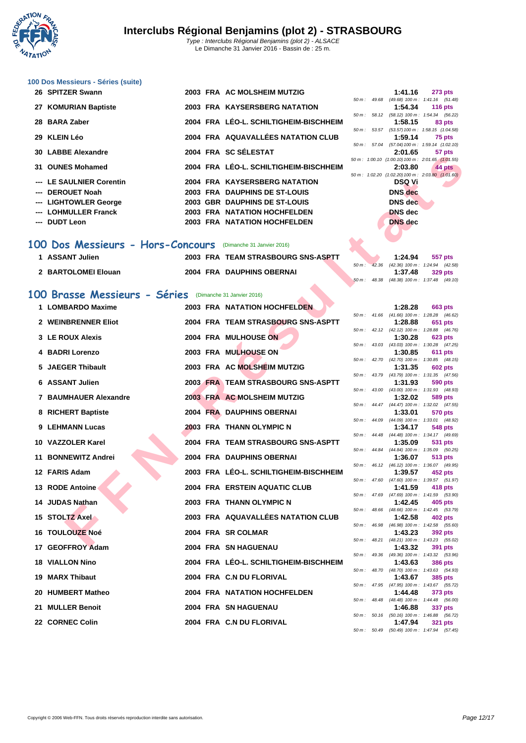

## **[100 Dos M](http://www.ffnatation.fr/webffn/index.php)essieurs - Séries (suite)**

| 26 SPITZER Swann         |  | 2003 FRA AC MOLSHEIM MUTZIG            |                          | 1:41.16                                                  | <b>273 pts</b>                           |
|--------------------------|--|----------------------------------------|--------------------------|----------------------------------------------------------|------------------------------------------|
|                          |  |                                        | $50 \text{ m}$ : 49.68   |                                                          | $(49.68)$ 100 m : 1:41.16 $(51.$         |
| 27 KOMURIAN Baptiste     |  | 2003 FRA KAYSERSBERG NATATION          |                          | 1:54.34                                                  | <b>116 pts</b>                           |
| 28 BARA Zaber            |  | 2004 FRA LÉO-L. SCHILTIGHEIM-BISCHHEIM | $50 \text{ m}$ : $58.12$ | 1:58.15                                                  | $(58.12)$ 100 m : 1:54.34 (56.<br>83 pts |
|                          |  |                                        | $50 \text{ m}$ : $53.57$ |                                                          | (53.57) 100 m : 1:58.15 (1:04.           |
| 29 KLEIN Léo             |  | 2004 FRA AQUAVALLÉES NATATION CLUB     |                          | 1:59.14                                                  | 75 pts                                   |
|                          |  |                                        | 50 m: 57.04              |                                                          | (57.04) 100 m : 1:59.14 (1:02.           |
| 30 LABBE Alexandre       |  | 2004 FRA SC SÉLESTAT                   |                          | 2:01.65                                                  | 57 pts                                   |
| 31 OUNES Mohamed         |  | 2004 FRA LÉO-L. SCHILTIGHEIM-BISCHHEIM |                          | 50 m: 1:00.10 (1:00.10) 100 m: 2:01.65 (1:01.<br>2:03.80 | 44 pts                                   |
|                          |  |                                        |                          | 50 m : 1:02.20 (1:02.20) 100 m : 2:03.80 (1:01.          |                                          |
| --- LE SAULNIER Corentin |  | 2004 FRA KAYSERSBERG NATATION          |                          | <b>DSQ Vi</b>                                            |                                          |
| --- DEROUET Noah         |  | 2003 FRA DAUPHINS DE ST-LOUIS          |                          | <b>DNS</b> dec                                           |                                          |
| --- LIGHTOWLER George    |  | 2003 GBR DAUPHINS DE ST-LOUIS          |                          | DNS dec                                                  |                                          |
| --- LOHMULLER Franck     |  | 2003 FRA NATATION HOCHFELDEN           |                          | <b>DNS</b> dec                                           |                                          |
| --- DUDT Leon            |  | <b>2003 FRA NATATION HOCHFELDEN</b>    |                          | <b>DNS</b> dec                                           |                                          |
|                          |  |                                        |                          |                                                          |                                          |

### **100 Dos Messieurs - Hors-Concours** (Dimanche 31 Janvier 2016)

| <b>ASSANT Julien</b> | 2003 FRA TEAM STRASBOURG SNS-ASPTT |  | 1:24.94                            | 557 pts |
|----------------------|------------------------------------|--|------------------------------------|---------|
|                      |                                    |  | 42.36 (42.36) 100 m : 1:24.94 (42. |         |
| 2 BARTOLOMEI Elouan  | 2004 FRA DAUPHINS OBERNAI          |  | 1:37.48                            | 329 pts |
|                      |                                    |  | 48.38 (48.38) 100 m · 1:37 48 (49) |         |

### **100 Brasse Messieurs - Séries** (Dimanche 31 Janvier 2016)

| JU LADDL AIGAGHUIG                                          |  | $11177$ vv JLLLVIAI                    |          | 2. U I . U J   | <b>JI PLS</b>                                                  |  |
|-------------------------------------------------------------|--|----------------------------------------|----------|----------------|----------------------------------------------------------------|--|
| 31 OUNES Mohamed                                            |  | 2004 FRA LÉO-L. SCHILTIGHEIM-BISCHHEIM |          | 2:03.80        | 50 m: 1:00.10 (1:00.10) 100 m: 2:01.65 (1:01.55)<br>44 pts     |  |
| --- LE SAULNIER Corentin                                    |  | 2004 FRA KAYSERSBERG NATATION          |          | <b>DSQ Vi</b>  | 50 m : 1:02.20 (1:02.20) 100 m : 2:03.80 (1:01.60)             |  |
| --- DEROUET Noah                                            |  | 2003 FRA DAUPHINS DE ST-LOUIS          |          | <b>DNS</b> dec |                                                                |  |
| --- LIGHTOWLER George                                       |  | 2003 GBR DAUPHINS DE ST-LOUIS          |          | DNS dec        |                                                                |  |
| --- LOHMULLER Franck                                        |  | 2003 FRA NATATION HOCHFELDEN           |          | <b>DNS</b> dec |                                                                |  |
| --- DUDT Leon                                               |  | <b>2003 FRA NATATION HOCHFELDEN</b>    |          | DNS dec        |                                                                |  |
|                                                             |  |                                        |          |                |                                                                |  |
| 00 Dos Messieurs - Hors-Concours (Dimanche 31 Janvier 2016) |  |                                        |          |                |                                                                |  |
| 1 ASSANT Julien                                             |  | 2003 FRA TEAM STRASBOURG SNS-ASPTT     |          | 1:24.94        | 557 pts                                                        |  |
| 2 BARTOLOMEI Elouan                                         |  | 2004 FRA DAUPHINS OBERNAI              | $50 m$ : | 1:37.48        | 42.36 (42.36) 100 m: 1:24.94 (42.58)<br><b>329 pts</b>         |  |
|                                                             |  |                                        |          |                | 50 m: 48.38 (48.38) 100 m: 1:37.48 (49.10)                     |  |
| 00 Brasse Messieurs - Séries (Dimanche 31 Janvier 2016)     |  |                                        |          |                |                                                                |  |
| 1 LOMBARDO Maxime                                           |  | <b>2003 FRA NATATION HOCHFELDEN</b>    |          | 1:28.28        | 663 pts                                                        |  |
|                                                             |  |                                        |          |                | 50 m: 41.66 (41.66) 100 m: 1:28.28 (46.62)                     |  |
| 2 WEINBRENNER Eliot                                         |  | 2004 FRA TEAM STRASBOURG SNS-ASPTT     |          | 1:28.88        | 651 pts<br>50 m: 42.12 (42.12) 100 m: 1:28.88 (46.76)          |  |
| 3 LE ROUX Alexis                                            |  | 2004 FRA MULHOUSE ON                   |          | 1:30.28        | <b>623 pts</b>                                                 |  |
| 4 BADRI Lorenzo                                             |  | 2003 FRA MULHOUSE ON                   |          |                | 50 m: 43.03 (43.03) 100 m: 1:30.28 (47.25)                     |  |
|                                                             |  |                                        |          | 1:30.85        | 611 pts<br>50 m: 42.70 (42.70) 100 m: 1:30.85 (48.15)          |  |
| 5 JAEGER Thibault                                           |  | 2003 FRA AC MOLSHEIM MUTZIG            |          | 1:31.35        | <b>602 pts</b>                                                 |  |
| 6 ASSANT Julien                                             |  | 2003 FRA TEAM STRASBOURG SNS-ASPTT     |          | 1:31.93        | 50 m: 43.79 (43.79) 100 m: 1:31.35 (47.56)<br>590 pts          |  |
|                                                             |  |                                        |          |                | 50 m: 43.00 (43.00) 100 m: 1:31.93 (48.93)                     |  |
| 7 BAUMHAUER Alexandre                                       |  | 2003 FRA AC MOLSHEIM MUTZIG            |          | 1:32.02        | 589 pts                                                        |  |
| 8 RICHERT Baptiste                                          |  | 2004 FRA DAUPHINS OBERNAI              |          | 1:33.01        | 50 m: 44.47 (44.47) 100 m: 1:32.02 (47.55)<br><b>570 pts</b>   |  |
|                                                             |  |                                        |          |                | 50 m: 44.09 (44.09) 100 m: 1:33.01 (48.92)                     |  |
| 9 LEHMANN Lucas                                             |  | 2003 FRA THANN OLYMPIC N               |          | 1:34.17        | 548 pts<br>50 m: 44.48 (44.48) 100 m: 1:34.17 (49.69)          |  |
| 10 VAZZOLER Karel                                           |  | 2004 FRA TEAM STRASBOURG SNS-ASPTT     |          | 1:35.09        | 531 pts                                                        |  |
| 11 BONNEWITZ Andrei                                         |  | 2004 FRA DAUPHINS OBERNAI              |          | 1:36.07        | 50 m: 44.84 (44.84) 100 m: 1:35.09 (50.25)<br>513 pts          |  |
|                                                             |  |                                        |          |                | 50 m: 46.12 (46.12) 100 m: 1:36.07 (49.95)                     |  |
| 12 FARIS Adam                                               |  | 2003 FRA LÉO-L. SCHILTIGHEIM-BISCHHEIM |          | 1:39.57        | 452 pts                                                        |  |
| 13 RODE Antoine                                             |  | <b>2004 FRA ERSTEIN AQUATIC CLUB</b>   |          | 1:41.59        | 50 m: 47.60 (47.60) 100 m: 1:39.57 (51.97)<br>418 pts          |  |
|                                                             |  |                                        |          |                | 50 m: 47.69 (47.69) 100 m: 1:41.59 (53.90)                     |  |
| 14 JUDAS Nathan                                             |  | 2003 FRA THANN OLYMPIC N               |          | 1:42.45        | 405 pts<br>50 m: 48.66 (48.66) 100 m: 1:42.45 (53.79)          |  |
| <b>15 STOLTZ Axel</b>                                       |  | 2003 FRA AQUAVALLÉES NATATION CLUB     |          | 1:42.58        | 402 pts                                                        |  |
| 16   TOULOUZE Noé                                           |  | 2004 FRA SR COLMAR                     |          |                | 50 m: 46.98 (46.98) 100 m: 1:42.58 (55.60)                     |  |
|                                                             |  |                                        |          | 1:43.23        | 392 pts<br>50 m: 48.21 (48.21) 100 m: 1:43.23 (55.02)          |  |
| 17 GEOFFROY Adam                                            |  | <b>2004 FRA SN HAGUENAU</b>            |          | 1:43.32        | <b>391 pts</b>                                                 |  |
| <b>18 VIALLON Nino</b>                                      |  | 2004 FRA LEO-L. SCHILTIGHEIM-BISCHHEIM |          | 1:43.63        | 50 m : 49.36 (49.36) 100 m : 1:43.32 (53.96)<br><b>386 pts</b> |  |
|                                                             |  |                                        |          |                | 50 m: 48.70 (48.70) 100 m: 1:43.63 (54.93)                     |  |
| 19 MARX Thibaut                                             |  | 2004 FRA C.N DU FLORIVAL               |          | 1:43.67        | 385 pts<br>50 m: 47.95 (47.95) 100 m: 1:43.67 (55.72)          |  |
| 20 HUMBERT Matheo                                           |  | <b>2004 FRA NATATION HOCHFELDEN</b>    |          | 1:44.48        | 373 pts                                                        |  |
|                                                             |  |                                        |          |                | 50 m: 48.48 (48.48) 100 m: 1:44.48 (56.00)                     |  |
| 21 MULLER Benoit                                            |  | 2004 FRA SN HAGUENAU                   |          | 1:46.88        | 337 pts<br>50 m: 50.16 (50.16) 100 m: 1:46.88 (56.72)          |  |
| 22 CORNEC Colin                                             |  | 2004 FRA C.N DU FLORIVAL               |          | 1:47.94        | <b>321 pts</b>                                                 |  |
|                                                             |  |                                        |          |                |                                                                |  |

|  | 1:41.16        | <b>273 pts</b>                                   |
|--|----------------|--------------------------------------------------|
|  |                | 50 m: 49.68 (49.68) 100 m: 1:41.16 (51.48)       |
|  | 1:54.34        | <b>116 pts</b>                                   |
|  |                | 50 m: 58.12 (58.12) 100 m: 1:54.34 (56.22)       |
|  | 1:58.15        | 83 pts                                           |
|  |                | 50 m: 53.57 (53.57) 100 m: 1:58.15 (1:04.58)     |
|  | 1:59.14        | 75 pts                                           |
|  |                | 50 m: 57.04 (57.04) 100 m: 1:59.14 (1:02.10)     |
|  | 2:01.65        | 57 pts                                           |
|  |                | 50 m: 1:00.10 (1:00.10) 100 m: 2:01.65 (1:01.55) |
|  | 2:03.80        | 44 pts                                           |
|  |                | 50 m: 1:02.20 (1:02.20) 100 m: 2:03.80 (1:01.60) |
|  | DSO Vi         |                                                  |
|  | <b>DNS</b> dec |                                                  |
|  | DNS dec        |                                                  |
|  | <b>DNS</b> dec |                                                  |
|  | DNS dec        |                                                  |
|  |                |                                                  |

|  | 50 m: 42.36 (42.36) 100 m: 1:24.94 (42.58) |
|--|--------------------------------------------|
|  | $1:37.48$ 329 pts                          |
|  | 50 m: 48.38 (48.38) 100 m: 1:37.48 (49.10) |
|  |                                            |
|  |                                            |

|             |       | 1:28.28           | 663 pts             |
|-------------|-------|-------------------|---------------------|
| 50 m: 41.66 |       | $(41.66) 100 m$ : | 1:28.28 (46.62)     |
|             |       | 1:28.88           | 651 pts             |
| $50 m$ :    | 42.12 | $(42.12)$ 100 m : | $1:28.88$ $(46.76)$ |
|             |       | 1:30.28           | 623 pts             |
| $50 m$ :    | 43.03 | $(43.03)$ 100 m : | 1:30.28 (47.25)     |
|             |       | 1:30.85           | 611 pts             |
| 50 m :      | 42.70 | $(42.70)$ 100 m : | 1:30.85 (48.15)     |
|             |       | 1:31.35           | <b>602 pts</b>      |
| $50 m$ :    | 43.79 | $(43.79) 100 m$ : | 1:31.35 (47.56)     |
|             |       | 1:31.93           | 590 pts             |
| 50 m :      | 43.00 | $(43.00)$ 100 m : | 1:31.93 (48.93)     |
|             |       | 1:32.02           | 589 pts             |
| 50 m:       | 44.47 | $(44.47) 100 m$ : | $1:32.02$ $(47.55)$ |
|             |       | 1:33.01           | <b>570 pts</b>      |
| $50 m$ :    | 44.09 | $(44.09) 100 m$ : | 1:33.01 (48.92)     |
|             |       | 1:34.17           | 548 pts             |
| $50 m$ :    | 44.48 | $(44.48) 100 m$ : | 1:34.17 (49.69)     |
|             |       | 1:35.09           | 531 pts             |
| 50 m :      | 44.84 | $(44.84) 100 m$ : | $1:35.09$ (50.25)   |
|             |       | 1:36.07           | <b>513 pts</b>      |
| $50 m$ :    | 46.12 | $(46.12) 100 m$ : | 1:36.07 (49.95)     |
|             |       | 1:39.57           | 452 pts             |
| 50 m :      | 47.60 | $(47.60)$ 100 m : | 1:39.57 (51.97)     |
|             |       | 1:41.59           | 418 pts             |
| $50 m$ :    | 47.69 | (47.69) 100 m :   | 1:41.59 (53.90)     |
|             |       | 1:42.45           | 405 pts             |
| 50 m:       | 48.66 | $(48.66)$ 100 m : | 1:42.45<br>(53.79)  |
|             |       | 1:42.58           | 402 pts             |
| $50 m$ :    | 46.98 | (46.98) 100 m :   | 1:42.58 (55.60)     |
|             |       | 1:43.23           | 392 pts             |
| 50 m:       | 48.21 | $(48.21)$ 100 m : | 1:43.23 (55.02)     |
|             |       | 1:43.32           | 391 pts             |
| $50 m$ :    | 49.36 | $(49.36) 100 m$ : | 1:43.32 (53.96)     |
|             |       | 1:43.63           | <b>386 pts</b>      |
| $50 m$ :    | 48.70 | (48.70) 100 m :   | 1:43.63 (54.93)     |
|             |       | 1:43.67           | 385 pts             |
| $50 m$ :    | 47.95 | (47.95) 100 m :   | $1:43.67$ $(55.72)$ |
|             |       | 1:44.48           | 373 pts             |
| 50 m:       | 48.48 | $(48.48) 100 m$ : | 1:44.48 (56.00)     |
|             |       | 1:46.88           | 337 pts             |
| $50 m$ :    | 50.16 | $(50.16) 100 m$ : | $1:46.88$ $(56.72)$ |
|             |       | 1:47.94           | <b>321 pts</b>      |
| 50 m:       | 50.49 | $(50.49) 100 m$ : | 1:47.94<br>(57.45)  |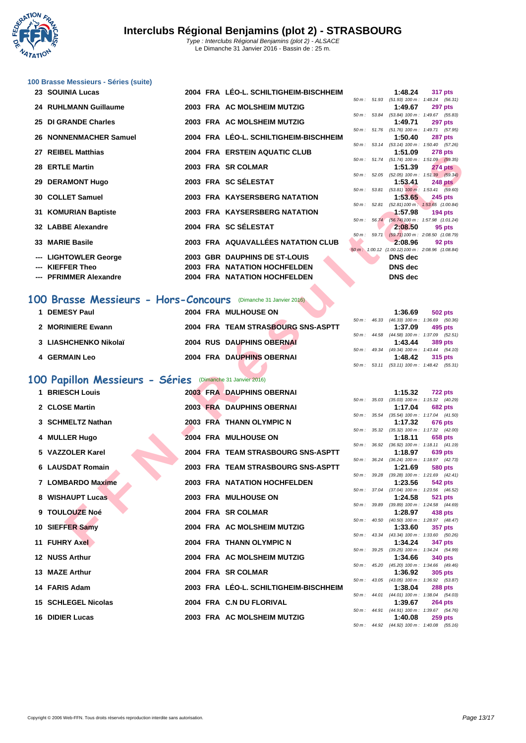

|  |  |  | 100 Brasse Messieurs - Séries (suite) |  |  |  |
|--|--|--|---------------------------------------|--|--|--|
|--|--|--|---------------------------------------|--|--|--|

| 23 SOUINIA Lucas       |  | 2004 FRA LÉO-L. SCHILTIGHEIM-BISCHHEIM |                  | 1:48.24                                                    | 317 pts        |
|------------------------|--|----------------------------------------|------------------|------------------------------------------------------------|----------------|
|                        |  |                                        |                  | 50 m: 51.93 (51.93) 100 m: 1:48.24 (56.                    |                |
| 24 RUHLMANN Guillaume  |  | 2003 FRA AC MOLSHEIM MUTZIG            |                  | 1:49.67                                                    | <b>297 pts</b> |
| 25 DI GRANDE Charles   |  | 2003 FRA AC MOLSHEIM MUTZIG            |                  | 50 m: 53.84 (53.84) 100 m: 1:49.67 (55.<br>1:49.71         |                |
|                        |  |                                        |                  | 50 m: 51.76 (51.76) 100 m: 1:49.71 (57.                    | 297 pts        |
| 26 NONNENMACHER Samuel |  | 2004 FRA LÉO-L. SCHILTIGHEIM-BISCHHEIM |                  | 1:50.40 287 pts                                            |                |
|                        |  |                                        |                  | 50 m: 53.14 (53.14) 100 m: 1:50.40 (57.                    |                |
| 27 REIBEL Matthias     |  | 2004 FRA ERSTEIN AQUATIC CLUB          |                  | 1:51.09 278 pts                                            |                |
|                        |  |                                        |                  | 50 m: 51.74 (51.74) 100 m: 1:51.09 (59.                    |                |
| 28 ERTLE Martin        |  | 2003 FRA SR COLMAR                     |                  | 1:51.39                                                    | <b>274 pts</b> |
|                        |  |                                        |                  | 50 m: 52.05 (52.05) 100 m: 1:51.39 (59.                    |                |
| 29 DERAMONT Hugo       |  | 2003 FRA SC SÉLESTAT                   |                  | 1:53.41 248 pts                                            |                |
|                        |  |                                        |                  | 50 m: 53.81 (53.81) 100 m: 1:53.41 (59.                    |                |
| 30 COLLET Samuel       |  | 2003 FRA KAYSERSBERG NATATION          |                  | 1:53.65                                                    | 245 pts        |
|                        |  |                                        |                  | 50 m: 52.81 (52.81) 100 m: 1:53.65 (1:00.                  |                |
| 31 KOMURIAN Baptiste   |  | 2003 FRA KAYSERSBERG NATATION          |                  | $1:57.98$ 194 pts                                          |                |
|                        |  |                                        |                  | 50 m: 56.74 (56.74) 100 m: 1:57.98 (1:01.                  |                |
| 32 LABBE Alexandre     |  | 2004 FRA SC SÉLESTAT                   |                  | 2:08.50                                                    | 95 pts         |
|                        |  | 2003 FRA AQUAVALLÉES NATATION CLUB     | $50 m$ : $59.71$ | $(59.71)$ 100 m : 2:08.50 (1:08.                           |                |
| 33 MARIE Basile        |  |                                        |                  | 2:08.96<br>50 m : 1:00.12 (1:00.12) 100 m : 2:08.96 (1:08. | 92 pts         |
| --- LIGHTOWLER George  |  | 2003 GBR DAUPHINS DE ST-LOUIS          |                  | DNS dec                                                    |                |
|                        |  |                                        |                  |                                                            |                |
| --- KIEFFER Theo       |  | <b>2003 FRA NATATION HOCHFELDEN</b>    |                  | DNS dec                                                    |                |
| --- PFRIMMER Alexandre |  | <b>2004 FRA NATATION HOCHFELDEN</b>    |                  | DNS dec                                                    |                |
|                        |  |                                        |                  |                                                            |                |

# **100 Brasse Messieurs - Hors-Concours** (Dimanche 31 Janvier 2016)

| <b>DEMESY Paul</b>    | 2004 FRA MULHOUSE ON               |        |       | 1:36.69                                 | 502 pts |
|-----------------------|------------------------------------|--------|-------|-----------------------------------------|---------|
|                       |                                    | 50 m : | 46.33 | $(46.33)$ 100 m : 1:36.69 (50.          |         |
| 2 MORINIERE Ewann     | 2004 FRA TEAM STRASBOURG SNS-ASPTT |        |       | 1:37.09                                 | 495 pts |
|                       |                                    |        |       | 50 m: 44.58 (44.58) 100 m: 1:37.09 (52. |         |
| 3 LIASHCHENKO Nikolaï | <b>2004 RUS DAUPHINS OBERNAI</b>   |        |       | 1:43.44                                 | 389 pts |
|                       |                                    |        |       | 50 m: 49.34 (49.34) 100 m: 1:43.44 (54. |         |
| <b>4 GERMAIN Leo</b>  | 2004 FRA DAUPHINS OBERNAI          |        |       | 1:48.42                                 | 315 pts |
|                       |                                    |        |       |                                         |         |

# **100 Papillon Messieurs - Séries** (Dimanche 31 Janvier 2016)

| שטוויוסו <i>יי</i> ם בוש                                              |  | <b>LIVOTEIN AWUATIU ULUU</b>           |  |                | <b><i>LIO</i></b> pla                                        |
|-----------------------------------------------------------------------|--|----------------------------------------|--|----------------|--------------------------------------------------------------|
| 28 ERTLE Martin                                                       |  | 2003 FRA SR COLMAR                     |  | 1:51.39        | 50 m: 51.74 (51.74) 100 m: 1:51.09 (59.35)<br><b>274 pts</b> |
| 29 DERAMONT Hugo                                                      |  | 2003 FRA SC SÉLESTAT                   |  | 1:53.41        | 50 m: 52.05 (52.05) 100 m: 1:51.39 (59.34)<br><b>248 pts</b> |
|                                                                       |  |                                        |  |                | 50 m: 53.81 (53.81) 100 m: 1:53.41 (59.60)                   |
| 30 COLLET Samuel                                                      |  | 2003 FRA KAYSERSBERG NATATION          |  | 1:53.65        | 245 pts                                                      |
| 31 KOMURIAN Baptiste                                                  |  | 2003 FRA KAYSERSBERG NATATION          |  | 1:57.98        | 50 m: 52.81 (52.81) 100 m: 1:53.65 (1:00.84)<br>$194$ pts    |
|                                                                       |  |                                        |  |                | 50 m: 56.74 (56.74) 100 m: 1:57.98 (1:01.24)                 |
| 32 LABBE Alexandre                                                    |  | 2004 FRA SC SÉLESTAT                   |  | 2:08.50        | 95 pts<br>50 m: 59.71 (59.71) 100 m: 2:08.50 (1:08.79)       |
| 33 MARIE Basile                                                       |  | 2003 FRA AQUAVALLÉES NATATION CLUB     |  | 2:08.96        | 92 pts                                                       |
| <b>LIGHTOWLER George</b>                                              |  | 2003 GBR DAUPHINS DE ST-LOUIS          |  | <b>DNS</b> dec | 50 m : 1:00.12 (1:00.12) 100 m : 2:08.96 (1:08.84)           |
| <b>KIEFFER Theo</b>                                                   |  | 2003 FRA NATATION HOCHFELDEN           |  | <b>DNS</b> dec |                                                              |
| <b>PFRIMMER Alexandre</b>                                             |  | 2004 FRA NATATION HOCHFELDEN           |  | DNS dec        |                                                              |
|                                                                       |  |                                        |  |                |                                                              |
| <b>00 Brasse Messieurs - Hors-Concours</b> (Dimanche 31 Janvier 2016) |  |                                        |  |                |                                                              |
|                                                                       |  |                                        |  |                |                                                              |
| 1 DEMESY Paul                                                         |  | 2004 FRA MULHOUSE ON                   |  | 1:36.69        | 502 pts<br>50 m: 46.33 (46.33) 100 m: 1:36.69 (50.36)        |
| 2 MORINIERE Ewann                                                     |  | 2004 FRA TEAM STRASBOURG SNS-ASPTT     |  | 1:37.09        | 495 pts                                                      |
|                                                                       |  |                                        |  |                | 50 m: 44.58 (44.58) 100 m: 1:37.09 (52.51)                   |
| 3 LIASHCHENKO Nikolaï                                                 |  | <b>2004 RUS DAUPHINS OBERNAI</b>       |  | 1:43.44        | <b>389 pts</b><br>50 m: 49.34 (49.34) 100 m: 1:43.44 (54.10) |
| 4 GERMAIN Leo                                                         |  | 2004 FRA DAUPHINS OBERNAI              |  | 1:48.42        | 315 pts                                                      |
|                                                                       |  |                                        |  |                | 50 m: 53.11 (53.11) 100 m: 1:48.42 (55.31)                   |
| 00 Papillon Messieurs - Séries                                        |  | (Dimanche 31 Janvier 2016)             |  |                |                                                              |
| 1 BRIESCH Louis                                                       |  | 2003 FRA DAUPHINS OBERNAI              |  | 1:15.32        | <b>722 pts</b>                                               |
|                                                                       |  |                                        |  |                | 50 m: 35.03 (35.03) 100 m: 1:15.32 (40.29)                   |
| 2 CLOSE Martin                                                        |  | 2003 FRA DAUPHINS OBERNAI              |  | 1:17.04        | <b>682 pts</b>                                               |
| 3 SCHMELTZ Nathan                                                     |  | 2003 FRA THANN OLYMPIC N               |  | 1:17.32        | 50 m: 35.54 (35.54) 100 m: 1:17.04 (41.50)<br>676 pts        |
|                                                                       |  |                                        |  |                | 50 m: 35.32 (35.32) 100 m: 1:17.32 (42.00)                   |
| 4 MULLER Hugo                                                         |  | 2004 FRA MULHOUSE ON                   |  | 1:18.11        | 658 pts<br>50 m: 36.92 (36.92) 100 m: 1:18.11 (41.19)        |
| 5 VAZZOLER Karel                                                      |  | 2004 FRA TEAM STRASBOURG SNS-ASPTT     |  | 1:18.97        | 639 pts                                                      |
|                                                                       |  |                                        |  |                | 50 m: 36.24 (36.24) 100 m: 1:18.97 (42.73)                   |
| 6 LAUSDAT Romain                                                      |  | 2003 FRA TEAM STRASBOURG SNS-ASPTT     |  | 1:21.69        | 580 pts<br>50 m: 39.28 (39.28) 100 m: 1:21.69 (42.41)        |
| 7 LOMBARDO Maxime                                                     |  | <b>2003 FRA NATATION HOCHFELDEN</b>    |  | 1:23.56        | 542 pts                                                      |
|                                                                       |  |                                        |  |                | 50 m: 37.04 (37.04) 100 m: 1:23.56 (46.52)                   |
| 8 WISHAUPT Lucas                                                      |  | 2003 FRA MULHOUSE ON                   |  | 1:24.58        | 521 pts<br>50 m: 39.89 (39.89) 100 m: 1:24.58 (44.69)        |
| 9 TOULOUZE Noé                                                        |  | 2004 FRA SR COLMAR                     |  | 1:28.97        | 438 pts                                                      |
| 10 SIEFFER Samy                                                       |  | 2004 FRA AC MOLSHEIM MUTZIG            |  | 1:33.60        | 50 m: 40.50 (40.50) 100 m: 1:28.97 (48.47)<br>357 pts        |
|                                                                       |  |                                        |  |                | 50 m: 43.34 (43.34) 100 m: 1:33.60 (50.26)                   |
| 11 FUHRY Axel                                                         |  | 2004 FRA THANN OLYMPIC N               |  | 1:34.24        | <b>347 pts</b>                                               |
| 12 NUSS Arthur                                                        |  | 2004 FRA AC MOLSHEIM MUTZIG            |  | 1:34.66        | 50 m: 39.25 (39.25) 100 m: 1:34.24 (54.99)<br>340 pts        |
|                                                                       |  |                                        |  |                | 50 m: 45.20 (45.20) 100 m: 1:34.66 (49.46)                   |
| 13 MAZE Arthur                                                        |  | 2004 FRA SR COLMAR                     |  | 1:36.92        | 305 pts                                                      |
| 14 FARIS Adam                                                         |  | 2003 FRA LEO-L. SCHILTIGHEIM-BISCHHEIM |  | 1:38.04        | 50 m: 43.05 (43.05) 100 m: 1:36.92 (53.87)<br>288 pts        |
|                                                                       |  |                                        |  |                | 50 m: 44.01 (44.01) 100 m: 1:38.04 (54.03)                   |
| <b>15 SCHLEGEL Nicolas</b>                                            |  | 2004 FRA C.N DU FLORIVAL               |  | 1:39.67        | <b>264 pts</b><br>50 m: 44.91 (44.91) 100 m: 1:39.67 (54.76) |
| 16 DIDIER Lucas                                                       |  | 2003 FRA AC MOLSHEIM MUTZIG            |  | 1:40.08        | $259$ pts                                                    |
|                                                                       |  |                                        |  |                |                                                              |

|                          |       | 1:48.24           | 317 pts                                 |
|--------------------------|-------|-------------------|-----------------------------------------|
| $50 m$ : $51.93$         |       | $(51.93) 100 m$ : | 1:48.24 (56.31)                         |
|                          |       | 1:49.67           | <b>297 pts</b>                          |
| $50 m$ :                 | 53.84 | $(53.84) 100 m$ : | 1:49.67 (55.83)                         |
|                          |       | 1:49.71           | <b>297 pts</b>                          |
| 50 m: 51.76              |       | $(51.76) 100 m$ : | 1:49.71 (57.95)                         |
|                          |       | 1:50.40           | <b>287 pts</b>                          |
| $50 m$ :                 | 53.14 | $(53.14) 100 m$ : | 1:50.40 (57.26)                         |
|                          |       | 1:51.09           | <b>278 pts</b>                          |
| 50 m: 51.74              |       | $(51.74) 100 m$ : | 1:51.09 (59.35)                         |
|                          |       | 1:51.39           | <b>274 pts</b>                          |
| $50 m$ :                 | 52.05 |                   | (52.05) 100 m : 1:51.39 (59.34)         |
|                          |       | 1:53.41           | <b>248 pts</b>                          |
| 50 m: 53.81              |       |                   | $(53.81)$ 100 m : 1:53.41 $(59.60)$     |
|                          |       | 1:53.65           | <b>245 pts</b>                          |
| 50 m: 52.81              |       | $(52.81) 100 m$ : | 1:53.65 (1:00.84)                       |
|                          |       | 1:57.98           | <b>194 pts</b>                          |
| $50 m$ :                 | 56.74 |                   | (56.74) 100 m: 1:57.98 (1:01.24)        |
|                          |       | 2:08.50           | 95 pts                                  |
| $50 m$ :                 | 59.71 |                   | $(59.71)$ 100 m : 2:08.50 $(1:08.79)$   |
|                          |       | 2:08.96           | 92 pts                                  |
| $50 \text{ m}$ ; 1:00.12 |       |                   | $(1:00.12)$ 100 m : 2:08.96 $(1:08.84)$ |
|                          |       | DNS dec           |                                         |
|                          |       | DNS dec           |                                         |
|                          |       | <b>DNS</b> dec    |                                         |
|                          |       |                   |                                         |

|  |  | $\cdots$                                   |  |
|--|--|--------------------------------------------|--|
|  |  | 50 m: 46.33 (46.33) 100 m: 1:36.69 (50.36) |  |
|  |  | $1:37.09$ 495 pts                          |  |
|  |  | 50 m: 44.58 (44.58) 100 m: 1:37.09 (52.51) |  |
|  |  | $1:43.44$ 389 pts                          |  |
|  |  | 50 m: 49.34 (49.34) 100 m: 1:43.44 (54.10) |  |
|  |  | $1:48.42$ 315 pts                          |  |
|  |  | 50 m: 53.11 (53.11) 100 m: 1:48.42 (55.31) |  |
|  |  |                                            |  |

|                |       | 1:15.32                      | 722 pts                               |
|----------------|-------|------------------------------|---------------------------------------|
| $50 m$ : 35.03 |       | $(35.03)$ 100 m :            | $1:15.32$ $(40.29)$                   |
|                |       | 1:17.04                      | <b>682 pts</b>                        |
| 50 m :         | 35.54 | $(35.54) 100 m$ :            | $1:17.04$ $(41.50)$                   |
|                |       | 1:17.32                      | <b>676 pts</b>                        |
| 50 m :         | 35.32 | $(35.32) 100 m$ :            | $1:17.32$ $(42.00)$                   |
|                |       | 1:18.11                      | 658 pts                               |
| 50 m :         | 36.92 | $(36.92)$ 100 m :            | $1:18.11$ $(41.19)$                   |
|                |       | 1:18.97                      | 639 pts                               |
| 50 m :         | 36.24 | $(36.24)$ 100 m :            | 1:18.97 (42.73)                       |
|                |       | 1:21.69                      | <b>580 pts</b>                        |
| 50 m :         | 39.28 | $(39.28) 100 m$ :            | $1:21.69$ $(42.41)$                   |
|                |       | 1:23.56                      | 542 pts                               |
| 50 m :         | 37.04 | $(37.04)$ 100 m :            | 1:23.56 (46.52)                       |
|                |       | 1:24.58                      | 521 pts                               |
| 50 m :         | 39.89 | $(39.89) 100 m$ :            | 1:24.58 (44.69)                       |
|                |       |                              |                                       |
|                |       | 1:28.97                      | 438 pts                               |
| 50 m :         | 40.50 | $(40.50)$ 100 m :            | 1:28.97 (48.47)                       |
|                |       | 1:33.60                      | 357 pts                               |
| $50 m$ :       | 43.34 | $(43.34) 100 m$ :            | $1:33.60$ (50.26)                     |
|                |       | 1:34.24                      | 347 pts                               |
| 50 m :         | 39.25 | $(39.25)$ 100 m :            | 1:34.24 (54.99)                       |
|                |       | 1:34.66                      | 340 pts                               |
| 50 m :         | 45.20 | $(45.20)$ 100 m :            | 1:34.66 (49.46)                       |
|                |       | 1:36.92                      | 305 pts                               |
| 50 m :         | 43.05 | $(43.05)$ 100 m :            | $1:36.92$ $(53.87)$                   |
|                |       | 1:38.04                      | 288 pts                               |
| 50 m :         | 44.01 | $(44.01)$ 100 m :            | $1:38.04$ $(54.03)$                   |
|                |       | 1:39.67                      | <b>264 pts</b>                        |
| 50 m :         | 44.91 | $(44.91)$ 100 m :            | 1:39.67 (54.76)                       |
| $50 m$ : 44.92 |       | 1:40.08<br>$(44.92) 100 m$ : | <b>259 pts</b><br>$1:40.08$ $(55.16)$ |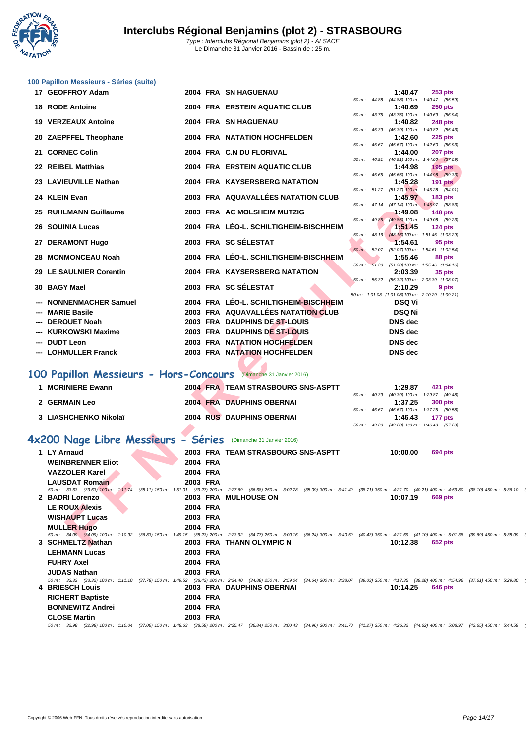

|     | 100 Papillon Messieurs - Séries (suite)                                                                                                                                                              |          |                                        |             |                |                                                              |  |
|-----|------------------------------------------------------------------------------------------------------------------------------------------------------------------------------------------------------|----------|----------------------------------------|-------------|----------------|--------------------------------------------------------------|--|
|     | 17 GEOFFROY Adam                                                                                                                                                                                     |          | 2004 FRA SN HAGUENAU                   |             | 1:40.47        | $253$ pts                                                    |  |
|     | <b>18 RODE Antoine</b>                                                                                                                                                                               |          | 2004 FRA ERSTEIN AQUATIC CLUB          |             | 1:40.69        | 50 m: 44.88 (44.88) 100 m: 1:40.47 (55.59)<br><b>250 pts</b> |  |
|     | <b>19 VERZEAUX Antoine</b>                                                                                                                                                                           |          | 2004 FRA SN HAGUENAU                   |             | 1:40.82        | 50 m: 43.75 (43.75) 100 m: 1:40.69 (56.94)<br><b>248 pts</b> |  |
|     |                                                                                                                                                                                                      |          |                                        |             |                | 50 m: 45.39 (45.39) 100 m: 1:40.82 (55.43)                   |  |
|     | 20 ZAEPFFEL Theophane                                                                                                                                                                                |          | 2004 FRA NATATION HOCHFELDEN           |             | 1:42.60        | <b>225 pts</b>                                               |  |
|     | 21 CORNEC Colin                                                                                                                                                                                      |          | 2004 FRA C.N DU FLORIVAL               |             | 1:44.00        | 50 m: 45.67 (45.67) 100 m: 1:42.60 (56.93)<br>207 pts        |  |
|     |                                                                                                                                                                                                      |          |                                        |             |                | 50 m: 46.91 (46.91) 100 m: 1:44.00 (57.09)                   |  |
|     | 22 REIBEL Matthias                                                                                                                                                                                   |          | 2004 FRA ERSTEIN AQUATIC CLUB          |             | 1:44.98        | $195$ pts<br>50 m: 45.65 (45.65) 100 m: 1:44.98 (59.33)      |  |
|     | 23 LAVIEUVILLE Nathan                                                                                                                                                                                |          | 2004 FRA KAYSERSBERG NATATION          |             | 1:45.28        | 191 $p$ ts                                                   |  |
|     | 24 KLEIN Evan                                                                                                                                                                                        |          | 2003 FRA AQUAVALLÉES NATATION CLUB     |             | 1:45.97        | 50 m: 51.27 (51.27) 100 m: 1:45.28 (54.01)<br><b>183 pts</b> |  |
|     |                                                                                                                                                                                                      |          |                                        |             |                | 50 m: 47.14 (47.14) 100 m: 1:45.97 (58.83)                   |  |
|     | 25 RUHLMANN Guillaume                                                                                                                                                                                |          | 2003 FRA AC MOLSHEIM MUTZIG            |             | 1:49.08        | <b>148 pts</b>                                               |  |
|     | <b>26 SOUINIA Lucas</b>                                                                                                                                                                              |          | 2004 FRA LÉO-L. SCHILTIGHEIM-BISCHHEIM |             | 1:51.45        | 50 m: 49.85 (49.85) 100 m: 1:49.08 (59.23)<br>124 $pts$      |  |
|     |                                                                                                                                                                                                      |          |                                        |             |                | 50 m: 48.16 (48.16) 100 m: 1:51.45 (1:03.29)                 |  |
|     | 27 DERAMONT Hugo                                                                                                                                                                                     |          | 2003 FRA SC SÉLESTAT                   | $50 m$ :    | 1:54.61        | 95 pts<br>52.07 (52.07) 100 m : 1:54.61 (1:02.54)            |  |
| 28. | <b>MONMONCEAU Noah</b>                                                                                                                                                                               |          | 2004 FRA LÉO-L. SCHILTIGHEIM-BISCHHEIM |             | 1:55.46        | 88 pts                                                       |  |
|     | 29 LE SAULNIER Corentin                                                                                                                                                                              |          | <b>2004 FRA KAYSERSBERG NATATION</b>   | $50 m$ :    | 2:03.39        | 51.30 (51.30) 100 m : 1:55.46 (1:04.16)<br>35 pts            |  |
|     |                                                                                                                                                                                                      |          |                                        |             |                | 50 m: 55.32 (55.32) 100 m: 2:03.39 (1:08.07)                 |  |
|     | 30 BAGY Mael                                                                                                                                                                                         |          | 2003 FRA SC SÉLESTAT                   |             | 2:10.29        | 9 pts<br>50 m: 1:01.08 (1:01.08) 100 m: 2:10.29 (1:09.21)    |  |
|     | <b>NONNENMACHER Samuel</b>                                                                                                                                                                           |          | 2004 FRA LÉO-L. SCHILTIGHEIM-BISCHHEIM |             | <b>DSQ Vi</b>  |                                                              |  |
|     | --- MARIE Basile                                                                                                                                                                                     |          | 2003 FRA AQUAVALLÉES NATATION CLUB     |             | <b>DSQ Ni</b>  |                                                              |  |
|     | --- DEROUET Noah                                                                                                                                                                                     |          | 2003 FRA DAUPHINS DE ST-LOUIS          |             | <b>DNS</b> dec |                                                              |  |
|     | --- KURKOWSKI Maxime                                                                                                                                                                                 |          | 2003 FRA DAUPHINS DE ST-LOUIS          |             | <b>DNS</b> dec |                                                              |  |
|     | --- DUDT Leon                                                                                                                                                                                        |          | 2003 FRA NATATION HOCHFELDEN           |             | <b>DNS</b> dec |                                                              |  |
|     | --- LOHMULLER Franck                                                                                                                                                                                 |          | 2003 FRA NATATION HOCHFELDEN           |             | <b>DNS</b> dec |                                                              |  |
|     |                                                                                                                                                                                                      |          |                                        |             |                |                                                              |  |
|     | 100 Papillon Messieurs - Hors-Concours (Dimanche 31 Janvier 2016)                                                                                                                                    |          |                                        |             |                |                                                              |  |
|     | 1 MORINIERE Ewann                                                                                                                                                                                    |          | 2004 FRA TEAM STRASBOURG SNS-ASPTT     |             | 1:29.87        | 421 pts                                                      |  |
|     | 2 GERMAIN Leo                                                                                                                                                                                        |          | <b>2004 FRA DAUPHINS OBERNAI</b>       | 50 m: 40.39 | 1:37.25        | (40.39) 100 m: 1:29.87 (49.48)<br>300 pts                    |  |
|     |                                                                                                                                                                                                      |          |                                        |             |                | 50 m: 46.67 (46.67) 100 m: 1:37.25 (50.58)                   |  |
|     | 3 LIASHCHENKO Nikolaï                                                                                                                                                                                |          | <b>2004 RUS DAUPHINS OBERNAI</b>       |             | 1:46.43        | 177 pts                                                      |  |
|     |                                                                                                                                                                                                      |          |                                        |             |                | 50 m: 49.20 (49.20) 100 m: 1:46.43 (57.23)                   |  |
|     | 4x200 Nage Libre Messieurs - Séries                                                                                                                                                                  |          | (Dimanche 31 Janvier 2016)             |             |                |                                                              |  |
|     | 1 LY Arnaud                                                                                                                                                                                          |          | 2003 FRA TEAM STRASBOURG SNS-ASPTT     |             | 10:00.00       | 694 pts                                                      |  |
|     | <b>WEINBRENNER Eliot</b>                                                                                                                                                                             | 2004 FRA |                                        |             |                |                                                              |  |
|     | <b>VAZZOLER Karel</b>                                                                                                                                                                                | 2004 FRA |                                        |             |                |                                                              |  |
|     | <b>LAUSDAT Romain</b>                                                                                                                                                                                | 2003 FRA |                                        |             |                |                                                              |  |
|     | 50 m: 33.63 (33.63) 100 m: 1:11.74 (38.11) 150 m: 1:51.01 (39.27) 200 m: 2:27.69 (36.68) 250 m: 3:02.78 (35.09) 300 m: 3:41.49 (38.71) 350 m: 4:21.70 (40.21) 400 m: 4:59.80 (38.<br>2 BADRI Lorenzo |          | <b>2003 FRA MULHOUSE ON</b>            |             | 10:07.19       | 669 pts                                                      |  |
|     | <b>LE ROUX Alexis</b>                                                                                                                                                                                | 2004 FRA |                                        |             |                |                                                              |  |
|     | <b>WISHAUPT Lucas</b>                                                                                                                                                                                | 2003 FRA |                                        |             |                |                                                              |  |
|     | <b>MULLER Hugo</b>                                                                                                                                                                                   | 2004 FRA |                                        |             |                |                                                              |  |
|     | 50 m : 34.09 (34.09) 100 m : 1:10.92 (36.83) 150 m : 1:49.15 (38.23) 200 m : 2:23.92 (34.77) 250 m : 3:00.16 (36.24) 300 m : 3:40.59 (40.43) 350 m : 4:21.69 (41.10) 400 m : 5:01.38 (39             |          |                                        |             |                |                                                              |  |
|     | 3 SCHMELTZ Nathan                                                                                                                                                                                    |          | 2003 FRA THANN OLYMPIC N               |             | 10:12.38       | 652 pts                                                      |  |

| LT Arnaud                | <b>ZUUS FRA TEAM SIRASBUURG SNS-ASPIT</b>                                                                                                                                                                   | <b>TU:UU.UU</b><br><b>094 PIS</b> |
|--------------------------|-------------------------------------------------------------------------------------------------------------------------------------------------------------------------------------------------------------|-----------------------------------|
| <b>WEINBRENNER Eliot</b> | 2004 FRA                                                                                                                                                                                                    |                                   |
| <b>VAZZOLER Karel</b>    | 2004 FRA                                                                                                                                                                                                    |                                   |
| <b>LAUSDAT Romain</b>    | 2003 FRA                                                                                                                                                                                                    |                                   |
|                          | 50 m: 33.63 (33.63) 100 m: 1:11.74 (38.11) 150 m: 1:51.01 (39.27) 200 m: 2:27.69 (36.68) 250 m: 3:02.78 (35.09) 300 m: 3:41.49 (38.71) 350 m: 4:21.70 (40.21) 400 m: 4:59.80 (38.10) 450 m: 5:36.10 (36.30) |                                   |
| 2 BADRI Lorenzo          | 2003 FRA MULHOUSE ON                                                                                                                                                                                        | 10:07.19<br>669 pts               |
| <b>LE ROUX Alexis</b>    | 2004 FRA                                                                                                                                                                                                    |                                   |
| <b>WISHAUPT Lucas</b>    | 2003 FRA                                                                                                                                                                                                    |                                   |
| <b>MULLER Hugo</b>       | 2004 FRA                                                                                                                                                                                                    |                                   |
|                          | 50 m: 34.09 (34.09) 100 m: 1:10.92 (36.83) 150 m: 1:49.15 (38.23) 200 m: 2:23.92 (34.77) 250 m: 3:00.16 (36.24) 300 m: 3:40.59 (40.43) 350 m: 4:21.69 (41.10) 400 m: 5:01.38 (39.69) 450 m: 5:38.09 (36.71) |                                   |
| 3 SCHMELTZ Nathan        | 2003 FRA THANN OLYMPIC N                                                                                                                                                                                    | 10:12.38<br>652 pts               |
| <b>LEHMANN Lucas</b>     | 2003 FRA                                                                                                                                                                                                    |                                   |
| <b>FUHRY Axel</b>        | 2004 FRA                                                                                                                                                                                                    |                                   |
| <b>JUDAS Nathan</b>      | 2003 FRA                                                                                                                                                                                                    |                                   |
|                          | 50 m: 33.32 (33.32) 100 m: 1:11.10 (37.78) 150 m: 1:49.52 (38.42) 200 m: 2:24.40 (34.88) 250 m: 2:59.04 (34.64) 300 m: 3:38.07 (39.03) 350 m: 4:17.35 (39.28) 400 m: 4:54.96 (37.61) 450 m: 5:29.80 (34.84) |                                   |
| 4 BRIESCH Louis          | 2003 FRA DAUPHINS OBERNAI                                                                                                                                                                                   | 10:14.25<br>646 pts               |
| <b>RICHERT Baptiste</b>  | 2004 FRA                                                                                                                                                                                                    |                                   |
| <b>BONNEWITZ Andrei</b>  | 2004 FRA                                                                                                                                                                                                    |                                   |
| <b>CLOSE Martin</b>      | 2003 FRA                                                                                                                                                                                                    |                                   |
|                          | 50 m: 32.98 (32.98) 100 m: 1:10.04 (37.06) 150 m: 1:48.63 (38.59) 200 m: 2:25.47 (36.84) 250 m: 3:00.43 (34.96) 300 m: 3:41.70 (41.27) 350 m: 4:26.32 (44.62) 400 m: 5:08.97 (42.65) 450 m: 5:44.59 (35.62) |                                   |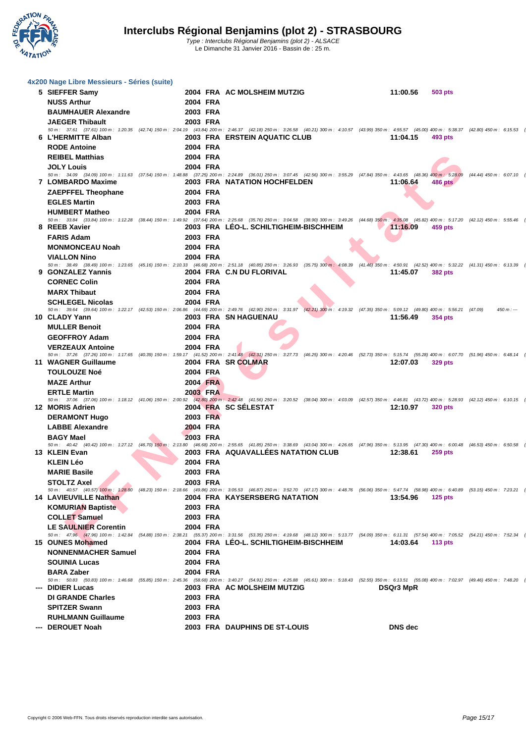

| 4x200 Nage Libre Messieurs - Séries (suite)      |                                                                                                                                                                                                                                                       |           |                    |                                                       |
|--------------------------------------------------|-------------------------------------------------------------------------------------------------------------------------------------------------------------------------------------------------------------------------------------------------------|-----------|--------------------|-------------------------------------------------------|
| 5 SIEFFER Samy                                   | 2004 FRA AC MOLSHEIM MUTZIG                                                                                                                                                                                                                           | 11:00.56  | 503 pts            |                                                       |
| <b>NUSS Arthur</b>                               | 2004 FRA                                                                                                                                                                                                                                              |           |                    |                                                       |
| <b>BAUMHAUER Alexandre</b>                       | 2003 FRA                                                                                                                                                                                                                                              |           |                    |                                                       |
| <b>JAEGER Thibault</b>                           | 2003 FRA                                                                                                                                                                                                                                              |           |                    |                                                       |
|                                                  | 50 m: 37.61 (37.61) 100 m: 1:20.35 (42.74) 150 m: 2:04.19 (43.84) 200 m: 2:46.37 (42.18) 250 m: 3:26.58 (40.21) 300 m: 4:10.57 (43.99) 350 m: 4:55.57 (45.00) 400 m: 5:38.37 (42.80) 450 m: 6:15.53 (37.16)                                           |           |                    |                                                       |
| 6 L'HERMITTE Alban                               | 2003 FRA ERSTEIN AQUATIC CLUB                                                                                                                                                                                                                         |           | $11:04.15$ 493 pts |                                                       |
| <b>RODE Antoine</b>                              | 2004 FRA                                                                                                                                                                                                                                              |           |                    |                                                       |
| <b>REIBEL Matthias</b><br><b>JOLY Louis</b>      | 2004 FRA<br>2004 FRA                                                                                                                                                                                                                                  |           |                    |                                                       |
|                                                  | 50 m: 34.09 (34.09) 100 m: 1:11.63 (37.54) 150 m: 1:48.88 (37.25) 200 m: 2:24.89 (36.01) 250 m: 3:07.45 (42.56) 300 m: 3:55.29 (47.84) 350 m: 4:43.65 (48.36) 400 m: 5:28.09 (44.44) 450 m: 6:07.10 (39.01)                                           |           |                    |                                                       |
| 7 LOMBARDO Maxime                                | 2003 FRA NATATION HOCHFELDEN                                                                                                                                                                                                                          | 11:06.64  | 486 pts            |                                                       |
| <b>ZAEPFFEL Theophane</b>                        | 2004 FRA                                                                                                                                                                                                                                              |           |                    |                                                       |
| <b>EGLES Martin</b>                              | 2003 FRA                                                                                                                                                                                                                                              |           |                    |                                                       |
| <b>HUMBERT Matheo</b>                            | 2004 FRA<br>50 m: 33.84 (33.84) 100 m: 1:12.28 (38.44) 150 m: 1:49.92 (37.64) 200 m: 2:25.68 (35.76) 250 m: 3:04.58 (38.90) 300 m: 3:49.26 (44.68) 350 m: 4:35.08 (45.82) 400 m: 5:17.20 (42.12) 450 m: 5:55.46 (38.26)                               |           |                    |                                                       |
| 8 REEB Xavier                                    | 2003 FRA LÉO-L. SCHILTIGHEIM-BISCHHEIM                                                                                                                                                                                                                | 11:16.09  | 459 pts            |                                                       |
| <b>FARIS Adam</b>                                | 2003 FRA                                                                                                                                                                                                                                              |           |                    |                                                       |
| <b>MONMONCEAU Noah</b>                           | 2004 FRA                                                                                                                                                                                                                                              |           |                    |                                                       |
| <b>VIALLON Nino</b>                              | 2004 FRA                                                                                                                                                                                                                                              |           |                    |                                                       |
| 9 GONZALEZ Yannis                                | 50 m : 38.49 (38.49) 100 m : 1:23.65 (45.16) 150 m : 2:10.33 (46.68) 200 m : 2:51.18 (40.85) 250 m : 3:26.93 (35.75) 300 m : 4:08.39 (41.46) 350 m : 4:50.91<br>2004 FRA C.N DU FLORIVAL                                                              |           | 11:45.07 382 pts   | (42.52) 400 m: 5:32.22 (41.31) 450 m: 6:13.39 (41.17) |
| <b>CORNEC Colin</b>                              | 2004 FRA                                                                                                                                                                                                                                              |           |                    |                                                       |
| <b>MARX Thibaut</b>                              | 2004 FRA                                                                                                                                                                                                                                              |           |                    |                                                       |
| <b>SCHLEGEL Nicolas</b>                          | 2004 FRA                                                                                                                                                                                                                                              |           |                    |                                                       |
|                                                  | 50 m : 39.64 (39.64) 100 m : 1:22.17 (42.53) 150 m : 2:06.86 (44.69) 200 m : 2:49.76 (42.90) 250 m : 3:31.97 (42.21) 300 m : 4:19.32 (47.35) 350 m : 5:09.12 (49.80) 400 m : 5:56.21 (47.99)                                                          |           |                    | $450 m: -$                                            |
| 10 CLADY Yann                                    | 2003 FRA SN HAGUENAU                                                                                                                                                                                                                                  |           | 11:56.49 354 pts   |                                                       |
| <b>MULLER Benoit</b>                             | 2004 FRA                                                                                                                                                                                                                                              |           |                    |                                                       |
| <b>GEOFFROY Adam</b>                             | 2004 FRA                                                                                                                                                                                                                                              |           |                    |                                                       |
| <b>VERZEAUX Antoine</b>                          | 2004 FRA<br>50 m: 37.26 (37.26) 100 m: 1:17.65 (40.39) 150 m: 1:59.17 (41.52) 200 m: 2:41.48 (42.31) 250 m: 3:27.73 (46.25) 300 m: 4:20.46 (52.73) 350 m: 5:15.74 (55.28) 400 m: 6:07.70 (51.96) 450 m: 6:48.14 (40.44)                               |           |                    |                                                       |
| 11 WAGNER Guillaume                              | 2004 FRA SR COLMAR                                                                                                                                                                                                                                    | 12:07.03  | 329 pts            |                                                       |
| <b>TOULOUZE Noé</b>                              | 2004 FRA                                                                                                                                                                                                                                              |           |                    |                                                       |
| <b>MAZE Arthur</b>                               | 2004 FRA                                                                                                                                                                                                                                              |           |                    |                                                       |
| <b>ERTLE Martin</b>                              | 2003 FRA                                                                                                                                                                                                                                              |           |                    |                                                       |
| 12 MORIS Adrien                                  | 50 m: 37.06 (37.06) 100 m: 1:18.12 (41.06) 150 m: 2:00.92 (42.80) 200 m: 2:42.48 (41.56) 250 m: 3:20.52 (38.04) 300 m: 4:03.09 (42.57) 350 m: 4:46.81 (43.72) 400 m: 5:28.93 (42.12) 450 m: 6:10.15 (41.22)<br>2004 FRA SC SÉLESTAT                   |           | 12:10.97 320 pts   |                                                       |
| <b>DERAMONT Hugo</b>                             | 2003 FRA                                                                                                                                                                                                                                              |           |                    |                                                       |
| <b>LABBE Alexandre</b>                           | 2004 FRA                                                                                                                                                                                                                                              |           |                    |                                                       |
| <b>BAGY Mael</b>                                 | 2003 FRA                                                                                                                                                                                                                                              |           |                    |                                                       |
|                                                  | 50 m: 40.42 (40.42) 100 m: 1:27.12 (46.70) 150 m: 2:13.80 (46.68) 200 m: 2:55.65 (41.85) 250 m: 3:38.69 (43.04) 300 m: 4:26.65 (47.96) 350 m: 5:13.95 (47.30) 400 m: 6:00.48 (46.53) 450 m: 6:50.58 (50.10)                                           |           |                    |                                                       |
| 13 KLEIN Evan                                    | 2003 FRA AQUAVALLÉES NATATION CLUB                                                                                                                                                                                                                    | 12:38.61  | <b>259 pts</b>     |                                                       |
| <b>KLEIN Léo</b>                                 | 2004 FRA                                                                                                                                                                                                                                              |           |                    |                                                       |
| <b>MARIE Basile</b>                              | 2003 FRA                                                                                                                                                                                                                                              |           |                    |                                                       |
| <b>STOLTZ Axel</b>                               | 2003 FRA<br>50 m: 40.57 (40.57) 100 m: 1:28.80 (48.23) 150 m: 2:18.66 (49.86) 200 m: 3:05.53 (46.87) 250 m: 3:52.70 (47.17) 300 m: 4:48.76 (56.06) 350 m: 5:47.74 (58.98) 400 m: 6:40.89 (53.15) 450 m: 7:23.21 (42.32)                               |           |                    |                                                       |
| <b>14 LAVIEUVILLE Nathan</b>                     | 2004 FRA KAYSERSBERG NATATION                                                                                                                                                                                                                         |           | 13:54.96 125 pts   |                                                       |
| <b>KOMURIAN Baptiste</b>                         | 2003 FRA                                                                                                                                                                                                                                              |           |                    |                                                       |
| <b>COLLET Samuel</b>                             | 2003 FRA                                                                                                                                                                                                                                              |           |                    |                                                       |
| <b>LE SAULNIER Corentin</b>                      | 2004 FRA                                                                                                                                                                                                                                              |           |                    |                                                       |
| 15 OUNES Mohamed                                 | 50 m: 47.96 (47.96) 100 m: 1:42.84 (54.88) 150 m: 2:38.21 (55.37) 200 m: 3:31.56 (53.35) 250 m: 4:19.68 (48.12) 300 m: 5:13.77 (54.09) 350 m: 6:11.31 (57.54) 400 m: 7:05.52 (54.21) 450 m: 7:52.34 (46.82)<br>2004 FRA LÉO-L. SCHILTIGHEIM-BISCHHEIM |           | 14:03.64 113 pts   |                                                       |
| <b>NONNENMACHER Samuel</b>                       | 2004 FRA                                                                                                                                                                                                                                              |           |                    |                                                       |
| <b>SOUINIA Lucas</b>                             | 2004 FRA                                                                                                                                                                                                                                              |           |                    |                                                       |
| <b>BARA Zaber</b>                                | 2004 FRA                                                                                                                                                                                                                                              |           |                    |                                                       |
|                                                  | 50 m: 50.83 (50.83) 100 m: 1:46.68 (55.85) 150 m: 2:45.36 (58.68) 200 m: 3:40.27 (54.91) 250 m: 4:25.88 (45.61) 300 m: 5:18.43 (52.55) 350 m: 6:13.51 (55.08) 400 m: 7:02.97 (49.46) 450 m: 7:02.97                                                   |           |                    |                                                       |
| --- DIDIER Lucas                                 | 2003 FRA AC MOLSHEIM MUTZIG                                                                                                                                                                                                                           | DSQr3 MpR |                    |                                                       |
| <b>DI GRANDE Charles</b><br><b>SPITZER Swann</b> | 2003 FRA                                                                                                                                                                                                                                              |           |                    |                                                       |
| <b>RUHLMANN Guillaume</b>                        | 2003 FRA<br>2003 FRA                                                                                                                                                                                                                                  |           |                    |                                                       |
| --- DEROUET Noah                                 | 2003 FRA DAUPHINS DE ST-LOUIS                                                                                                                                                                                                                         | DNS dec   |                    |                                                       |
|                                                  |                                                                                                                                                                                                                                                       |           |                    |                                                       |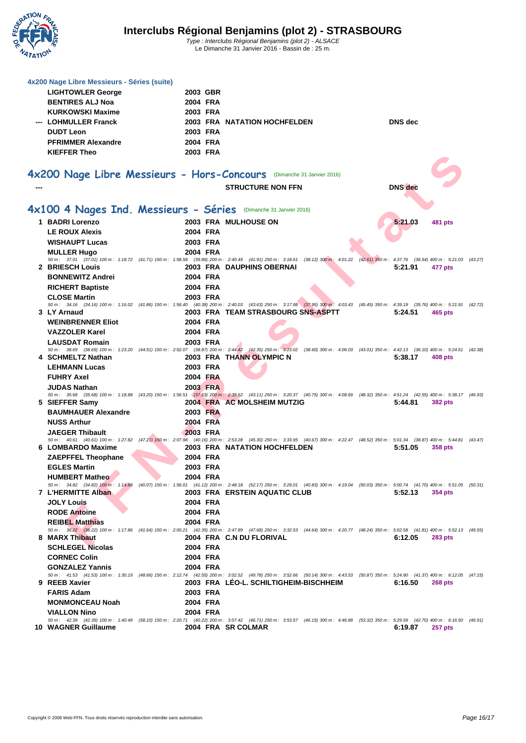

| 4x200 Nage Libre Messieurs - Séries (suite)<br><b>LIGHTOWLER George</b><br><b>BENTIRES ALJ Noa</b><br><b>KURKOWSKI Maxime</b> | 2003 GBR<br>2004 FRA<br>2003 FRA |                                                                                                                                                                                                                                    |                |                |  |
|-------------------------------------------------------------------------------------------------------------------------------|----------------------------------|------------------------------------------------------------------------------------------------------------------------------------------------------------------------------------------------------------------------------------|----------------|----------------|--|
| --- LOHMULLER Franck<br><b>DUDT Leon</b><br><b>PFRIMMER Alexandre</b><br><b>KIEFFER Theo</b>                                  | 2003 FRA<br>2004 FRA<br>2003 FRA | 2003 FRA NATATION HOCHFELDEN                                                                                                                                                                                                       | <b>DNS</b> dec |                |  |
|                                                                                                                               |                                  | 4x200 Nage Libre Messieurs - Hors-Concours (Dimanche 31 Janvier 2016)                                                                                                                                                              |                |                |  |
|                                                                                                                               |                                  | <b>STRUCTURE NON FFN</b>                                                                                                                                                                                                           | <b>DNS</b> dec |                |  |
|                                                                                                                               |                                  |                                                                                                                                                                                                                                    |                |                |  |
| 4x100 4 Nages Ind. Messieurs - Séries (Dimanche 31 Janvier 2016)                                                              |                                  |                                                                                                                                                                                                                                    |                |                |  |
| 1 BADRI Lorenzo                                                                                                               |                                  | 2003 FRA MULHOUSE ON                                                                                                                                                                                                               | 5:21.03        | <b>481 pts</b> |  |
| <b>LE ROUX Alexis</b>                                                                                                         | 2004 FRA                         |                                                                                                                                                                                                                                    |                |                |  |
| <b>WISHAUPT Lucas</b>                                                                                                         | 2003 FRA                         |                                                                                                                                                                                                                                    |                |                |  |
| <b>MULLER Hugo</b>                                                                                                            | 2004 FRA                         | 50 m : 37.01 (37.01) 100 m : 1:18.72 (41.71) 150 m : 1:58.58 (39.86) 200 m : 2:40.49 (41.91) 250 m : 3:18.61 (38.12) 300 m : 4:01.22 (42.61) 350 m : 4:37.76 (36.54) 400 m : 5:21.03 (43.27)                                       |                |                |  |
| 2 BRIESCH Louis                                                                                                               |                                  | 2003 FRA DAUPHINS OBERNAI                                                                                                                                                                                                          | 5:21.91        | 477 pts        |  |
| <b>BONNEWITZ Andrei</b>                                                                                                       | 2004 FRA                         |                                                                                                                                                                                                                                    |                |                |  |
| <b>RICHERT Baptiste</b>                                                                                                       | 2004 FRA                         |                                                                                                                                                                                                                                    |                |                |  |
| <b>CLOSE Martin</b>                                                                                                           | 2003 FRA                         |                                                                                                                                                                                                                                    |                |                |  |
| 3 LY Arnaud                                                                                                                   |                                  | 50 m : 34.16 (34.16) 100 m : 1:16.02 (41.86) 150 m : 1:56.40 (40.38) 200 m : 2:40.03 (43.63) 250 m : 3:17.98 (37.95) 300 m : 4:03.43 (45.45) 350 m : 4:39.19 (35.76) 400 m : 5:21.91 (42.72)<br>2003 FRA TEAM STRASBOURG SNS-ASPTT | 5:24.51        | 465 pts        |  |
| <b>WEINBRENNER Eliot</b>                                                                                                      | 2004 FRA                         |                                                                                                                                                                                                                                    |                |                |  |
| <b>VAZZOLER Karel</b>                                                                                                         | 2004 FRA                         |                                                                                                                                                                                                                                    |                |                |  |
| <b>LAUSDAT Romain</b>                                                                                                         | 2003 FRA                         |                                                                                                                                                                                                                                    |                |                |  |
|                                                                                                                               |                                  | 50 m : 38.69 (38.69) 100 m : 1:23.20 (44.51) 150 m : 2:02.07 (38.87) 200 m : 2:44.42 (42.35) 250 m : 323.02 (38.60) 300 m : 4:06.03 (43.01) 350 m : 4:42.13 (36.10) 400 m : 5:24.51 (42.38)                                        |                |                |  |
| 4 SCHMELTZ Nathan                                                                                                             |                                  | 2003 FRA THANN OLYMPIC N                                                                                                                                                                                                           | 5:38.17        | 408 pts        |  |
| <b>LEHMANN Lucas</b>                                                                                                          | 2003 FRA                         |                                                                                                                                                                                                                                    |                |                |  |
| <b>FUHRY Axel</b><br><b>JUDAS Nathan</b>                                                                                      | 2004 FRA<br>2003 FRA             |                                                                                                                                                                                                                                    |                |                |  |
|                                                                                                                               |                                  | 50 m : 35.68 (35.68) 100 m : 1:18.88 (43.20) 150 m : 1:56.51 (37.63) 200 m : 2:39.62 (43.11) 250 m : 3:20.37 (40.75) 300 m : 4:08.69 (48.32) 350 m : 4:51.24 (42.55) 400 m : 5:38.17 (46.93)                                       |                |                |  |
| 5 SIEFFER Samy                                                                                                                |                                  | 2004 FRA AC MOLSHEIM MUTZIG                                                                                                                                                                                                        | 5:44.81        | <b>382 pts</b> |  |
| <b>BAUMHAUER Alexandre</b>                                                                                                    | 2003 FRA                         |                                                                                                                                                                                                                                    |                |                |  |
| <b>NUSS Arthur</b>                                                                                                            | 2004 FRA                         |                                                                                                                                                                                                                                    |                |                |  |
| <b>JAEGER Thibault</b>                                                                                                        | 2003 FRA                         | 50 m: 40.61 (40.61) 100 m: 1:27.82 (47.21) 150 m: 2:07.98 (40.16) 200 m: 2:53.28 (45.30) 250 m: 3:33.95 (40.67) 300 m: 4:22.47 (48.52) 350 m: 5:01.34 (38.87) 400 m: 5:44.81 (43.47)                                               |                |                |  |
| 6 LOMBARDO Maxime                                                                                                             |                                  | <b>2003 FRA NATATION HOCHFELDEN</b>                                                                                                                                                                                                | 5:51.05        | 358 pts        |  |
| <b>ZAEPFFEL Theophane</b>                                                                                                     | 2004 FRA                         |                                                                                                                                                                                                                                    |                |                |  |
| <b>EGLES Martin</b>                                                                                                           | 2003 FRA                         |                                                                                                                                                                                                                                    |                |                |  |
| <b>HUMBERT Matheo</b>                                                                                                         | 2004 FRA                         |                                                                                                                                                                                                                                    |                |                |  |
| 7 L'HERMITTE Alban                                                                                                            |                                  | 50 m: 34.82 (34.82) 100 m: 1:14.89 (40.07) 150 m: 1:56.01 (41.12) 200 m: 2:48.18 (52.17) 250 m: 3:29.01 (40.83) 300 m: 4:19.04 (50.03) 350 m: 5:00.74 (41.70) 400 m: 5:51.05 (50.31)<br><b>2003 FRA ERSTEIN AQUATIC CLUB</b>       | 5:52.13        | 354 pts        |  |
| <b>JOLY Louis</b>                                                                                                             | 2004 FRA                         |                                                                                                                                                                                                                                    |                |                |  |
| <b>RODE Antoine</b>                                                                                                           | 2004 FRA                         |                                                                                                                                                                                                                                    |                |                |  |
| <b>REIBEL Matthias</b>                                                                                                        | 2004 FRA                         |                                                                                                                                                                                                                                    |                |                |  |
| 8 MARX Thibaut                                                                                                                |                                  | 50 m: 36.22 (36.22) 100 m: 1:17.86 (41.64) 150 m: 2:00.21 (42.35) 200 m: 2:47.89 (47.68) 250 m: 3:32.53 (44.64) 300 m: 4:20.77 (48.24) 350 m: 5:02.58 (41.81) 400 m: 5:52.13 (49.55)<br>2004 FRA C.N DU FLORIVAL                   | 6:12.05        | <b>283 pts</b> |  |
| <b>SCHLEGEL Nicolas</b>                                                                                                       | 2004 FRA                         |                                                                                                                                                                                                                                    |                |                |  |
| <b>CORNEC Colin</b>                                                                                                           | 2004 FRA                         |                                                                                                                                                                                                                                    |                |                |  |
| <b>GONZALEZ Yannis</b>                                                                                                        | 2004 FRA                         |                                                                                                                                                                                                                                    |                |                |  |
|                                                                                                                               |                                  | 50 m: 41.53 (41.53) 100 m: 1:30.19 (48.66) 150 m: 2:12.74 (42.55) 200 m: 3:02.52 (49.78) 250 m: 3:52.66 (50.14) 300 m: 4:43.53 (50.87) 350 m: 5:24.90 (41.37) 400 m: 6:12.05 (47.15)                                               |                |                |  |
| 9 REEB Xavier                                                                                                                 |                                  | 2003 FRA LEO-L. SCHILTIGHEIM-BISCHHEIM                                                                                                                                                                                             | 6:16.50        | <b>268 pts</b> |  |
| <b>FARIS Adam</b>                                                                                                             | 2003 FRA                         |                                                                                                                                                                                                                                    |                |                |  |
| <b>MONMONCEAU Noah</b><br><b>VIALLON Nino</b>                                                                                 | 2004 FRA<br>2004 FRA             |                                                                                                                                                                                                                                    |                |                |  |
|                                                                                                                               |                                  | 50 m: 42.39 (42.39) 100 m: 1:40.49 (58.10) 150 m: 2:20.71 (40.22) 200 m: 3:07.42 (46.71) 250 m: 3:53.57 (46.15) 300 m: 4:46.89 (53.32) 350 m: 5:29.59 (42.70) 400 m: 6:16.50 (46.91)                                               |                |                |  |
| 10 WAGNER Guillaume                                                                                                           |                                  | 2004 FRA SR COLMAR                                                                                                                                                                                                                 | 6:19.87        | 257 pts        |  |